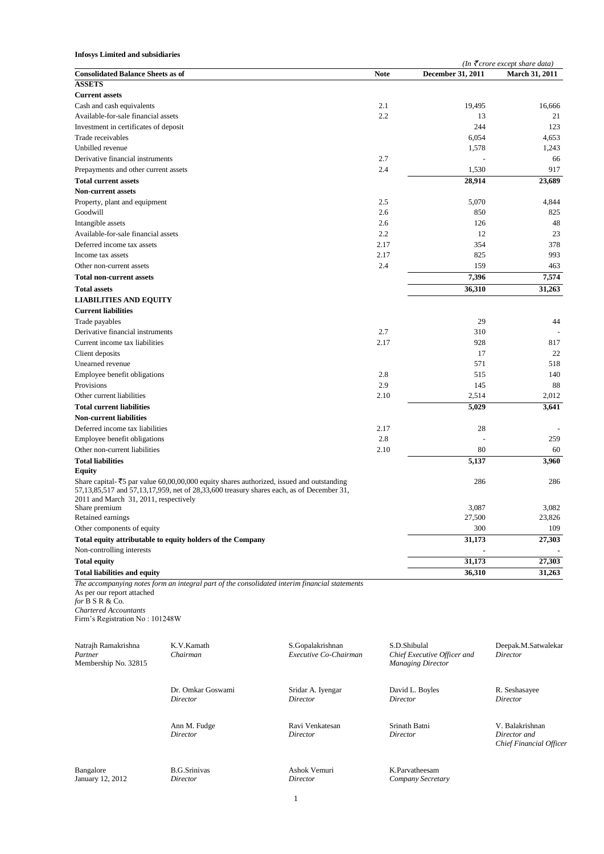|                                                                                                                                                           |                                                                                                                                                                                                    |                                                                                               |             |                                                                         | (In $\bar{\mathcal{F}}$ crore except share data)          |
|-----------------------------------------------------------------------------------------------------------------------------------------------------------|----------------------------------------------------------------------------------------------------------------------------------------------------------------------------------------------------|-----------------------------------------------------------------------------------------------|-------------|-------------------------------------------------------------------------|-----------------------------------------------------------|
| <b>Consolidated Balance Sheets as of</b>                                                                                                                  |                                                                                                                                                                                                    |                                                                                               | <b>Note</b> | December 31, 2011                                                       | <b>March 31, 2011</b>                                     |
| <b>ASSETS</b>                                                                                                                                             |                                                                                                                                                                                                    |                                                                                               |             |                                                                         |                                                           |
| <b>Current assets</b>                                                                                                                                     |                                                                                                                                                                                                    |                                                                                               |             |                                                                         |                                                           |
| Cash and cash equivalents                                                                                                                                 |                                                                                                                                                                                                    |                                                                                               | 2.1<br>2.2  | 19,495                                                                  | 16,666                                                    |
| Available-for-sale financial assets                                                                                                                       |                                                                                                                                                                                                    |                                                                                               |             | 13<br>244                                                               | 21                                                        |
| Investment in certificates of deposit<br>Trade receivables                                                                                                |                                                                                                                                                                                                    |                                                                                               |             | 6,054                                                                   | 123<br>4,653                                              |
| Unbilled revenue                                                                                                                                          |                                                                                                                                                                                                    |                                                                                               |             |                                                                         |                                                           |
| Derivative financial instruments                                                                                                                          |                                                                                                                                                                                                    |                                                                                               | 2.7         | 1,578                                                                   | 1,243<br>66                                               |
| Prepayments and other current assets                                                                                                                      |                                                                                                                                                                                                    |                                                                                               | 2.4         | 1,530                                                                   | 917                                                       |
| <b>Total current assets</b>                                                                                                                               |                                                                                                                                                                                                    |                                                                                               |             | 28,914                                                                  | 23,689                                                    |
| <b>Non-current assets</b>                                                                                                                                 |                                                                                                                                                                                                    |                                                                                               |             |                                                                         |                                                           |
| Property, plant and equipment                                                                                                                             |                                                                                                                                                                                                    |                                                                                               | 2.5         | 5,070                                                                   | 4,844                                                     |
| Goodwill                                                                                                                                                  |                                                                                                                                                                                                    |                                                                                               | 2.6         | 850                                                                     | 825                                                       |
| Intangible assets                                                                                                                                         |                                                                                                                                                                                                    |                                                                                               | 2.6         | 126                                                                     | 48                                                        |
| Available-for-sale financial assets                                                                                                                       |                                                                                                                                                                                                    |                                                                                               | 2.2         | 12                                                                      | 23                                                        |
| Deferred income tax assets                                                                                                                                |                                                                                                                                                                                                    |                                                                                               | 2.17        | 354                                                                     | 378                                                       |
| Income tax assets                                                                                                                                         |                                                                                                                                                                                                    |                                                                                               | 2.17        | 825                                                                     | 993                                                       |
| Other non-current assets                                                                                                                                  |                                                                                                                                                                                                    |                                                                                               | 2.4         | 159                                                                     | 463                                                       |
| <b>Total non-current assets</b>                                                                                                                           |                                                                                                                                                                                                    |                                                                                               |             | 7,396                                                                   | 7,574                                                     |
| <b>Total assets</b>                                                                                                                                       |                                                                                                                                                                                                    |                                                                                               |             | 36,310                                                                  | 31,263                                                    |
| <b>LIABILITIES AND EQUITY</b>                                                                                                                             |                                                                                                                                                                                                    |                                                                                               |             |                                                                         |                                                           |
| <b>Current liabilities</b>                                                                                                                                |                                                                                                                                                                                                    |                                                                                               |             |                                                                         |                                                           |
| Trade payables                                                                                                                                            |                                                                                                                                                                                                    |                                                                                               |             | 29                                                                      | 44                                                        |
| Derivative financial instruments                                                                                                                          |                                                                                                                                                                                                    |                                                                                               | 2.7         | 310                                                                     |                                                           |
| Current income tax liabilities                                                                                                                            |                                                                                                                                                                                                    |                                                                                               | 2.17        | 928                                                                     | 817                                                       |
| Client deposits                                                                                                                                           |                                                                                                                                                                                                    |                                                                                               |             | 17                                                                      | 22                                                        |
| Unearned revenue                                                                                                                                          |                                                                                                                                                                                                    |                                                                                               |             | 571                                                                     | 518                                                       |
| Employee benefit obligations                                                                                                                              |                                                                                                                                                                                                    |                                                                                               | 2.8         | 515                                                                     | 140                                                       |
| Provisions                                                                                                                                                |                                                                                                                                                                                                    |                                                                                               | 2.9         | 145                                                                     | 88                                                        |
| Other current liabilities                                                                                                                                 |                                                                                                                                                                                                    |                                                                                               | 2.10        | 2,514                                                                   | 2,012                                                     |
| <b>Total current liabilities</b>                                                                                                                          |                                                                                                                                                                                                    |                                                                                               |             | 5,029                                                                   | 3,641                                                     |
| <b>Non-current liabilities</b>                                                                                                                            |                                                                                                                                                                                                    |                                                                                               |             |                                                                         |                                                           |
| Deferred income tax liabilities                                                                                                                           |                                                                                                                                                                                                    |                                                                                               | 2.17        | 28                                                                      |                                                           |
| Employee benefit obligations                                                                                                                              |                                                                                                                                                                                                    |                                                                                               | 2.8         |                                                                         | 259                                                       |
| Other non-current liabilities                                                                                                                             |                                                                                                                                                                                                    |                                                                                               | 2.10        | 80                                                                      | 60                                                        |
| <b>Total liabilities</b>                                                                                                                                  |                                                                                                                                                                                                    |                                                                                               |             | 5,137                                                                   | 3,960                                                     |
| <b>Equity</b>                                                                                                                                             |                                                                                                                                                                                                    |                                                                                               |             |                                                                         |                                                           |
| 2011 and March 31, 2011, respectively                                                                                                                     | Share capital- $\overline{5}5$ par value 60,00,00,000 equity shares authorized, issued and outstanding<br>57,13,85,517 and 57,13,17,959, net of 28,33,600 treasury shares each, as of December 31, |                                                                                               |             | 286                                                                     | 286                                                       |
| Share premium                                                                                                                                             |                                                                                                                                                                                                    |                                                                                               |             | 3,087                                                                   | 3,082                                                     |
| Retained earnings                                                                                                                                         |                                                                                                                                                                                                    |                                                                                               |             | 27,500                                                                  | 23,826                                                    |
| Other components of equity                                                                                                                                |                                                                                                                                                                                                    |                                                                                               |             | 300                                                                     | 109                                                       |
|                                                                                                                                                           | Total equity attributable to equity holders of the Company                                                                                                                                         |                                                                                               |             | 31,173                                                                  | 27,303                                                    |
| Non-controlling interests                                                                                                                                 |                                                                                                                                                                                                    |                                                                                               |             |                                                                         |                                                           |
| <b>Total equity</b>                                                                                                                                       |                                                                                                                                                                                                    |                                                                                               |             | 31,173                                                                  | 27,303                                                    |
| <b>Total liabilities and equity</b><br>As per our report attached<br>for $B S R & Co.$<br><b>Chartered Accountants</b><br>Firm's Registration No: 101248W |                                                                                                                                                                                                    | The accompanying notes form an integral part of the consolidated interim financial statements |             | 36,310                                                                  | 31,263                                                    |
| Natrajh Ramakrishna<br>Partner<br>Membership No. 32815                                                                                                    | K.V.Kamath<br>Chairman                                                                                                                                                                             | S.Gopalakrishnan<br>Executive Co-Chairman                                                     |             | S.D.Shibulal<br>Chief Executive Officer and<br><b>Managing Director</b> | Deepak.M.Satwalekar<br>Director                           |
|                                                                                                                                                           | Dr. Omkar Goswami<br>Director                                                                                                                                                                      | Sridar A. Iyengar<br>Director                                                                 | Director    | David L. Boyles                                                         | R. Seshasayee<br>Director                                 |
|                                                                                                                                                           | Ann M. Fudge<br>Director                                                                                                                                                                           | Ravi Venkatesan<br>Director                                                                   | Director    | Srinath Batni                                                           | V. Balakrishnan<br>Director and<br>Chief Financial Office |

1

Bangalore B.G.Srinivas Ashok Vemuri K.Parvatheesam January 12, 2012 *Director Director Company Secret*  $Company$  *Secretary*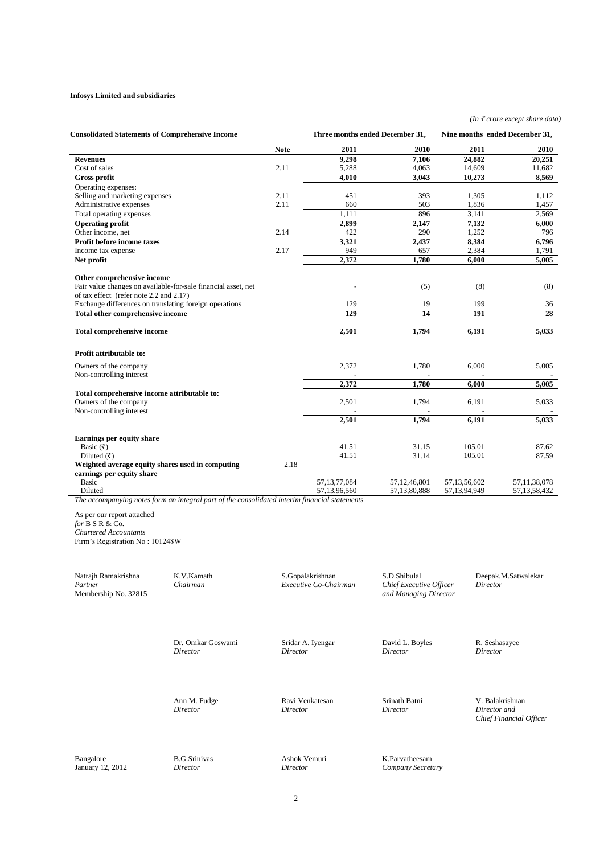*(In ₹ crore except share data)* 

| <b>Consolidated Statements of Comprehensive Income</b>                                                                                                                       |                                                                                               |                      | Three months ended December 31,                   |                                                                  | Nine months ended December 31,                   |                                                             |  |
|------------------------------------------------------------------------------------------------------------------------------------------------------------------------------|-----------------------------------------------------------------------------------------------|----------------------|---------------------------------------------------|------------------------------------------------------------------|--------------------------------------------------|-------------------------------------------------------------|--|
|                                                                                                                                                                              |                                                                                               | <b>Note</b>          | 2011                                              | 2010                                                             | 2011                                             | <b>2010</b>                                                 |  |
| <b>Revenues</b>                                                                                                                                                              |                                                                                               |                      | 9,298                                             | 7,106                                                            | 24,882                                           | 20,251                                                      |  |
| Cost of sales                                                                                                                                                                |                                                                                               | 2.11                 | 5,288                                             | 4,063                                                            | 14,609                                           | 11,682                                                      |  |
| <b>Gross profit</b>                                                                                                                                                          |                                                                                               |                      | 4,010                                             | 3,043                                                            | 10,273                                           | 8,569                                                       |  |
| Operating expenses:<br>Selling and marketing expenses                                                                                                                        |                                                                                               | 2.11                 | 451                                               | 393                                                              | 1,305                                            | 1,112                                                       |  |
| Administrative expenses                                                                                                                                                      |                                                                                               | 2.11                 | 660                                               | 503                                                              | 1,836                                            | 1,457                                                       |  |
| Total operating expenses                                                                                                                                                     |                                                                                               |                      | 1,111                                             | 896                                                              | 3,141                                            | 2,569                                                       |  |
| <b>Operating profit</b>                                                                                                                                                      |                                                                                               |                      | 2,899                                             | 2,147                                                            | 7,132                                            | 6,000                                                       |  |
| Other income, net                                                                                                                                                            |                                                                                               | 2.14                 | 422                                               | 290                                                              | 1,252                                            | 796                                                         |  |
| Profit before income taxes                                                                                                                                                   |                                                                                               |                      | 3,321                                             | 2,437                                                            | 8,384                                            | 6,796                                                       |  |
| Income tax expense                                                                                                                                                           |                                                                                               | 2.17                 | 949                                               | 657                                                              | 2,384                                            | 1,791                                                       |  |
| Net profit                                                                                                                                                                   |                                                                                               |                      | 2,372                                             | 1,780                                                            | 6,000                                            | 5,005                                                       |  |
| Other comprehensive income<br>Fair value changes on available-for-sale financial asset, net<br>of tax effect (refer note 2.2 and 2.17)                                       |                                                                                               |                      |                                                   | (5)                                                              | (8)                                              | (8)                                                         |  |
| Exchange differences on translating foreign operations                                                                                                                       |                                                                                               |                      | 129                                               | 19                                                               | 199                                              | 36                                                          |  |
| Total other comprehensive income                                                                                                                                             |                                                                                               |                      | 129                                               | 14                                                               | 191                                              | 28                                                          |  |
| <b>Total comprehensive income</b>                                                                                                                                            |                                                                                               |                      | 2,501                                             | 1,794                                                            | 6,191                                            | 5,033                                                       |  |
| <b>Profit attributable to:</b>                                                                                                                                               |                                                                                               |                      |                                                   |                                                                  |                                                  |                                                             |  |
| Owners of the company<br>Non-controlling interest                                                                                                                            |                                                                                               |                      | 2,372                                             | 1,780                                                            | 6,000                                            | 5,005                                                       |  |
|                                                                                                                                                                              |                                                                                               |                      | 2,372                                             | 1,780                                                            | 6,000                                            | 5,005                                                       |  |
| Total comprehensive income attributable to:<br>Owners of the company<br>Non-controlling interest                                                                             |                                                                                               |                      | 2,501                                             | 1,794                                                            | 6,191                                            | 5,033                                                       |  |
|                                                                                                                                                                              |                                                                                               |                      | 2,501                                             | 1,794                                                            | 6,191                                            | 5,033                                                       |  |
| Earnings per equity share<br>Basic (₹)<br>Diluted (₹)<br>Weighted average equity shares used in computing<br>earnings per equity share<br><b>Basic</b><br>Diluted            |                                                                                               | 2.18                 | 41.51<br>41.51<br>57, 13, 77, 084<br>57,13,96,560 | 31.15<br>31.14<br>57, 12, 46, 801<br>57,13,80,888                | 105.01<br>105.01<br>57,13,56,602<br>57,13,94,949 | 87.62<br>87.59<br>57, 11, 38, 078<br>57, 13, 58, 432        |  |
|                                                                                                                                                                              | The accompanying notes form an integral part of the consolidated interim financial statements |                      |                                                   |                                                                  |                                                  |                                                             |  |
| As per our report attached<br>for $B S R & Co.$<br><b>Chartered Accountants</b><br>Firm's Registration No: 101248W<br>Natrajh Ramakrishna<br>Partner<br>Membership No. 32815 | K.V.Kamath<br>Chairman                                                                        |                      | S.Gopalakrishnan<br>Executive Co-Chairman         | S.D.Shibulal<br>Chief Executive Officer<br>and Managing Director | Director                                         | Deepak.M.Satwalekar                                         |  |
|                                                                                                                                                                              | Dr. Omkar Goswami<br>Director<br>Ann M. Fudge<br>Director                                     | Director<br>Director | Sridar A. Iyengar<br>Ravi Venkatesan              | David L. Boyles<br>Director<br>Srinath Batni<br>Director         | Director<br>Director and                         | R. Seshasayee<br>V. Balakrishnan<br>Chief Financial Officer |  |

Bangalore B.G.Srinivas Ashok Vemuri K.Parvatheesam January 12, 2012 *Director Director Company Secret*  $Company$  *Secretary*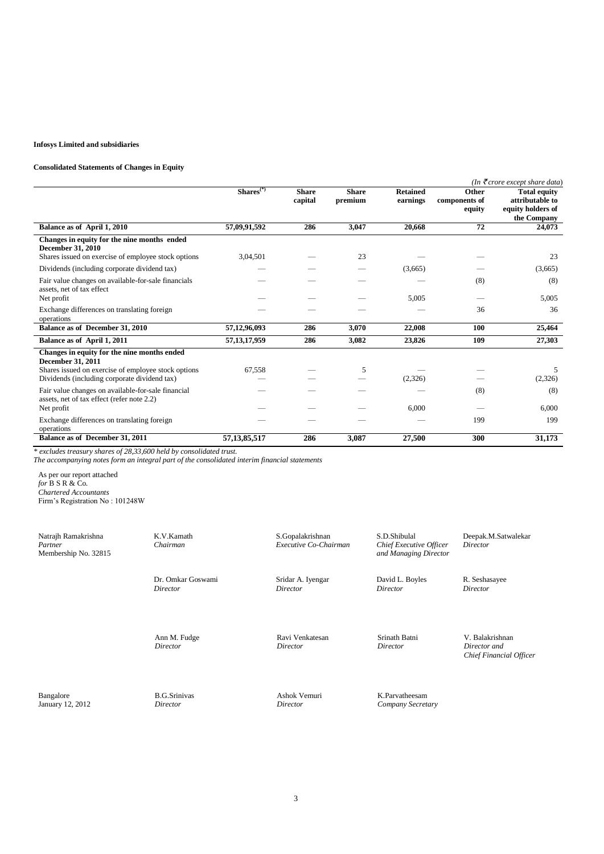# **Consolidated Statements of Changes in Equity**

|                                                                  |                 |              |              |                 |               | (In $\bar{\mathcal{F}}$ crore except share data) |
|------------------------------------------------------------------|-----------------|--------------|--------------|-----------------|---------------|--------------------------------------------------|
|                                                                  | $Shares(*)$     | <b>Share</b> | <b>Share</b> | <b>Retained</b> | Other         | <b>Total equity</b>                              |
|                                                                  |                 | capital      | premium      | earnings        | components of | attributable to                                  |
|                                                                  |                 |              |              |                 | equity        | equity holders of                                |
| Balance as of April 1, 2010                                      | 57,09,91,592    | 286          | 3,047        | 20,668          | 72            | the Company<br>24,073                            |
|                                                                  |                 |              |              |                 |               |                                                  |
| Changes in equity for the nine months ended<br>December 31, 2010 |                 |              |              |                 |               |                                                  |
| Shares issued on exercise of employee stock options              | 3,04,501        |              | 23           |                 |               | 23                                               |
|                                                                  |                 |              |              |                 |               |                                                  |
| Dividends (including corporate dividend tax)                     |                 |              |              | (3,665)         |               | (3,665)                                          |
| Fair value changes on available-for-sale financials              |                 |              |              |                 | (8)           | (8)                                              |
| assets, net of tax effect                                        |                 |              |              |                 |               |                                                  |
| Net profit                                                       |                 |              |              | 5,005           |               | 5,005                                            |
| Exchange differences on translating foreign                      |                 |              |              |                 | 36            | 36                                               |
| operations                                                       |                 |              |              |                 |               |                                                  |
| Balance as of December 31, 2010                                  | 57,12,96,093    | 286          | 3,070        | 22,008          | 100           | 25,464                                           |
| Balance as of April 1, 2011                                      | 57, 13, 17, 959 | 286          | 3,082        | 23,826          | 109           | 27,303                                           |
| Changes in equity for the nine months ended                      |                 |              |              |                 |               |                                                  |
| <b>December 31, 2011</b>                                         |                 |              |              |                 |               |                                                  |
| Shares issued on exercise of employee stock options              | 67,558          |              | 5            |                 |               | 5                                                |
| Dividends (including corporate dividend tax)                     |                 |              |              | (2,326)         |               | (2,326)                                          |
| Fair value changes on available-for-sale financial               |                 |              |              |                 | (8)           | (8)                                              |
| assets, net of tax effect (refer note 2.2)                       |                 |              |              |                 |               |                                                  |
| Net profit                                                       |                 |              |              | 6,000           |               | 6,000                                            |
| Exchange differences on translating foreign                      |                 |              |              |                 | 199           | 199                                              |
| operations                                                       |                 |              |              |                 |               |                                                  |
| Balance as of December 31, 2011                                  | 57, 13, 85, 517 | 286          | 3,087        | 27,500          | 300           | 31,173                                           |

*\* excludes treasury shares of 28,33,600 held by consolidated trust.*

*The accompanying notes form an integral part of the consolidated interim financial statements*

As per our report attached *for* B S R & Co. *Chartered Accountants* Firm's Registration No : 101248W

Natrajh Ramakrishna K.V.Kamath S.Gopalakrishnan S.D.Shibulal Deepak.M.Satwalekar *Partner* Membership No. 32815  *<i>Executive Co-Chairman and Managing Director Director* Dr. Omkar Goswami Sridar A. Iyengar David L. Boyles R. Seshasayee *Director Director Director Director* Ann M. Fudge Ravi Venkatesan Srinath Batni V. Balakrishnan *Director Director Director Director and Chief Financial Officer*

Bangalore B.G.Srinivas Ashok Vemuri K.Parvatheesam January 12, 2012 *Director* B.G.Srinivas Ashok Vemuri K.Parvatheesam *Company Secreto*  $Company$  *Secretary*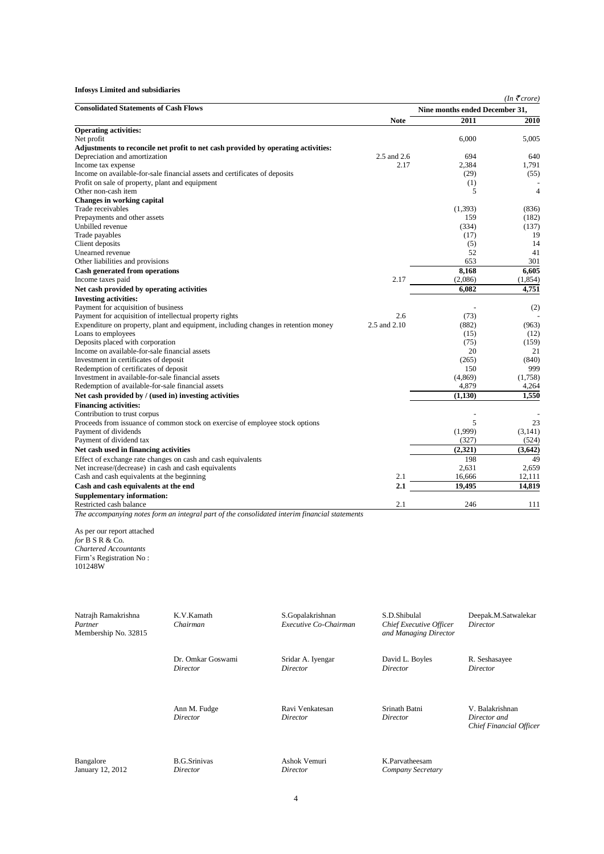$(In \, \bar{\mathcal{T}}$  *crore*)

| <b>Consolidated Statements of Cash Flows</b>                                                  |              | Nine months ended December 31, |                |
|-----------------------------------------------------------------------------------------------|--------------|--------------------------------|----------------|
|                                                                                               | <b>Note</b>  | 2011                           | 2010           |
| <b>Operating activities:</b>                                                                  |              |                                |                |
| Net profit                                                                                    |              | 6,000                          | 5,005          |
| Adjustments to reconcile net profit to net cash provided by operating activities:             |              |                                |                |
| Depreciation and amortization                                                                 | 2.5 and 2.6  | 694                            | 640            |
| Income tax expense                                                                            | 2.17         | 2,384                          | 1,791          |
| Income on available-for-sale financial assets and certificates of deposits                    |              | (29)                           | (55)           |
| Profit on sale of property, plant and equipment                                               |              | (1)                            |                |
| Other non-cash item                                                                           |              | 5                              | $\overline{4}$ |
| <b>Changes in working capital</b>                                                             |              |                                |                |
| Trade receivables                                                                             |              | (1,393)                        | (836)          |
| Prepayments and other assets                                                                  |              | 159                            | (182)          |
| Unbilled revenue                                                                              |              | (334)                          | (137)          |
| Trade payables                                                                                |              | (17)                           | 19             |
| Client deposits                                                                               |              | (5)                            | 14             |
| Unearned revenue                                                                              |              | 52                             | 41             |
| Other liabilities and provisions                                                              |              | 653                            | 301            |
| <b>Cash generated from operations</b>                                                         |              | 8,168                          | 6,605          |
| Income taxes paid                                                                             | 2.17         | (2,086)                        | (1, 854)       |
| Net cash provided by operating activities                                                     |              | 6.082                          | 4.751          |
| <b>Investing activities:</b>                                                                  |              |                                |                |
| Payment for acquisition of business                                                           |              |                                | (2)            |
| Payment for acquisition of intellectual property rights                                       | 2.6          | (73)                           |                |
| Expenditure on property, plant and equipment, including changes in retention money            | 2.5 and 2.10 | (882)                          | (963)          |
| Loans to employees                                                                            |              | (15)                           | (12)           |
| Deposits placed with corporation                                                              |              | (75)                           | (159)          |
| Income on available-for-sale financial assets                                                 |              | 20                             | 21             |
| Investment in certificates of deposit                                                         |              | (265)                          | (840)          |
| Redemption of certificates of deposit                                                         |              | 150                            | 999            |
| Investment in available-for-sale financial assets                                             |              | (4,869)                        | (1,758)        |
| Redemption of available-for-sale financial assets                                             |              | 4,879                          | 4,264          |
| Net cash provided by / (used in) investing activities                                         |              | (1,130)                        | 1,550          |
| <b>Financing activities:</b>                                                                  |              |                                |                |
| Contribution to trust corpus                                                                  |              |                                |                |
| Proceeds from issuance of common stock on exercise of employee stock options                  |              | 5                              | 23             |
| Payment of dividends                                                                          |              | (1,999)                        | (3, 141)       |
| Payment of dividend tax                                                                       |              | (327)                          | (524)          |
| Net cash used in financing activities                                                         |              | (2,321)                        | (3,642)        |
| Effect of exchange rate changes on cash and cash equivalents                                  |              | 198                            | 49             |
| Net increase/(decrease) in cash and cash equivalents                                          |              | 2.631                          | 2,659          |
| Cash and cash equivalents at the beginning                                                    | 2.1          | 16,666                         | 12,111         |
| Cash and cash equivalents at the end                                                          | 2.1          | 19.495                         | 14,819         |
| <b>Supplementary information:</b>                                                             |              |                                |                |
| Restricted cash balance                                                                       | 2.1          | 246                            | 111            |
| The accompanying notes form an integral part of the consolidated interim financial statements |              |                                |                |
| As per our report attached                                                                    |              |                                |                |
| for B S R & Co.                                                                               |              |                                |                |
| <b>Chartered Accountants</b>                                                                  |              |                                |                |

Firm's Registration No : 101248W

| Natrajh Ramakrishna<br>Partner<br>Membership No. 32815 | K.V.Kamath<br>Chairman                                                               | S.Gopalakrishnan<br>Executive Co-Chairman | S.D.Shibulal<br>Chief Executive Officer<br>and Managing Director | Deepak.M.Satwalekar<br>Director                            |
|--------------------------------------------------------|--------------------------------------------------------------------------------------|-------------------------------------------|------------------------------------------------------------------|------------------------------------------------------------|
|                                                        | Dr. Omkar Goswami                                                                    | Sridar A. Iyengar                         | David L. Boyles                                                  | R. Seshasayee                                              |
|                                                        | Director                                                                             | Director                                  | Director                                                         | Director                                                   |
|                                                        | Srinath Batni<br>Ann M. Fudge<br>Ravi Venkatesan<br>Director<br>Director<br>Director |                                           |                                                                  | V. Balakrishnan<br>Director and<br>Chief Financial Officer |
| Bangalore                                              | <b>B.G.Srinivas</b>                                                                  | Ashok Vemuri                              | K.Parvatheesam                                                   |                                                            |
| January 12, 2012                                       | Director                                                                             | Director                                  | Company Secretary                                                |                                                            |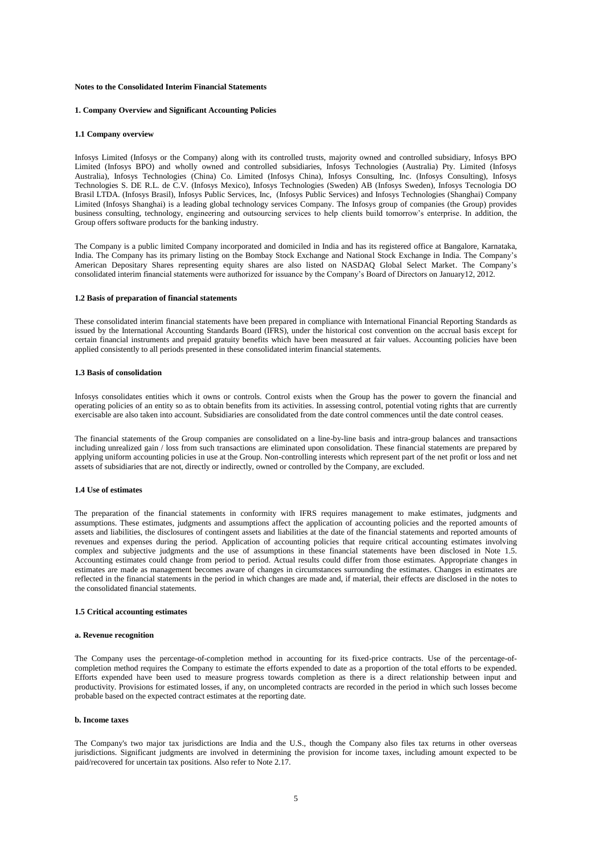### **Notes to the Consolidated Interim Financial Statements**

### **1. Company Overview and Significant Accounting Policies**

#### **1.1 Company overview**

Infosys Limited (Infosys or the Company) along with its controlled trusts, majority owned and controlled subsidiary, Infosys BPO Limited (Infosys BPO) and wholly owned and controlled subsidiaries, Infosys Technologies (Australia) Pty. Limited (Infosys Australia), Infosys Technologies (China) Co. Limited (Infosys China), Infosys Consulting, Inc. (Infosys Consulting), Infosys Technologies S. DE R.L. de C.V. (Infosys Mexico), Infosys Technologies (Sweden) AB (Infosys Sweden), Infosys Tecnologia DO Brasil LTDA. (Infosys Brasil), Infosys Public Services, Inc, (Infosys Public Services) and Infosys Technologies (Shanghai) Company Limited (Infosys Shanghai) is a leading global technology services Company. The Infosys group of companies (the Group) provides business consulting, technology, engineering and outsourcing services to help clients build tomorrow's enterprise. In addition, the Group offers software products for the banking industry.

The Company is a public limited Company incorporated and domiciled in India and has its registered office at Bangalore, Karnataka, India. The Company has its primary listing on the Bombay Stock Exchange and National Stock Exchange in India. The Company's American Depositary Shares representing equity shares are also listed on NASDAQ Global Select Market. The Company's consolidated interim financial statements were authorized for issuance by the Company's Board of Directors on January12, 2012.

### **1.2 Basis of preparation of financial statements**

These consolidated interim financial statements have been prepared in compliance with International Financial Reporting Standards as issued by the International Accounting Standards Board (IFRS), under the historical cost convention on the accrual basis except for certain financial instruments and prepaid gratuity benefits which have been measured at fair values. Accounting policies have been applied consistently to all periods presented in these consolidated interim financial statements.

# **1.3 Basis of consolidation**

Infosys consolidates entities which it owns or controls. Control exists when the Group has the power to govern the financial and operating policies of an entity so as to obtain benefits from its activities. In assessing control, potential voting rights that are currently exercisable are also taken into account. Subsidiaries are consolidated from the date control commences until the date control ceases.

The financial statements of the Group companies are consolidated on a line-by-line basis and intra-group balances and transactions including unrealized gain / loss from such transactions are eliminated upon consolidation. These financial statements are prepared by applying uniform accounting policies in use at the Group. Non-controlling interests which represent part of the net profit or loss and net assets of subsidiaries that are not, directly or indirectly, owned or controlled by the Company, are excluded.

#### **1.4 Use of estimates**

The preparation of the financial statements in conformity with IFRS requires management to make estimates, judgments and assumptions. These estimates, judgments and assumptions affect the application of accounting policies and the reported amounts of assets and liabilities, the disclosures of contingent assets and liabilities at the date of the financial statements and reported amounts of revenues and expenses during the period. Application of accounting policies that require critical accounting estimates involving complex and subjective judgments and the use of assumptions in these financial statements have been disclosed in Note 1.5. Accounting estimates could change from period to period. Actual results could differ from those estimates. Appropriate changes in estimates are made as management becomes aware of changes in circumstances surrounding the estimates. Changes in estimates are reflected in the financial statements in the period in which changes are made and, if material, their effects are disclosed in the notes to the consolidated financial statements.

### **1.5 Critical accounting estimates**

### **a. Revenue recognition**

The Company uses the percentage-of-completion method in accounting for its fixed-price contracts. Use of the percentage-ofcompletion method requires the Company to estimate the efforts expended to date as a proportion of the total efforts to be expended. Efforts expended have been used to measure progress towards completion as there is a direct relationship between input and productivity. Provisions for estimated losses, if any, on uncompleted contracts are recorded in the period in which such losses become probable based on the expected contract estimates at the reporting date.

### **b. Income taxes**

The Company's two major tax jurisdictions are India and the U.S., though the Company also files tax returns in other overseas jurisdictions. Significant judgments are involved in determining the provision for income taxes, including amount expected to be paid/recovered for uncertain tax positions. Also refer to Note 2.17.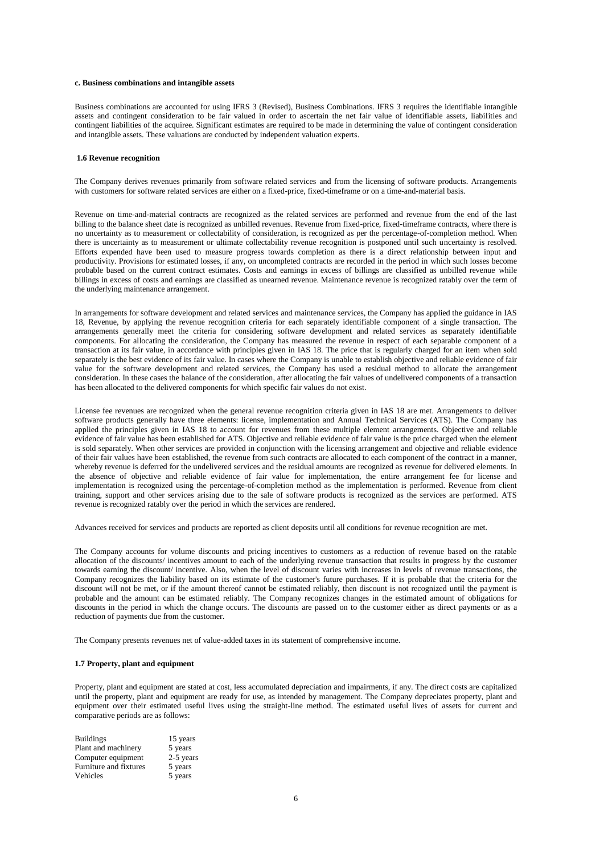# **c. Business combinations and intangible assets**

Business combinations are accounted for using IFRS 3 (Revised), Business Combinations. IFRS 3 requires the identifiable intangible assets and contingent consideration to be fair valued in order to ascertain the net fair value of identifiable assets, liabilities and contingent liabilities of the acquiree. Significant estimates are required to be made in determining the value of contingent consideration and intangible assets. These valuations are conducted by independent valuation experts.

#### **1.6 Revenue recognition**

The Company derives revenues primarily from software related services and from the licensing of software products. Arrangements with customers for software related services are either on a fixed-price, fixed-timeframe or on a time-and-material basis.

Revenue on time-and-material contracts are recognized as the related services are performed and revenue from the end of the last billing to the balance sheet date is recognized as unbilled revenues. Revenue from fixed-price, fixed-timeframe contracts, where there is no uncertainty as to measurement or collectability of consideration, is recognized as per the percentage-of-completion method. When there is uncertainty as to measurement or ultimate collectability revenue recognition is postponed until such uncertainty is resolved. Efforts expended have been used to measure progress towards completion as there is a direct relationship between input and productivity. Provisions for estimated losses, if any, on uncompleted contracts are recorded in the period in which such losses become probable based on the current contract estimates. Costs and earnings in excess of billings are classified as unbilled revenue while billings in excess of costs and earnings are classified as unearned revenue. Maintenance revenue is recognized ratably over the term of the underlying maintenance arrangement.

In arrangements for software development and related services and maintenance services, the Company has applied the guidance in IAS 18, Revenue, by applying the revenue recognition criteria for each separately identifiable component of a single transaction. The arrangements generally meet the criteria for considering software development and related services as separately identifiable components. For allocating the consideration, the Company has measured the revenue in respect of each separable component of a transaction at its fair value, in accordance with principles given in IAS 18. The price that is regularly charged for an item when sold separately is the best evidence of its fair value. In cases where the Company is unable to establish objective and reliable evidence of fair value for the software development and related services, the Company has used a residual method to allocate the arrangement consideration. In these cases the balance of the consideration, after allocating the fair values of undelivered components of a transaction has been allocated to the delivered components for which specific fair values do not exist.

License fee revenues are recognized when the general revenue recognition criteria given in IAS 18 are met. Arrangements to deliver software products generally have three elements: license, implementation and Annual Technical Services (ATS). The Company has applied the principles given in IAS 18 to account for revenues from these multiple element arrangements. Objective and reliable evidence of fair value has been established for ATS. Objective and reliable evidence of fair value is the price charged when the element is sold separately. When other services are provided in conjunction with the licensing arrangement and objective and reliable evidence of their fair values have been established, the revenue from such contracts are allocated to each component of the contract in a manner, whereby revenue is deferred for the undelivered services and the residual amounts are recognized as revenue for delivered elements. In the absence of objective and reliable evidence of fair value for implementation, the entire arrangement fee for license and implementation is recognized using the percentage-of-completion method as the implementation is performed. Revenue from client training, support and other services arising due to the sale of software products is recognized as the services are performed. ATS revenue is recognized ratably over the period in which the services are rendered.

Advances received for services and products are reported as client deposits until all conditions for revenue recognition are met.

The Company accounts for volume discounts and pricing incentives to customers as a reduction of revenue based on the ratable allocation of the discounts/ incentives amount to each of the underlying revenue transaction that results in progress by the customer towards earning the discount/ incentive. Also, when the level of discount varies with increases in levels of revenue transactions, the Company recognizes the liability based on its estimate of the customer's future purchases. If it is probable that the criteria for the discount will not be met, or if the amount thereof cannot be estimated reliably, then discount is not recognized until the payment is probable and the amount can be estimated reliably. The Company recognizes changes in the estimated amount of obligations for discounts in the period in which the change occurs. The discounts are passed on to the customer either as direct payments or as a reduction of payments due from the customer.

The Company presents revenues net of value-added taxes in its statement of comprehensive income.

# **1.7 Property, plant and equipment**

Property, plant and equipment are stated at cost, less accumulated depreciation and impairments, if any. The direct costs are capitalized until the property, plant and equipment are ready for use, as intended by management. The Company depreciates property, plant and equipment over their estimated useful lives using the straight-line method. The estimated useful lives of assets for current and comparative periods are as follows:

| 15 years  |
|-----------|
| 5 years   |
| 2-5 years |
| 5 years   |
| 5 years   |
|           |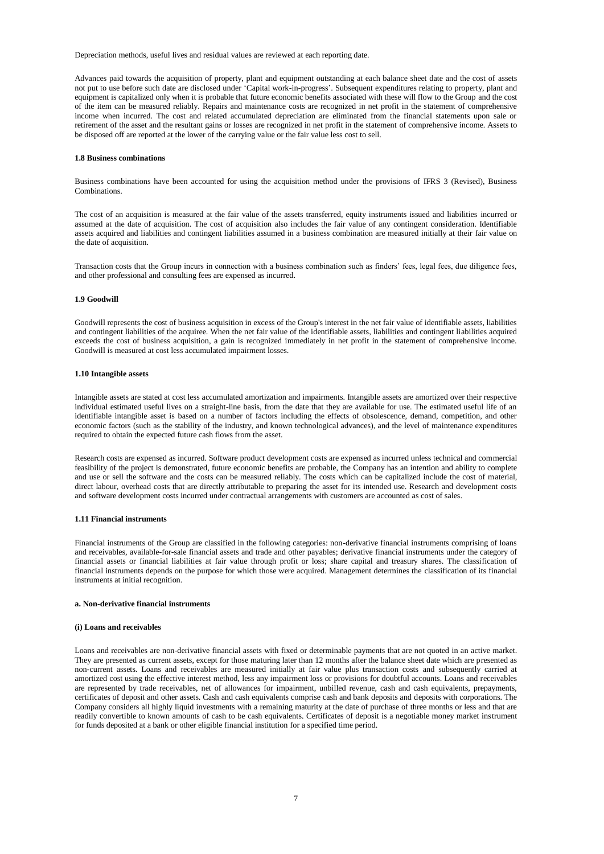Depreciation methods, useful lives and residual values are reviewed at each reporting date.

Advances paid towards the acquisition of property, plant and equipment outstanding at each balance sheet date and the cost of assets not put to use before such date are disclosed under ‗Capital work-in-progress'. Subsequent expenditures relating to property, plant and equipment is capitalized only when it is probable that future economic benefits associated with these will flow to the Group and the cost of the item can be measured reliably. Repairs and maintenance costs are recognized in net profit in the statement of comprehensive income when incurred. The cost and related accumulated depreciation are eliminated from the financial statements upon sale or retirement of the asset and the resultant gains or losses are recognized in net profit in the statement of comprehensive income. Assets to be disposed off are reported at the lower of the carrying value or the fair value less cost to sell.

#### **1.8 Business combinations**

Business combinations have been accounted for using the acquisition method under the provisions of IFRS 3 (Revised), Business Combinations.

The cost of an acquisition is measured at the fair value of the assets transferred, equity instruments issued and liabilities incurred or assumed at the date of acquisition. The cost of acquisition also includes the fair value of any contingent consideration. Identifiable assets acquired and liabilities and contingent liabilities assumed in a business combination are measured initially at their fair value on the date of acquisition.

Transaction costs that the Group incurs in connection with a business combination such as finders' fees, legal fees, due diligence fees, and other professional and consulting fees are expensed as incurred.

#### **1.9 Goodwill**

Goodwill represents the cost of business acquisition in excess of the Group's interest in the net fair value of identifiable assets, liabilities and contingent liabilities of the acquiree. When the net fair value of the identifiable assets, liabilities and contingent liabilities acquired exceeds the cost of business acquisition, a gain is recognized immediately in net profit in the statement of comprehensive income. Goodwill is measured at cost less accumulated impairment losses.

### **1.10 Intangible assets**

Intangible assets are stated at cost less accumulated amortization and impairments. Intangible assets are amortized over their respective individual estimated useful lives on a straight-line basis, from the date that they are available for use. The estimated useful life of an identifiable intangible asset is based on a number of factors including the effects of obsolescence, demand, competition, and other economic factors (such as the stability of the industry, and known technological advances), and the level of maintenance expenditures required to obtain the expected future cash flows from the asset.

Research costs are expensed as incurred. Software product development costs are expensed as incurred unless technical and commercial feasibility of the project is demonstrated, future economic benefits are probable, the Company has an intention and ability to complete and use or sell the software and the costs can be measured reliably. The costs which can be capitalized include the cost of material, direct labour, overhead costs that are directly attributable to preparing the asset for its intended use. Research and development costs and software development costs incurred under contractual arrangements with customers are accounted as cost of sales.

### **1.11 Financial instruments**

Financial instruments of the Group are classified in the following categories: non-derivative financial instruments comprising of loans and receivables, available-for-sale financial assets and trade and other payables; derivative financial instruments under the category of financial assets or financial liabilities at fair value through profit or loss; share capital and treasury shares. The classification of financial instruments depends on the purpose for which those were acquired. Management determines the classification of its financial instruments at initial recognition.

# **a. Non-derivative financial instruments**

## **(i) Loans and receivables**

Loans and receivables are non-derivative financial assets with fixed or determinable payments that are not quoted in an active market. They are presented as current assets, except for those maturing later than 12 months after the balance sheet date which are presented as non-current assets. Loans and receivables are measured initially at fair value plus transaction costs and subsequently carried at amortized cost using the effective interest method, less any impairment loss or provisions for doubtful accounts. Loans and receivables are represented by trade receivables, net of allowances for impairment, unbilled revenue, cash and cash equivalents, prepayments, certificates of deposit and other assets. Cash and cash equivalents comprise cash and bank deposits and deposits with corporations. The Company considers all highly liquid investments with a remaining maturity at the date of purchase of three months or less and that are readily convertible to known amounts of cash to be cash equivalents. Certificates of deposit is a negotiable money market instrument for funds deposited at a bank or other eligible financial institution for a specified time period.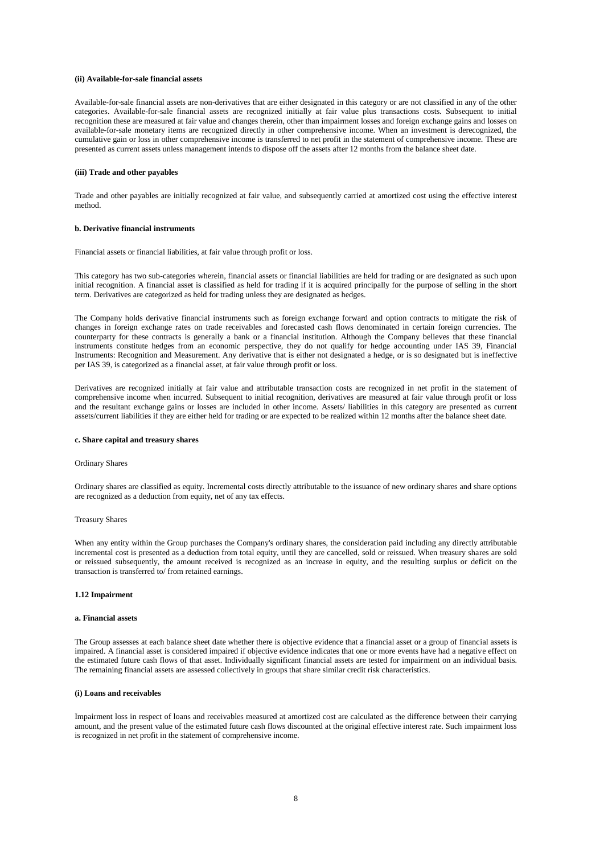#### **(ii) Available-for-sale financial assets**

Available-for-sale financial assets are non-derivatives that are either designated in this category or are not classified in any of the other categories. Available-for-sale financial assets are recognized initially at fair value plus transactions costs. Subsequent to initial recognition these are measured at fair value and changes therein, other than impairment losses and foreign exchange gains and losses on available-for-sale monetary items are recognized directly in other comprehensive income. When an investment is derecognized, the cumulative gain or loss in other comprehensive income is transferred to net profit in the statement of comprehensive income. These are presented as current assets unless management intends to dispose off the assets after 12 months from the balance sheet date.

### **(iii) Trade and other payables**

Trade and other payables are initially recognized at fair value, and subsequently carried at amortized cost using the effective interest method.

# **b. Derivative financial instruments**

Financial assets or financial liabilities, at fair value through profit or loss.

This category has two sub-categories wherein, financial assets or financial liabilities are held for trading or are designated as such upon initial recognition. A financial asset is classified as held for trading if it is acquired principally for the purpose of selling in the short term. Derivatives are categorized as held for trading unless they are designated as hedges.

The Company holds derivative financial instruments such as foreign exchange forward and option contracts to mitigate the risk of changes in foreign exchange rates on trade receivables and forecasted cash flows denominated in certain foreign currencies. The counterparty for these contracts is generally a bank or a financial institution. Although the Company believes that these financial instruments constitute hedges from an economic perspective, they do not qualify for hedge accounting under IAS 39, Financial Instruments: Recognition and Measurement. Any derivative that is either not designated a hedge, or is so designated but is ineffective per IAS 39, is categorized as a financial asset, at fair value through profit or loss.

Derivatives are recognized initially at fair value and attributable transaction costs are recognized in net profit in the statement of comprehensive income when incurred. Subsequent to initial recognition, derivatives are measured at fair value through profit or loss and the resultant exchange gains or losses are included in other income. Assets/ liabilities in this category are presented as current assets/current liabilities if they are either held for trading or are expected to be realized within 12 months after the balance sheet date.

### **c. Share capital and treasury shares**

#### Ordinary Shares

Ordinary shares are classified as equity. Incremental costs directly attributable to the issuance of new ordinary shares and share options are recognized as a deduction from equity, net of any tax effects.

#### Treasury Shares

When any entity within the Group purchases the Company's ordinary shares, the consideration paid including any directly attributable incremental cost is presented as a deduction from total equity, until they are cancelled, sold or reissued. When treasury shares are sold or reissued subsequently, the amount received is recognized as an increase in equity, and the resulting surplus or deficit on the transaction is transferred to/ from retained earnings.

# **1.12 Impairment**

## **a. Financial assets**

The Group assesses at each balance sheet date whether there is objective evidence that a financial asset or a group of financial assets is impaired. A financial asset is considered impaired if objective evidence indicates that one or more events have had a negative effect on the estimated future cash flows of that asset. Individually significant financial assets are tested for impairment on an individual basis. The remaining financial assets are assessed collectively in groups that share similar credit risk characteristics.

### **(i) Loans and receivables**

Impairment loss in respect of loans and receivables measured at amortized cost are calculated as the difference between their carrying amount, and the present value of the estimated future cash flows discounted at the original effective interest rate. Such impairment loss is recognized in net profit in the statement of comprehensive income.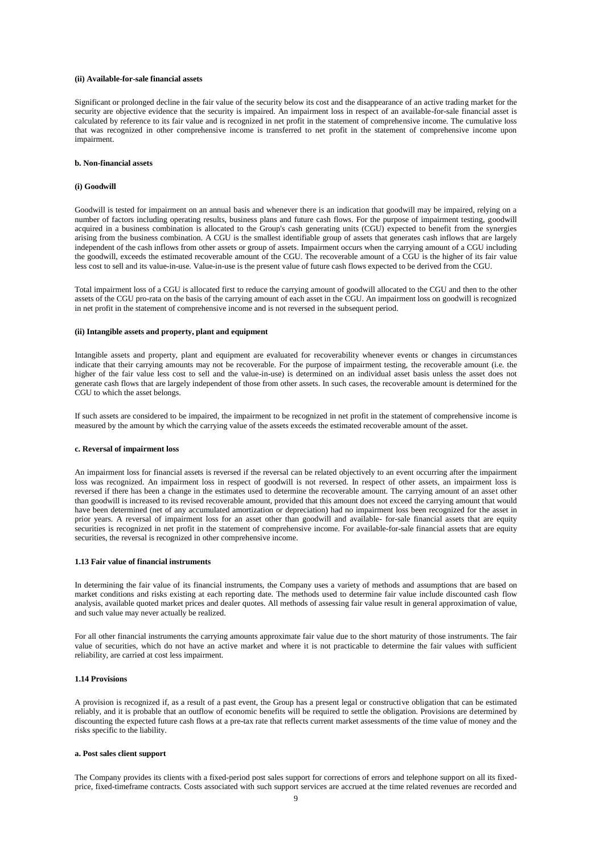#### **(ii) Available-for-sale financial assets**

Significant or prolonged decline in the fair value of the security below its cost and the disappearance of an active trading market for the security are objective evidence that the security is impaired. An impairment loss in respect of an available-for-sale financial asset is calculated by reference to its fair value and is recognized in net profit in the statement of comprehensive income. The cumulative loss that was recognized in other comprehensive income is transferred to net profit in the statement of comprehensive income upon impairment.

# **b. Non-financial assets**

#### **(i) Goodwill**

Goodwill is tested for impairment on an annual basis and whenever there is an indication that goodwill may be impaired, relying on a number of factors including operating results, business plans and future cash flows. For the purpose of impairment testing, goodwill acquired in a business combination is allocated to the Group's cash generating units (CGU) expected to benefit from the synergies arising from the business combination. A CGU is the smallest identifiable group of assets that generates cash inflows that are largely independent of the cash inflows from other assets or group of assets. Impairment occurs when the carrying amount of a CGU including the goodwill, exceeds the estimated recoverable amount of the CGU. The recoverable amount of a CGU is the higher of its fair value less cost to sell and its value-in-use. Value-in-use is the present value of future cash flows expected to be derived from the CGU.

Total impairment loss of a CGU is allocated first to reduce the carrying amount of goodwill allocated to the CGU and then to the other assets of the CGU pro-rata on the basis of the carrying amount of each asset in the CGU. An impairment loss on goodwill is recognized in net profit in the statement of comprehensive income and is not reversed in the subsequent period.

#### **(ii) Intangible assets and property, plant and equipment**

Intangible assets and property, plant and equipment are evaluated for recoverability whenever events or changes in circumstances indicate that their carrying amounts may not be recoverable. For the purpose of impairment testing, the recoverable amount (i.e. the higher of the fair value less cost to sell and the value-in-use) is determined on an individual asset basis unless the asset does not generate cash flows that are largely independent of those from other assets. In such cases, the recoverable amount is determined for the CGU to which the asset belongs.

If such assets are considered to be impaired, the impairment to be recognized in net profit in the statement of comprehensive income is measured by the amount by which the carrying value of the assets exceeds the estimated recoverable amount of the asset.

## **c. Reversal of impairment loss**

An impairment loss for financial assets is reversed if the reversal can be related objectively to an event occurring after the impairment loss was recognized. An impairment loss in respect of goodwill is not reversed. In respect of other assets, an impairment loss is reversed if there has been a change in the estimates used to determine the recoverable amount. The carrying amount of an asset other than goodwill is increased to its revised recoverable amount, provided that this amount does not exceed the carrying amount that would have been determined (net of any accumulated amortization or depreciation) had no impairment loss been recognized for the asset in prior years. A reversal of impairment loss for an asset other than goodwill and available- for-sale financial assets that are equity securities is recognized in net profit in the statement of comprehensive income. For available-for-sale financial assets that are equity securities, the reversal is recognized in other comprehensive income.

# **1.13 Fair value of financial instruments**

In determining the fair value of its financial instruments, the Company uses a variety of methods and assumptions that are based on market conditions and risks existing at each reporting date. The methods used to determine fair value include discounted cash flow analysis, available quoted market prices and dealer quotes. All methods of assessing fair value result in general approximation of value, and such value may never actually be realized.

For all other financial instruments the carrying amounts approximate fair value due to the short maturity of those instruments. The fair value of securities, which do not have an active market and where it is not practicable to determine the fair values with sufficient reliability, are carried at cost less impairment.

# **1.14 Provisions**

A provision is recognized if, as a result of a past event, the Group has a present legal or constructive obligation that can be estimated reliably, and it is probable that an outflow of economic benefits will be required to settle the obligation. Provisions are determined by discounting the expected future cash flows at a pre-tax rate that reflects current market assessments of the time value of money and the risks specific to the liability.

### **a. Post sales client support**

The Company provides its clients with a fixed-period post sales support for corrections of errors and telephone support on all its fixedprice, fixed-timeframe contracts. Costs associated with such support services are accrued at the time related revenues are recorded and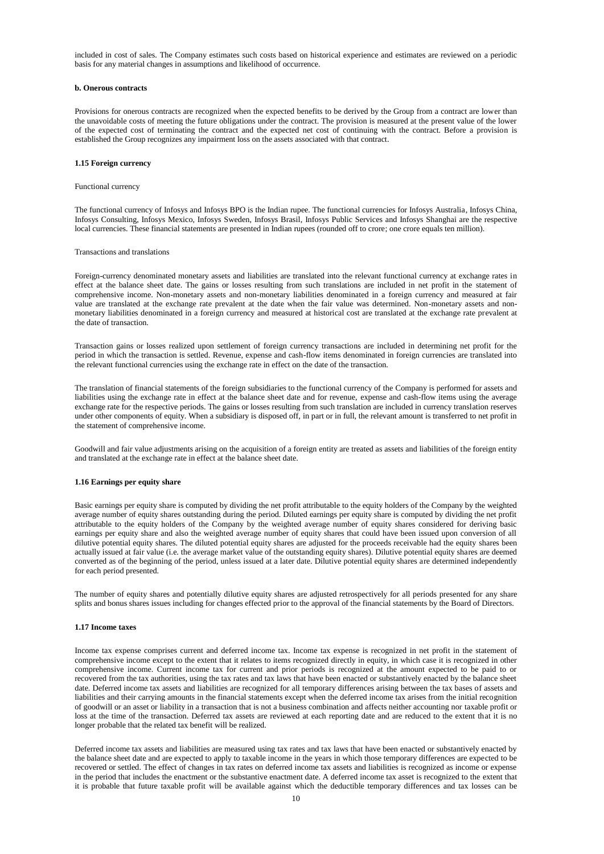included in cost of sales. The Company estimates such costs based on historical experience and estimates are reviewed on a periodic basis for any material changes in assumptions and likelihood of occurrence.

### **b. Onerous contracts**

Provisions for onerous contracts are recognized when the expected benefits to be derived by the Group from a contract are lower than the unavoidable costs of meeting the future obligations under the contract. The provision is measured at the present value of the lower of the expected cost of terminating the contract and the expected net cost of continuing with the contract. Before a provision is established the Group recognizes any impairment loss on the assets associated with that contract.

#### **1.15 Foreign currency**

#### Functional currency

The functional currency of Infosys and Infosys BPO is the Indian rupee. The functional currencies for Infosys Australia, Infosys China, Infosys Consulting, Infosys Mexico, Infosys Sweden, Infosys Brasil, Infosys Public Services and Infosys Shanghai are the respective local currencies. These financial statements are presented in Indian rupees (rounded off to crore; one crore equals ten million).

### Transactions and translations

Foreign-currency denominated monetary assets and liabilities are translated into the relevant functional currency at exchange rates in effect at the balance sheet date. The gains or losses resulting from such translations are included in net profit in the statement of comprehensive income. Non-monetary assets and non-monetary liabilities denominated in a foreign currency and measured at fair value are translated at the exchange rate prevalent at the date when the fair value was determined. Non-monetary assets and nonmonetary liabilities denominated in a foreign currency and measured at historical cost are translated at the exchange rate prevalent at the date of transaction.

Transaction gains or losses realized upon settlement of foreign currency transactions are included in determining net profit for the period in which the transaction is settled. Revenue, expense and cash-flow items denominated in foreign currencies are translated into the relevant functional currencies using the exchange rate in effect on the date of the transaction.

The translation of financial statements of the foreign subsidiaries to the functional currency of the Company is performed for assets and liabilities using the exchange rate in effect at the balance sheet date and for revenue, expense and cash-flow items using the average exchange rate for the respective periods. The gains or losses resulting from such translation are included in currency translation reserves under other components of equity. When a subsidiary is disposed off, in part or in full, the relevant amount is transferred to net profit in the statement of comprehensive income.

Goodwill and fair value adjustments arising on the acquisition of a foreign entity are treated as assets and liabilities of the foreign entity and translated at the exchange rate in effect at the balance sheet date.

### **1.16 Earnings per equity share**

Basic earnings per equity share is computed by dividing the net profit attributable to the equity holders of the Company by the weighted average number of equity shares outstanding during the period. Diluted earnings per equity share is computed by dividing the net profit attributable to the equity holders of the Company by the weighted average number of equity shares considered for deriving basic earnings per equity share and also the weighted average number of equity shares that could have been issued upon conversion of all dilutive potential equity shares. The diluted potential equity shares are adjusted for the proceeds receivable had the equity shares been actually issued at fair value (i.e. the average market value of the outstanding equity shares). Dilutive potential equity shares are deemed converted as of the beginning of the period, unless issued at a later date. Dilutive potential equity shares are determined independently for each period presented.

The number of equity shares and potentially dilutive equity shares are adjusted retrospectively for all periods presented for any share splits and bonus shares issues including for changes effected prior to the approval of the financial statements by the Board of Directors.

### **1.17 Income taxes**

Income tax expense comprises current and deferred income tax. Income tax expense is recognized in net profit in the statement of comprehensive income except to the extent that it relates to items recognized directly in equity, in which case it is recognized in other comprehensive income. Current income tax for current and prior periods is recognized at the amount expected to be paid to or recovered from the tax authorities, using the tax rates and tax laws that have been enacted or substantively enacted by the balance sheet date. Deferred income tax assets and liabilities are recognized for all temporary differences arising between the tax bases of assets and liabilities and their carrying amounts in the financial statements except when the deferred income tax arises from the initial recognition of goodwill or an asset or liability in a transaction that is not a business combination and affects neither accounting nor taxable profit or loss at the time of the transaction. Deferred tax assets are reviewed at each reporting date and are reduced to the extent that it is no longer probable that the related tax benefit will be realized.

Deferred income tax assets and liabilities are measured using tax rates and tax laws that have been enacted or substantively enacted by the balance sheet date and are expected to apply to taxable income in the years in which those temporary differences are expected to be recovered or settled. The effect of changes in tax rates on deferred income tax assets and liabilities is recognized as income or expense in the period that includes the enactment or the substantive enactment date. A deferred income tax asset is recognized to the extent that it is probable that future taxable profit will be available against which the deductible temporary differences and tax losses can be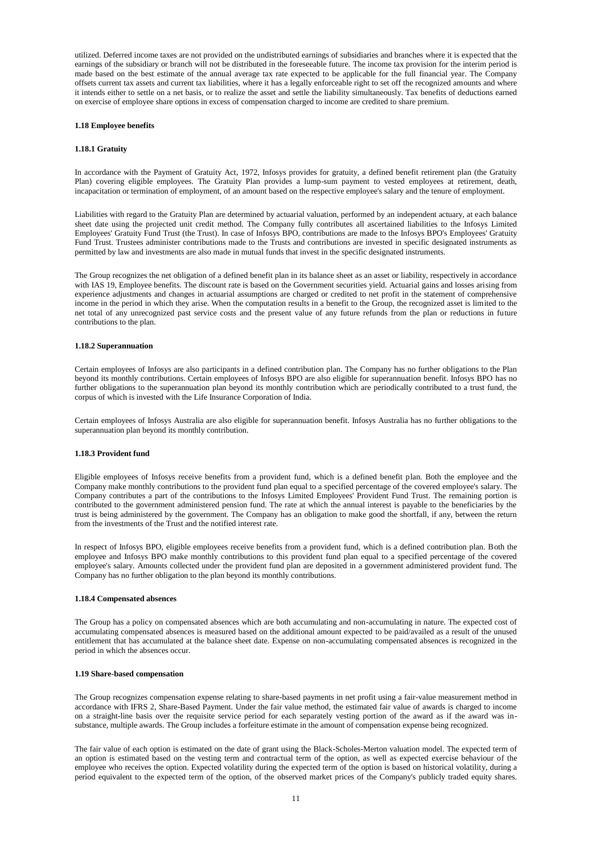utilized. Deferred income taxes are not provided on the undistributed earnings of subsidiaries and branches where it is expected that the earnings of the subsidiary or branch will not be distributed in the foreseeable future. The income tax provision for the interim period is made based on the best estimate of the annual average tax rate expected to be applicable for the full financial year. The Company offsets current tax assets and current tax liabilities, where it has a legally enforceable right to set off the recognized amounts and where it intends either to settle on a net basis, or to realize the asset and settle the liability simultaneously. Tax benefits of deductions earned on exercise of employee share options in excess of compensation charged to income are credited to share premium.

### **1.18 Employee benefits**

# **1.18.1 Gratuity**

In accordance with the Payment of Gratuity Act, 1972, Infosys provides for gratuity, a defined benefit retirement plan (the Gratuity Plan) covering eligible employees. The Gratuity Plan provides a lump-sum payment to vested employees at retirement, death, incapacitation or termination of employment, of an amount based on the respective employee's salary and the tenure of employment.

Liabilities with regard to the Gratuity Plan are determined by actuarial valuation, performed by an independent actuary, at each balance sheet date using the projected unit credit method. The Company fully contributes all ascertained liabilities to the Infosys Limited Employees' Gratuity Fund Trust (the Trust). In case of Infosys BPO, contributions are made to the Infosys BPO's Employees' Gratuity Fund Trust. Trustees administer contributions made to the Trusts and contributions are invested in specific designated instruments as permitted by law and investments are also made in mutual funds that invest in the specific designated instruments.

The Group recognizes the net obligation of a defined benefit plan in its balance sheet as an asset or liability, respectively in accordance with IAS 19, Employee benefits. The discount rate is based on the Government securities yield. Actuarial gains and losses arising from experience adjustments and changes in actuarial assumptions are charged or credited to net profit in the statement of comprehensive income in the period in which they arise. When the computation results in a benefit to the Group, the recognized asset is limited to the net total of any unrecognized past service costs and the present value of any future refunds from the plan or reductions in future contributions to the plan.

### **1.18.2 Superannuation**

Certain employees of Infosys are also participants in a defined contribution plan. The Company has no further obligations to the Plan beyond its monthly contributions. Certain employees of Infosys BPO are also eligible for superannuation benefit. Infosys BPO has no further obligations to the superannuation plan beyond its monthly contribution which are periodically contributed to a trust fund, the corpus of which is invested with the Life Insurance Corporation of India.

Certain employees of Infosys Australia are also eligible for superannuation benefit. Infosys Australia has no further obligations to the superannuation plan beyond its monthly contribution.

# **1.18.3 Provident fund**

Eligible employees of Infosys receive benefits from a provident fund, which is a defined benefit plan. Both the employee and the Company make monthly contributions to the provident fund plan equal to a specified percentage of the covered employee's salary. The Company contributes a part of the contributions to the Infosys Limited Employees' Provident Fund Trust. The remaining portion is contributed to the government administered pension fund. The rate at which the annual interest is payable to the beneficiaries by the trust is being administered by the government. The Company has an obligation to make good the shortfall, if any, between the return from the investments of the Trust and the notified interest rate.

In respect of Infosys BPO, eligible employees receive benefits from a provident fund, which is a defined contribution plan. Both the employee and Infosys BPO make monthly contributions to this provident fund plan equal to a specified percentage of the covered employee's salary. Amounts collected under the provident fund plan are deposited in a government administered provident fund. The Company has no further obligation to the plan beyond its monthly contributions.

### **1.18.4 Compensated absences**

The Group has a policy on compensated absences which are both accumulating and non-accumulating in nature. The expected cost of accumulating compensated absences is measured based on the additional amount expected to be paid/availed as a result of the unused entitlement that has accumulated at the balance sheet date. Expense on non-accumulating compensated absences is recognized in the period in which the absences occur.

## **1.19 Share-based compensation**

The Group recognizes compensation expense relating to share-based payments in net profit using a fair-value measurement method in accordance with IFRS 2, Share-Based Payment. Under the fair value method, the estimated fair value of awards is charged to income on a straight-line basis over the requisite service period for each separately vesting portion of the award as if the award was insubstance, multiple awards. The Group includes a forfeiture estimate in the amount of compensation expense being recognized.

The fair value of each option is estimated on the date of grant using the Black-Scholes-Merton valuation model. The expected term of an option is estimated based on the vesting term and contractual term of the option, as well as expected exercise behaviour of the employee who receives the option. Expected volatility during the expected term of the option is based on historical volatility, during a period equivalent to the expected term of the option, of the observed market prices of the Company's publicly traded equity shares.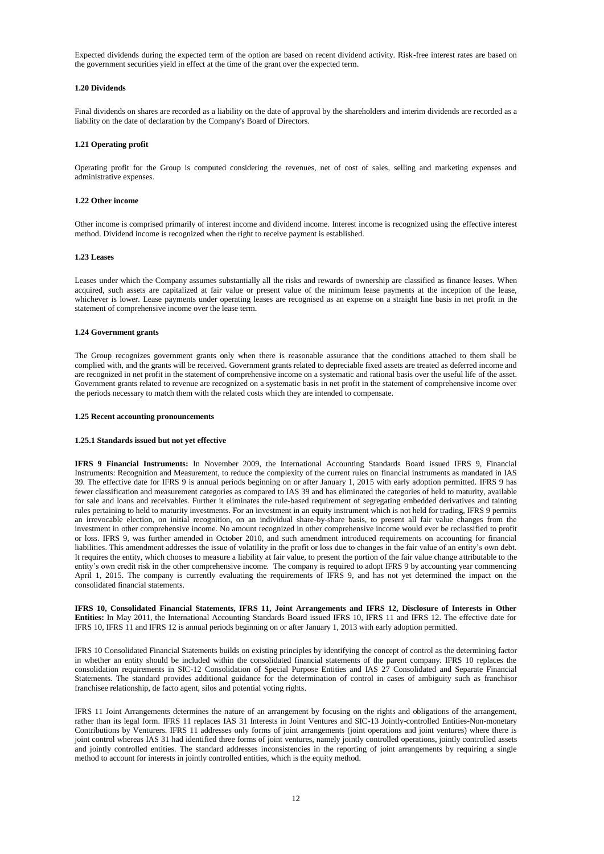Expected dividends during the expected term of the option are based on recent dividend activity. Risk-free interest rates are based on the government securities yield in effect at the time of the grant over the expected term.

### **1.20 Dividends**

Final dividends on shares are recorded as a liability on the date of approval by the shareholders and interim dividends are recorded as a liability on the date of declaration by the Company's Board of Directors.

### **1.21 Operating profit**

Operating profit for the Group is computed considering the revenues, net of cost of sales, selling and marketing expenses and administrative expenses.

#### **1.22 Other income**

Other income is comprised primarily of interest income and dividend income. Interest income is recognized using the effective interest method. Dividend income is recognized when the right to receive payment is established.

### **1.23 Leases**

Leases under which the Company assumes substantially all the risks and rewards of ownership are classified as finance leases. When acquired, such assets are capitalized at fair value or present value of the minimum lease payments at the inception of the lease, whichever is lower. Lease payments under operating leases are recognised as an expense on a straight line basis in net profit in the statement of comprehensive income over the lease term.

#### **1.24 Government grants**

The Group recognizes government grants only when there is reasonable assurance that the conditions attached to them shall be complied with, and the grants will be received. Government grants related to depreciable fixed assets are treated as deferred income and are recognized in net profit in the statement of comprehensive income on a systematic and rational basis over the useful life of the asset. Government grants related to revenue are recognized on a systematic basis in net profit in the statement of comprehensive income over the periods necessary to match them with the related costs which they are intended to compensate.

### **1.25 Recent accounting pronouncements**

### **1.25.1 Standards issued but not yet effective**

**IFRS 9 Financial Instruments:** In November 2009, the International Accounting Standards Board issued IFRS 9, Financial Instruments: Recognition and Measurement, to reduce the complexity of the current rules on financial instruments as mandated in IAS 39. The effective date for IFRS 9 is annual periods beginning on or after January 1, 2015 with early adoption permitted. IFRS 9 has fewer classification and measurement categories as compared to IAS 39 and has eliminated the categories of held to maturity, available for sale and loans and receivables. Further it eliminates the rule-based requirement of segregating embedded derivatives and tainting rules pertaining to held to maturity investments. For an investment in an equity instrument which is not held for trading, IFRS 9 permits an irrevocable election, on initial recognition, on an individual share-by-share basis, to present all fair value changes from the investment in other comprehensive income. No amount recognized in other comprehensive income would ever be reclassified to profit or loss. IFRS 9, was further amended in October 2010, and such amendment introduced requirements on accounting for financial liabilities. This amendment addresses the issue of volatility in the profit or loss due to changes in the fair value of an entity's own debt. It requires the entity, which chooses to measure a liability at fair value, to present the portion of the fair value change attributable to the entity's own credit risk in the other comprehensive income. The company is required to adopt IFRS 9 by accounting year commencing April 1, 2015. The company is currently evaluating the requirements of IFRS 9, and has not yet determined the impact on the consolidated financial statements.

**IFRS 10, Consolidated Financial Statements, IFRS 11, Joint Arrangements and IFRS 12, Disclosure of Interests in Other Entities:** In May 2011, the International Accounting Standards Board issued IFRS 10, IFRS 11 and IFRS 12. The effective date for IFRS 10, IFRS 11 and IFRS 12 is annual periods beginning on or after January 1, 2013 with early adoption permitted.

IFRS 10 Consolidated Financial Statements builds on existing principles by identifying the concept of control as the determining factor in whether an entity should be included within the consolidated financial statements of the parent company. IFRS 10 replaces the consolidation requirements in SIC-12 Consolidation of Special Purpose Entities and IAS 27 Consolidated and Separate Financial Statements. The standard provides additional guidance for the determination of control in cases of ambiguity such as franchisor franchisee relationship, de facto agent, silos and potential voting rights.

IFRS 11 Joint Arrangements determines the nature of an arrangement by focusing on the rights and obligations of the arrangement, rather than its legal form. IFRS 11 replaces IAS 31 Interests in Joint Ventures and SIC-13 Jointly-controlled Entities-Non-monetary Contributions by Venturers. IFRS 11 addresses only forms of joint arrangements (joint operations and joint ventures) where there is joint control whereas IAS 31 had identified three forms of joint ventures, namely jointly controlled operations, jointly controlled assets and jointly controlled entities. The standard addresses inconsistencies in the reporting of joint arrangements by requiring a single method to account for interests in jointly controlled entities, which is the equity method.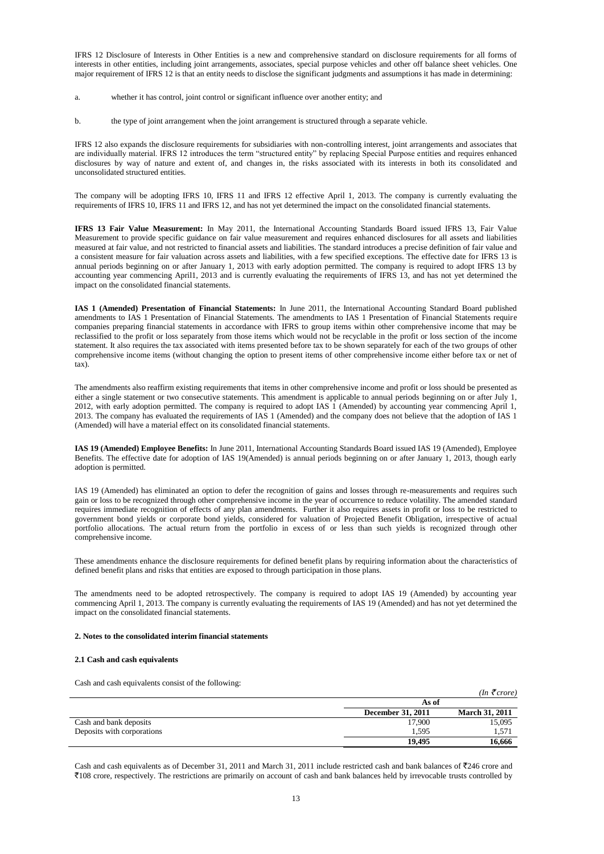IFRS 12 Disclosure of Interests in Other Entities is a new and comprehensive standard on disclosure requirements for all forms of interests in other entities, including joint arrangements, associates, special purpose vehicles and other off balance sheet vehicles. One major requirement of IFRS 12 is that an entity needs to disclose the significant judgments and assumptions it has made in determining:

- a. whether it has control, joint control or significant influence over another entity; and
- b. the type of joint arrangement when the joint arrangement is structured through a separate vehicle.

IFRS 12 also expands the disclosure requirements for subsidiaries with non-controlling interest, joint arrangements and associates that are individually material. IFRS 12 introduces the term "structured entity" by replacing Special Purpose entities and requires enhanced disclosures by way of nature and extent of, and changes in, the risks associated with its interests in both its consolidated and unconsolidated structured entities.

The company will be adopting IFRS 10, IFRS 11 and IFRS 12 effective April 1, 2013. The company is currently evaluating the requirements of IFRS 10, IFRS 11 and IFRS 12, and has not yet determined the impact on the consolidated financial statements.

**IFRS 13 Fair Value Measurement:** In May 2011, the International Accounting Standards Board issued IFRS 13, Fair Value Measurement to provide specific guidance on fair value measurement and requires enhanced disclosures for all assets and liabilities measured at fair value, and not restricted to financial assets and liabilities. The standard introduces a precise definition of fair value and a consistent measure for fair valuation across assets and liabilities, with a few specified exceptions. The effective date for IFRS 13 is annual periods beginning on or after January 1, 2013 with early adoption permitted. The company is required to adopt IFRS 13 by accounting year commencing April1, 2013 and is currently evaluating the requirements of IFRS 13, and has not yet determined the impact on the consolidated financial statements.

**IAS 1 (Amended) Presentation of Financial Statements:** In June 2011, the International Accounting Standard Board published amendments to IAS 1 Presentation of Financial Statements. The amendments to IAS 1 Presentation of Financial Statements require companies preparing financial statements in accordance with IFRS to group items within other comprehensive income that may be reclassified to the profit or loss separately from those items which would not be recyclable in the profit or loss section of the income statement. It also requires the tax associated with items presented before tax to be shown separately for each of the two groups of other comprehensive income items (without changing the option to present items of other comprehensive income either before tax or net of tax).

The amendments also reaffirm existing requirements that items in other comprehensive income and profit or loss should be presented as either a single statement or two consecutive statements. This amendment is applicable to annual periods beginning on or after July 1, 2012, with early adoption permitted. The company is required to adopt IAS 1 (Amended) by accounting year commencing April 1, 2013. The company has evaluated the requirements of IAS 1 (Amended) and the company does not believe that the adoption of IAS 1 (Amended) will have a material effect on its consolidated financial statements.

**IAS 19 (Amended) Employee Benefits:** In June 2011, International Accounting Standards Board issued IAS 19 (Amended), Employee Benefits. The effective date for adoption of IAS 19(Amended) is annual periods beginning on or after January 1, 2013, though early adoption is permitted.

IAS 19 (Amended) has eliminated an option to defer the recognition of gains and losses through re-measurements and requires such gain or loss to be recognized through other comprehensive income in the year of occurrence to reduce volatility. The amended standard requires immediate recognition of effects of any plan amendments. Further it also requires assets in profit or loss to be restricted to government bond yields or corporate bond yields, considered for valuation of Projected Benefit Obligation, irrespective of actual portfolio allocations. The actual return from the portfolio in excess of or less than such yields is recognized through other comprehensive income.

These amendments enhance the disclosure requirements for defined benefit plans by requiring information about the characteristics of defined benefit plans and risks that entities are exposed to through participation in those plans.

The amendments need to be adopted retrospectively. The company is required to adopt IAS 19 (Amended) by accounting year commencing April 1, 2013. The company is currently evaluating the requirements of IAS 19 (Amended) and has not yet determined the impact on the consolidated financial statements.

# **2. Notes to the consolidated interim financial statements**

# **2.1 Cash and cash equivalents**

Cash and cash equivalents consist of the following:

|                            |                   | $(In \mathcal{F}core)$ |
|----------------------------|-------------------|------------------------|
|                            | As of             |                        |
|                            | December 31, 2011 | <b>March 31, 2011</b>  |
| Cash and bank deposits     | 17.900            | 15,095                 |
| Deposits with corporations | 1.595             | 1,571                  |
|                            | 19.495            | 16.666                 |

Cash and cash equivalents as of December 31, 2011 and March 31, 2011 include restricted cash and bank balances of  $\overline{z}246$  crore and `108 crore, respectively. The restrictions are primarily on account of cash and bank balances held by irrevocable trusts controlled by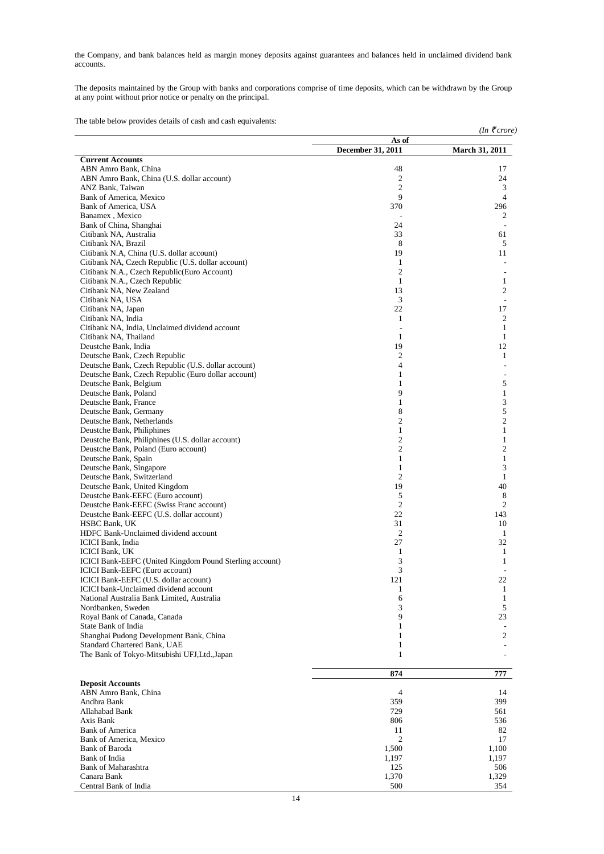the Company, and bank balances held as margin money deposits against guarantees and balances held in unclaimed dividend bank accounts.

The deposits maintained by the Group with banks and corporations comprise of time deposits, which can be withdrawn by the Group at any point without prior notice or penalty on the principal.

The table below provides details of cash and cash equivalents:

| The table below provides details of easil and easil equiv                                        |                                | (In $\bar{\tau}$ crore)      |
|--------------------------------------------------------------------------------------------------|--------------------------------|------------------------------|
|                                                                                                  | As of                          |                              |
| <b>Current Accounts</b>                                                                          | December 31, 2011              | <b>March 31, 2011</b>        |
| ABN Amro Bank, China                                                                             | 48                             | 17                           |
| ABN Amro Bank, China (U.S. dollar account)                                                       | 2                              | 24                           |
| ANZ Bank, Taiwan                                                                                 | 2                              | 3                            |
| Bank of America, Mexico                                                                          | 9                              | $\overline{4}$               |
| Bank of America, USA                                                                             | 370                            | 296                          |
| Banamex, Mexico<br>Bank of China, Shanghai                                                       | 24                             | 2<br>$\overline{a}$          |
| Citibank NA, Australia                                                                           | 33                             | 61                           |
| Citibank NA, Brazil                                                                              | 8                              | 5                            |
| Citibank N.A, China (U.S. dollar account)                                                        | 19                             | 11                           |
| Citibank NA, Czech Republic (U.S. dollar account)                                                | $\mathbf{1}$                   |                              |
| Citibank N.A., Czech Republic(Euro Account)                                                      | 2                              |                              |
| Citibank N.A., Czech Republic                                                                    | 1                              | 1                            |
| Citibank NA, New Zealand                                                                         | 13<br>3                        | 2<br>$\sim$                  |
| Citibank NA, USA<br>Citibank NA, Japan                                                           | 22                             | 17                           |
| Citibank NA, India                                                                               | 1                              | 2                            |
| Citibank NA, India, Unclaimed dividend account                                                   | $\overline{\phantom{a}}$       | 1                            |
| Citibank NA, Thailand                                                                            | 1                              | $\mathbf{1}$                 |
| Deustche Bank, India                                                                             | 19                             | 12                           |
| Deutsche Bank, Czech Republic                                                                    | 2                              | $\mathbf{1}$                 |
| Deutsche Bank, Czech Republic (U.S. dollar account)                                              | $\overline{4}$                 |                              |
| Deutsche Bank, Czech Republic (Euro dollar account)                                              | $\mathbf{1}$                   | ٠                            |
| Deutsche Bank, Belgium<br>Deutsche Bank, Poland                                                  | $\mathbf{1}$<br>9              | 5<br>1                       |
| Deutsche Bank, France                                                                            | $\mathbf{1}$                   | 3                            |
| Deutsche Bank, Germany                                                                           | 8                              | 5                            |
| Deutsche Bank, Netherlands                                                                       | $\mathfrak{2}$                 | 2                            |
| Deustche Bank, Philiphines                                                                       | $\mathbf{1}$                   | $\mathbf{1}$                 |
| Deustche Bank, Philiphines (U.S. dollar account)                                                 | 2                              | $\mathbf{1}$                 |
| Deustche Bank, Poland (Euro account)                                                             | 2                              | 2                            |
| Deutsche Bank, Spain                                                                             | $\mathbf{1}$                   | $\mathbf{1}$                 |
| Deutsche Bank, Singapore<br>Deutsche Bank, Switzerland                                           | $\mathbf{1}$<br>$\overline{2}$ | 3<br>1                       |
| Deutsche Bank, United Kingdom                                                                    | 19                             | 40                           |
| Deustche Bank-EEFC (Euro account)                                                                | 5                              | 8                            |
| Deustche Bank-EEFC (Swiss Franc account)                                                         | $\overline{c}$                 | $\mathfrak{2}$               |
| Deustche Bank-EEFC (U.S. dollar account)                                                         | 22                             | 143                          |
| HSBC Bank, UK                                                                                    | 31                             | 10                           |
| HDFC Bank-Unclaimed dividend account                                                             | $\overline{c}$                 | 1                            |
| <b>ICICI</b> Bank, India                                                                         | 27                             | 32                           |
| ICICI Bank, UK                                                                                   | $\mathbf{1}$<br>3              | $\mathbf{1}$<br>$\mathbf{1}$ |
| ICICI Bank-EEFC (United Kingdom Pound Sterling account)<br><b>ICICI Bank-EEFC</b> (Euro account) | 3                              |                              |
| ICICI Bank-EEFC (U.S. dollar account)                                                            | 121                            | 22                           |
| <b>ICICI</b> bank-Unclaimed dividend account                                                     | 1                              | 1                            |
| National Australia Bank Limited, Australia                                                       | 6                              | $\mathbf{1}$                 |
| Nordbanken, Sweden                                                                               | 3                              | 5                            |
| Royal Bank of Canada, Canada                                                                     | 9                              | 23                           |
| State Bank of India                                                                              | $\mathbf{1}$                   |                              |
| Shanghai Pudong Development Bank, China                                                          | 1                              | 2                            |
| Standard Chartered Bank, UAE<br>The Bank of Tokyo-Mitsubishi UFJ,Ltd.,Japan                      | $\mathbf{1}$<br>$\mathbf{1}$   |                              |
|                                                                                                  |                                |                              |
|                                                                                                  | 874                            | 777                          |
| <b>Deposit Accounts</b>                                                                          |                                |                              |
| ABN Amro Bank, China                                                                             | 4                              | 14                           |
| Andhra Bank                                                                                      | 359                            | 399                          |
| Allahabad Bank<br>Axis Bank                                                                      | 729<br>806                     | 561<br>536                   |
| <b>Bank of America</b>                                                                           | 11                             | 82                           |
| Bank of America, Mexico                                                                          | 2                              | 17                           |
| <b>Bank of Baroda</b>                                                                            | 1,500                          | 1,100                        |
| Bank of India                                                                                    | 1,197                          | 1,197                        |
| Bank of Maharashtra                                                                              | 125                            | 506                          |
| Canara Bank                                                                                      | 1,370                          | 1,329                        |
| Central Bank of India                                                                            | 500                            | 354                          |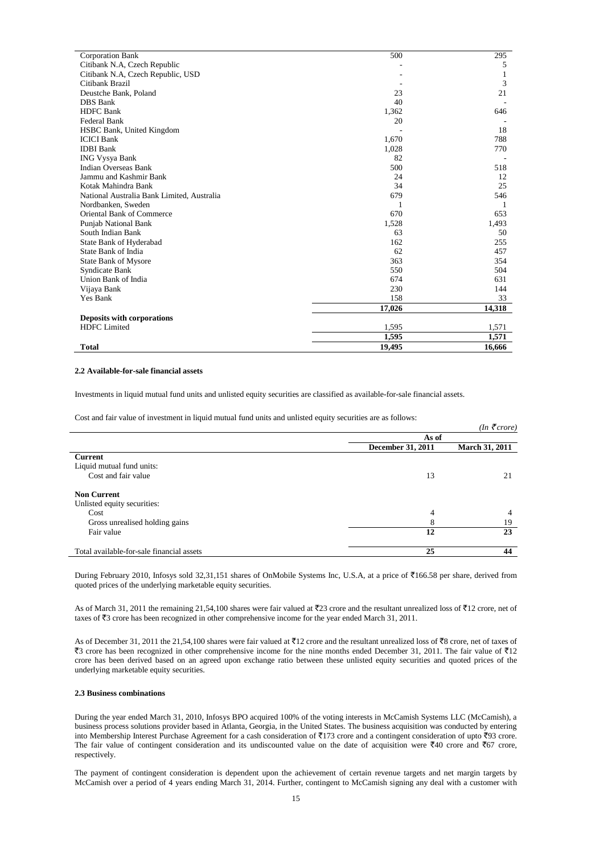| <b>Corporation Bank</b>                    | 500    | 295    |
|--------------------------------------------|--------|--------|
| Citibank N.A, Czech Republic               |        | 5      |
| Citibank N.A, Czech Republic, USD          |        | 1      |
| Citibank Brazil                            |        | 3      |
| Deustche Bank, Poland                      | 23     | 21     |
| <b>DBS</b> Bank                            | 40     |        |
| <b>HDFC</b> Bank                           | 1,362  | 646    |
| <b>Federal Bank</b>                        | 20     |        |
| HSBC Bank, United Kingdom                  |        | 18     |
| <b>ICICI</b> Bank                          | 1,670  | 788    |
| <b>IDBI</b> Bank                           | 1,028  | 770    |
| <b>ING Vysya Bank</b>                      | 82     |        |
| <b>Indian Overseas Bank</b>                | 500    | 518    |
| Jammu and Kashmir Bank                     | 24     | 12     |
| Kotak Mahindra Bank                        | 34     | 25     |
| National Australia Bank Limited, Australia | 679    | 546    |
| Nordbanken, Sweden                         | 1      | -1     |
| <b>Oriental Bank of Commerce</b>           | 670    | 653    |
| Punjab National Bank                       | 1,528  | 1,493  |
| South Indian Bank                          | 63     | 50     |
| State Bank of Hyderabad                    | 162    | 255    |
| State Bank of India                        | 62     | 457    |
| <b>State Bank of Mysore</b>                | 363    | 354    |
| Syndicate Bank                             | 550    | 504    |
| Union Bank of India                        | 674    | 631    |
| Vijaya Bank                                | 230    | 144    |
| Yes Bank                                   | 158    | 33     |
|                                            | 17,026 | 14,318 |
| Deposits with corporations                 |        |        |
| <b>HDFC</b> Limited                        | 1,595  | 1,571  |
|                                            | 1,595  | 1,571  |
| <b>Total</b>                               | 19,495 | 16.666 |

# **2.2 Available-for-sale financial assets**

Investments in liquid mutual fund units and unlisted equity securities are classified as available-for-sale financial assets.

Cost and fair value of investment in liquid mutual fund units and unlisted equity securities are as follows:

|                                           |                          | $(In \space \bar{\tau} \space core)$ |
|-------------------------------------------|--------------------------|--------------------------------------|
|                                           | As of                    |                                      |
|                                           | <b>December 31, 2011</b> | <b>March 31, 2011</b>                |
| <b>Current</b>                            |                          |                                      |
| Liquid mutual fund units:                 |                          |                                      |
| Cost and fair value                       | 13                       | 21                                   |
| <b>Non Current</b>                        |                          |                                      |
| Unlisted equity securities:               |                          |                                      |
| Cost                                      | 4                        | 4                                    |
| Gross unrealised holding gains            | 8                        | 19                                   |
| Fair value                                | 12                       | 23                                   |
| Total available-for-sale financial assets | 25                       | 44                                   |

During February 2010, Infosys sold 32,31,151 shares of OnMobile Systems Inc, U.S.A, at a price of ₹166.58 per share, derived from quoted prices of the underlying marketable equity securities.

As of March 31, 2011 the remaining 21,54,100 shares were fair valued at  $\overline{z}23$  crore and the resultant unrealized loss of  $\overline{z}12$  crore, net of taxes of  $\overline{5}3$  crore has been recognized in other comprehensive income for the year ended March 31, 2011.

As of December 31, 2011 the 21,54,100 shares were fair valued at  $\overline{3}12$  crore and the resultant unrealized loss of  $\overline{3}8$  crore, net of taxes of  $\overline{3}$  crore has been recognized in other comprehensive income for the nine months ended December 31, 2011. The fair value of  $\overline{3}12$ crore has been derived based on an agreed upon exchange ratio between these unlisted equity securities and quoted prices of the underlying marketable equity securities.

### **2.3 Business combinations**

During the year ended March 31, 2010, Infosys BPO acquired 100% of the voting interests in McCamish Systems LLC (McCamish), a business process solutions provider based in Atlanta, Georgia, in the United States. The business acquisition was conducted by entering into Membership Interest Purchase Agreement for a cash consideration of  $\overline{3}173$  crore and a contingent consideration of upto  $\overline{3}93$  crore. The fair value of contingent consideration and its undiscounted value on the date of acquisition were  $\bar{z}40$  crore and  $\bar{z}67$  crore, respectively.

The payment of contingent consideration is dependent upon the achievement of certain revenue targets and net margin targets by McCamish over a period of 4 years ending March 31, 2014. Further, contingent to McCamish signing any deal with a customer with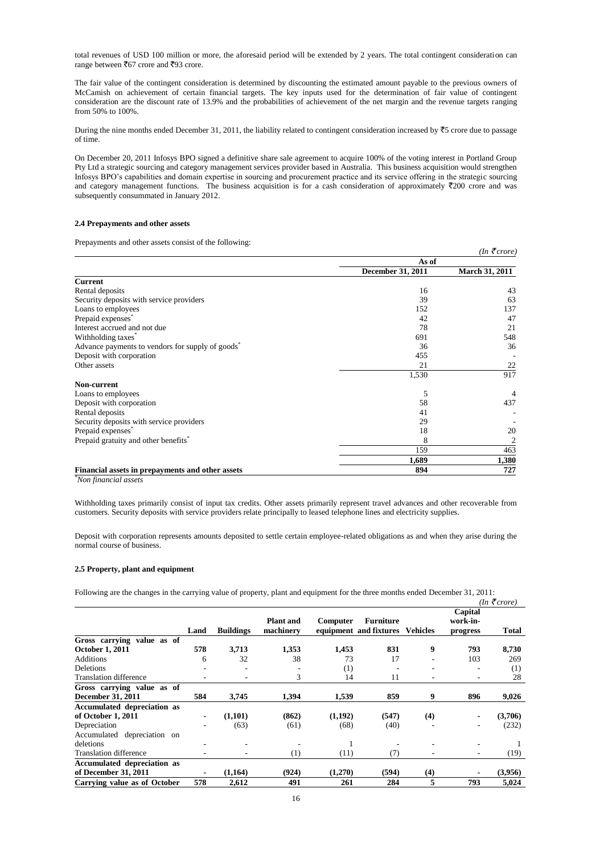total revenues of USD 100 million or more, the aforesaid period will be extended by 2 years. The total contingent consideration can range between ₹67 crore and ₹93 crore.

The fair value of the contingent consideration is determined by discounting the estimated amount payable to the previous owners of McCamish on achievement of certain financial targets. The key inputs used for the determination of fair value of contingent consideration are the discount rate of 13.9% and the probabilities of achievement of the net margin and the revenue targets ranging from 50% to 100%.

During the nine months ended December 31, 2011, the liability related to contingent consideration increased by  $\overline{5}$  crore due to passage of time.

On December 20, 2011 Infosys BPO signed a definitive share sale agreement to acquire 100% of the voting interest in Portland Group Pty Ltd a strategic sourcing and category management services provider based in Australia. This business acquisition would strengthen Infosys BPO's capabilities and domain expertise in sourcing and procurement practice and its service offering in the strategic sourcing and category management functions. The business acquisition is for a cash consideration of approximately  $\bar{\tau}$ 200 crore and was subsequently consummated in January 2012.

# **2.4 Prepayments and other assets**

Prepayments and other assets consist of the following:

|                                                                                                                                                                                                                                                                                                                                                                                                                                                                                                                                                                                 |                   | $(In \mathcal{F}core)$ |
|---------------------------------------------------------------------------------------------------------------------------------------------------------------------------------------------------------------------------------------------------------------------------------------------------------------------------------------------------------------------------------------------------------------------------------------------------------------------------------------------------------------------------------------------------------------------------------|-------------------|------------------------|
|                                                                                                                                                                                                                                                                                                                                                                                                                                                                                                                                                                                 | As of             |                        |
| <b>Current</b><br>Rental deposits<br>Security deposits with service providers<br>Loans to employees<br>Prepaid expenses <sup>*</sup><br>Interest accrued and not due<br>Withholding taxes <sup>*</sup><br>Advance payments to vendors for supply of goods <sup>*</sup><br>Deposit with corporation<br>Other assets<br>Non-current<br>Loans to employees<br>Deposit with corporation<br>Rental deposits<br>Security deposits with service providers<br>Prepaid expenses <sup>®</sup><br>Prepaid gratuity and other benefits"<br>Financial assets in prepayments and other assets | December 31, 2011 | <b>March 31, 2011</b>  |
|                                                                                                                                                                                                                                                                                                                                                                                                                                                                                                                                                                                 |                   |                        |
|                                                                                                                                                                                                                                                                                                                                                                                                                                                                                                                                                                                 | 16                | 43                     |
|                                                                                                                                                                                                                                                                                                                                                                                                                                                                                                                                                                                 | 39                | 63                     |
|                                                                                                                                                                                                                                                                                                                                                                                                                                                                                                                                                                                 | 152               | 137                    |
|                                                                                                                                                                                                                                                                                                                                                                                                                                                                                                                                                                                 | 42                | 47                     |
|                                                                                                                                                                                                                                                                                                                                                                                                                                                                                                                                                                                 | 78                | 21                     |
|                                                                                                                                                                                                                                                                                                                                                                                                                                                                                                                                                                                 | 691               | 548                    |
|                                                                                                                                                                                                                                                                                                                                                                                                                                                                                                                                                                                 | 36                | 36                     |
|                                                                                                                                                                                                                                                                                                                                                                                                                                                                                                                                                                                 | 455               |                        |
|                                                                                                                                                                                                                                                                                                                                                                                                                                                                                                                                                                                 | 21                | 22                     |
|                                                                                                                                                                                                                                                                                                                                                                                                                                                                                                                                                                                 | 1,530             | 917                    |
|                                                                                                                                                                                                                                                                                                                                                                                                                                                                                                                                                                                 |                   |                        |
|                                                                                                                                                                                                                                                                                                                                                                                                                                                                                                                                                                                 | 5                 | 4                      |
|                                                                                                                                                                                                                                                                                                                                                                                                                                                                                                                                                                                 | 58                | 437                    |
|                                                                                                                                                                                                                                                                                                                                                                                                                                                                                                                                                                                 | 41                |                        |
|                                                                                                                                                                                                                                                                                                                                                                                                                                                                                                                                                                                 | 29                |                        |
|                                                                                                                                                                                                                                                                                                                                                                                                                                                                                                                                                                                 | 18                | 20                     |
|                                                                                                                                                                                                                                                                                                                                                                                                                                                                                                                                                                                 | 8                 | $\overline{2}$         |
|                                                                                                                                                                                                                                                                                                                                                                                                                                                                                                                                                                                 | 159               | 463                    |
|                                                                                                                                                                                                                                                                                                                                                                                                                                                                                                                                                                                 | 1,689             | 1,380                  |
|                                                                                                                                                                                                                                                                                                                                                                                                                                                                                                                                                                                 | 894               | 727                    |

*\*Non financial assets*

Withholding taxes primarily consist of input tax credits. Other assets primarily represent travel advances and other recoverable from customers. Security deposits with service providers relate principally to leased telephone lines and electricity supplies.

Deposit with corporation represents amounts deposited to settle certain employee-related obligations as and when they arise during the normal course of business.

# **2.5 Property, plant and equipment**

Following are the changes in the carrying value of property, plant and equipment for the three months ended December 31, 2011:

|                                    |      |                  |                               |          |                                            |                 |                                 | (In ₹crore) |
|------------------------------------|------|------------------|-------------------------------|----------|--------------------------------------------|-----------------|---------------------------------|-------------|
|                                    | Land | <b>Buildings</b> | <b>Plant</b> and<br>machinery | Computer | <b>Furniture</b><br>equipment and fixtures | <b>Vehicles</b> | Capital<br>work-in-<br>progress | Total       |
| Gross carrying value as of         |      |                  |                               |          |                                            |                 |                                 |             |
| <b>October 1, 2011</b>             | 578  | 3,713            | 1,353                         | 1,453    | 831                                        | 9               | 793                             | 8,730       |
| Additions                          | 6    | 32               | 38                            | 73       | 17                                         |                 | 103                             | 269         |
| Deletions                          |      |                  |                               | (1)      |                                            |                 |                                 | (1)         |
| <b>Translation difference</b>      |      | ۰                | 3                             | 14       | 11                                         |                 | ۰                               | 28          |
| Gross carrying value as of         |      |                  |                               |          |                                            |                 |                                 |             |
| December 31, 2011                  | 584  | 3,745            | 1,394                         | 1,539    | 859                                        | 9               | 896                             | 9,026       |
| <b>Accumulated depreciation as</b> |      |                  |                               |          |                                            |                 |                                 |             |
| of October 1, 2011                 |      | (1,101)          | (862)                         | (1,192)  | (547)                                      | (4)             |                                 | (3,706)     |
| Depreciation                       |      | (63)             | (61)                          | (68)     | (40)                                       |                 |                                 | (232)       |
| Accumulated depreciation on        |      |                  |                               |          |                                            |                 |                                 |             |
| deletions                          |      |                  |                               |          |                                            |                 |                                 |             |
| <b>Translation difference</b>      |      |                  | (1)                           | (11)     | (7)                                        |                 | -                               | (19)        |
| <b>Accumulated depreciation as</b> |      |                  |                               |          |                                            |                 |                                 |             |
| of December 31, 2011               |      | (1,164)          | (924)                         | (1,270)  | (594)                                      | (4)             |                                 | (3,956)     |
| Carrying value as of October       | 578  | 2,612            | 491                           | 261      | 284                                        | 5               | 793                             | 5,024       |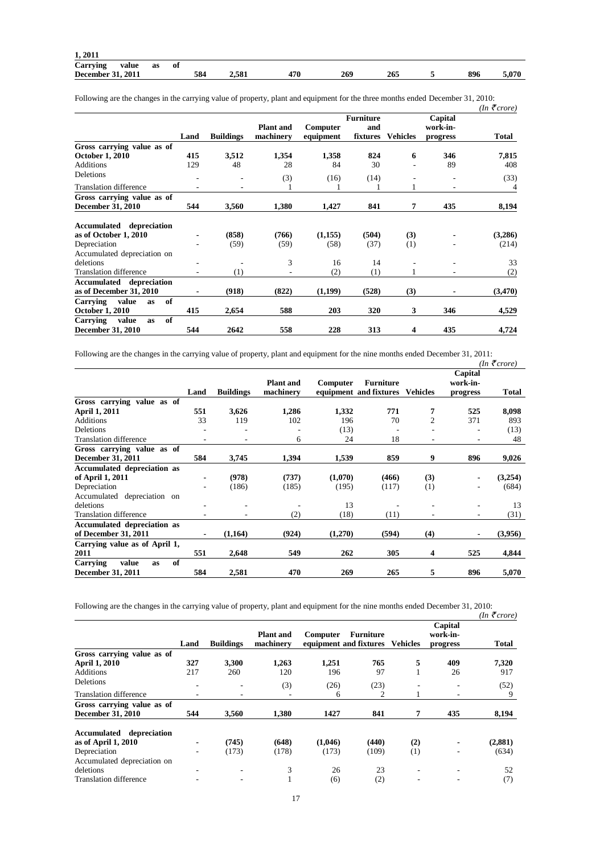| 1,2011             |            |    |    |     |       |     |     |     |     |       |
|--------------------|------------|----|----|-----|-------|-----|-----|-----|-----|-------|
| $\sim$<br>Carrying | value      | as | 0İ |     |       |     |     |     |     |       |
| December 3         | : 31, 2011 |    |    | 584 | 2.581 | 470 | 269 | 265 | 896 | 5.070 |

|  |  |  | Following are the changes in the carrying value of property, plant and equipment for the three months ended December 31, 2010: |
|--|--|--|--------------------------------------------------------------------------------------------------------------------------------|
|--|--|--|--------------------------------------------------------------------------------------------------------------------------------|

|                                                                |                |                  |                               |                       |                                     |                 |                                 | $(In \; \bar{\mathcal{F}} \, core)$ |
|----------------------------------------------------------------|----------------|------------------|-------------------------------|-----------------------|-------------------------------------|-----------------|---------------------------------|-------------------------------------|
|                                                                | Land           | <b>Buildings</b> | <b>Plant</b> and<br>machinery | Computer<br>equipment | <b>Furniture</b><br>and<br>fixtures | <b>Vehicles</b> | Capital<br>work-in-<br>progress | Total                               |
| Gross carrying value as of                                     |                |                  |                               |                       |                                     |                 |                                 |                                     |
| <b>October 1, 2010</b>                                         | 415            | 3,512            | 1,354                         | 1,358                 | 824                                 | 6               | 346                             | 7,815                               |
| <b>Additions</b>                                               | 129            | 48               | 28                            | 84                    | 30                                  | ۰               | 89                              | 408                                 |
| Deletions                                                      |                |                  | (3)                           | (16)                  | (14)                                |                 |                                 | (33)                                |
| <b>Translation difference</b>                                  | ٠              | ٠                | 1                             |                       |                                     |                 |                                 | 4                                   |
| Gross carrying value as of                                     |                |                  |                               |                       |                                     |                 |                                 |                                     |
| December 31, 2010                                              | 544            | 3,560            | 1,380                         | 1,427                 | 841                                 | 7               | 435                             | 8,194                               |
| Accumulated depreciation<br>as of October 1, 2010              |                | (858)            | (766)                         | (1, 155)              | (504)                               | (3)             |                                 | (3,286)                             |
| Depreciation                                                   |                | (59)             | (59)                          | (58)                  | (37)                                | (1)             |                                 | (214)                               |
| Accumulated depreciation on                                    |                |                  |                               |                       |                                     |                 |                                 |                                     |
| deletions                                                      |                |                  | 3                             | 16                    | 14                                  |                 |                                 | 33                                  |
| <b>Translation difference</b>                                  |                | (1)              | $\overline{\phantom{a}}$      | (2)                   | (1)                                 |                 |                                 | (2)                                 |
| Accumulated depreciation                                       |                |                  |                               |                       |                                     |                 |                                 |                                     |
| as of December 31, 2010                                        | $\blacksquare$ | (918)            | (822)                         | (1,199)               | (528)                               | (3)             |                                 | (3,470)                             |
| of<br><b>Carrying</b><br>value<br>as<br><b>October 1, 2010</b> | 415            | 2,654            | 588                           | 203                   | 320                                 | 3               | 346                             | 4,529                               |
| of<br>Carrying<br>value<br>as<br>December 31, 2010             | 544            | 2642             | 558                           | 228                   | 313                                 | 4               | 435                             | 4,724                               |

Following are the changes in the carrying value of property, plant and equipment for the nine months ended December 31, 2011:

*(In* ` *crore)*

|                                      | Land                     | <b>Buildings</b> | <b>Plant</b> and<br>machinery | Computer | <b>Furniture</b><br>equipment and fixtures | <b>Vehicles</b>          | Capital<br>work-in-<br>progress | <b>Total</b> |
|--------------------------------------|--------------------------|------------------|-------------------------------|----------|--------------------------------------------|--------------------------|---------------------------------|--------------|
| Gross carrying value as of           |                          |                  |                               |          |                                            |                          |                                 |              |
| <b>April 1, 2011</b>                 | 551                      | 3,626            | 1,286                         | 1,332    | 771                                        | 7                        | 525                             | 8,098        |
| <b>Additions</b>                     | 33                       | 119              | 102                           | 196      | 70                                         | $\overline{2}$           | 371                             | 893          |
| Deletions                            |                          |                  |                               | (13)     |                                            |                          |                                 | (13)         |
| <b>Translation difference</b>        |                          | ۰                | 6                             | 24       | 18                                         | $\overline{\phantom{a}}$ | $\overline{\phantom{a}}$        | 48           |
| Gross carrying value as of           |                          |                  |                               |          |                                            |                          |                                 |              |
| <b>December 31, 2011</b>             | 584                      | 3,745            | 1.394                         | 1,539    | 859                                        | 9                        | 896                             | 9,026        |
| Accumulated depreciation as          |                          |                  |                               |          |                                            |                          |                                 |              |
| of April 1, 2011                     |                          | (978)            | (737)                         | (1,070)  | (466)                                      | (3)                      |                                 | (3,254)      |
| Depreciation                         | $\overline{\phantom{a}}$ | (186)            | (185)                         | (195)    | (117)                                      | (1)                      | -                               | (684)        |
| Accumulated depreciation on          |                          |                  |                               |          |                                            |                          |                                 |              |
| deletions                            |                          | ۰                |                               | 13       |                                            |                          |                                 | 13           |
| <b>Translation difference</b>        |                          | ٠                | (2)                           | (18)     | (11)                                       |                          | ۰                               | (31)         |
| <b>Accumulated depreciation as</b>   |                          |                  |                               |          |                                            |                          |                                 |              |
| of December 31, 2011                 |                          | (1,164)          | (924)                         | (1,270)  | (594)                                      | (4)                      |                                 | (3,956)      |
| Carrying value as of April 1,        |                          |                  |                               |          |                                            |                          |                                 |              |
| 2011                                 | 551                      | 2,648            | 549                           | 262      | 305                                        | 4                        | 525                             | 4,844        |
| Carrying<br>of<br>value<br><b>as</b> |                          |                  |                               |          |                                            |                          |                                 |              |
| December 31, 2011                    | 584                      | 2,581            | 470                           | 269      | 265                                        | 5                        | 896                             | 5,070        |

Following are the changes in the carrying value of property, plant and equipment for the nine months ended December 31, 2010:  $(In \mathcal{F} \text{core})$ 

|                             |                |                  |                               |          |                                            |                 |                                 | 1111.1010107 |
|-----------------------------|----------------|------------------|-------------------------------|----------|--------------------------------------------|-----------------|---------------------------------|--------------|
|                             | Land           | <b>Buildings</b> | <b>Plant</b> and<br>machinery | Computer | <b>Furniture</b><br>equipment and fixtures | <b>Vehicles</b> | Capital<br>work-in-<br>progress | <b>Total</b> |
| Gross carrying value as of  |                |                  |                               |          |                                            |                 |                                 |              |
| <b>April 1, 2010</b>        | 327            | 3,300            | 1,263                         | 1,251    | 765                                        | 5               | 409                             | 7,320        |
| <b>Additions</b>            | 217            | 260              | 120                           | 196      | 97                                         |                 | 26                              | 917          |
| Deletions                   |                |                  | (3)                           | (26)     | (23)                                       |                 |                                 | (52)         |
| Translation difference      |                |                  | $\overline{\phantom{a}}$      | 6        | $\overline{c}$                             |                 |                                 | 9            |
| Gross carrying value as of  |                |                  |                               |          |                                            |                 |                                 |              |
| <b>December 31, 2010</b>    | 544            | 3.560            | 1,380                         | 1427     | 841                                        | 7               | 435                             | 8,194        |
| Accumulated depreciation    |                |                  |                               |          |                                            |                 |                                 |              |
| as of April 1, 2010         | $\blacksquare$ | (745)            | (648)                         | (1,046)  | (440)                                      | (2)             |                                 | (2,881)      |
| Depreciation                | ٠              | (173)            | (178)                         | (173)    | (109)                                      | (1)             |                                 | (634)        |
| Accumulated depreciation on |                |                  |                               |          |                                            |                 |                                 |              |
| deletions                   |                | ۰                | 3                             | 26       | 23                                         |                 |                                 | .52          |
| Translation difference      |                |                  | л.                            | (6)      | (2)                                        |                 |                                 | (7)          |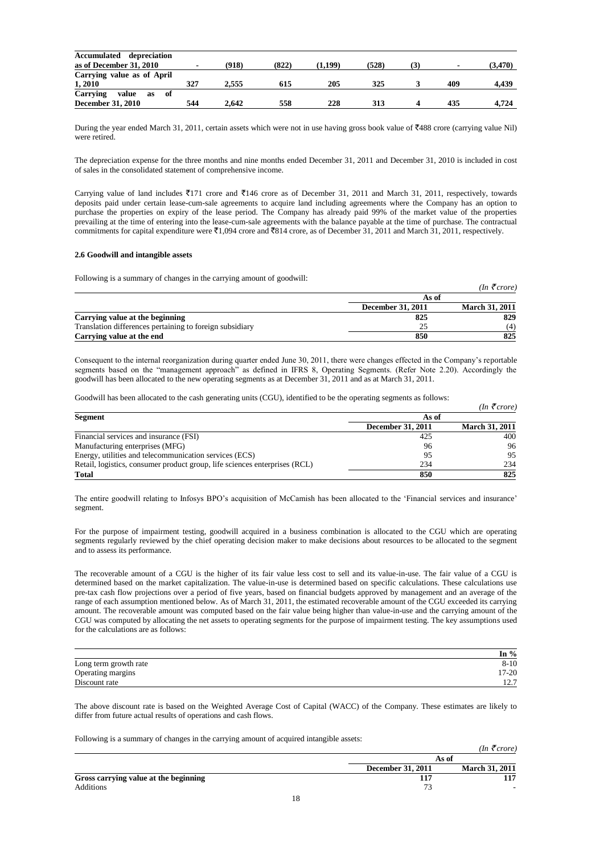| $\blacksquare$ | (918) | (822) | (1.199) | (528) | (3) | $\sim$ | (3.470) |
|----------------|-------|-------|---------|-------|-----|--------|---------|
|                |       |       |         |       |     |        |         |
| 327            | 2.555 | 615   | 205     | 325   |     | 409    | 4.439   |
|                |       |       |         |       |     |        |         |
| 544            | 2.642 | 558   | 228     | 313   |     | 435    | 4.724   |
|                |       |       |         |       |     |        |         |

During the year ended March 31, 2011, certain assets which were not in use having gross book value of ₹488 crore (carrying value Nil) were retired.

The depreciation expense for the three months and nine months ended December 31, 2011 and December 31, 2010 is included in cost of sales in the consolidated statement of comprehensive income.

Carrying value of land includes  $\bar{z}171$  crore and  $\bar{z}146$  crore as of December 31, 2011 and March 31, 2011, respectively, towards deposits paid under certain lease-cum-sale agreements to acquire land including agreements where the Company has an option to purchase the properties on expiry of the lease period. The Company has already paid 99% of the market value of the properties prevailing at the time of entering into the lease-cum-sale agreements with the balance payable at the time of purchase. The contractual commitments for capital expenditure were  $\overline{5}1,094$  crore and  $\overline{5}814$  crore, as of December 31, 2011 and March 31, 2011, respectively.

# **2.6 Goodwill and intangible assets**

Following is a summary of changes in the carrying amount of goodwill:

|                                                          |                   | $(In \space \bar{\tau} \space core)$ |
|----------------------------------------------------------|-------------------|--------------------------------------|
|                                                          | As of             |                                      |
|                                                          | December 31, 2011 | <b>March 31, 2011</b>                |
| Carrying value at the beginning                          | 825               | 829                                  |
| Translation differences pertaining to foreign subsidiary |                   | (4)                                  |
| Carrying value at the end                                | 850               | 825                                  |

Consequent to the internal reorganization during quarter ended June 30, 2011, there were changes effected in the Company's reportable segments based on the "management approach" as defined in IFRS 8, Operating Segments. (Refer Note 2.20). Accordingly the goodwill has been allocated to the new operating segments as at December 31, 2011 and as at March 31, 2011.

Goodwill has been allocated to the cash generating units (CGU), identified to be the operating segments as follows:

|                                                                            |                   | $(In \space \bar{\tau} \space core)$ |
|----------------------------------------------------------------------------|-------------------|--------------------------------------|
| <b>Segment</b>                                                             | As of             |                                      |
|                                                                            | December 31, 2011 | <b>March 31, 2011</b>                |
| Financial services and insurance (FSI)                                     | 425               | 400                                  |
| Manufacturing enterprises (MFG)                                            | 96                | 96                                   |
| Energy, utilities and telecommunication services (ECS)                     | 95                | 95                                   |
| Retail, logistics, consumer product group, life sciences enterprises (RCL) | 234               | 234                                  |
| <b>Total</b>                                                               | 850               | 825                                  |

The entire goodwill relating to Infosys BPO's acquisition of McCamish has been allocated to the 'Financial services and insurance' segment.

For the purpose of impairment testing, goodwill acquired in a business combination is allocated to the CGU which are operating segments regularly reviewed by the chief operating decision maker to make decisions about resources to be allocated to the segment and to assess its performance.

The recoverable amount of a CGU is the higher of its fair value less cost to sell and its value-in-use. The fair value of a CGU is determined based on the market capitalization. The value-in-use is determined based on specific calculations. These calculations use pre-tax cash flow projections over a period of five years, based on financial budgets approved by management and an average of the range of each assumption mentioned below. As of March 31, 2011, the estimated recoverable amount of the CGU exceeded its carrying amount. The recoverable amount was computed based on the fair value being higher than value-in-use and the carrying amount of the CGU was computed by allocating the net assets to operating segments for the purpose of impairment testing. The key assumptions used for the calculations are as follows:

|                       | In $%$      |
|-----------------------|-------------|
| Long term growth rate | $8-10$      |
| Operating margins     | 17-20       |
| Discount rate         | 127<br>14.I |

The above discount rate is based on the Weighted Average Cost of Capital (WACC) of the Company. These estimates are likely to differ from future actual results of operations and cash flows.

Following is a summary of changes in the carrying amount of acquired intangible assets:

|                                       |                          | $(In \mathcal{F}core)$ |
|---------------------------------------|--------------------------|------------------------|
|                                       |                          | As of                  |
|                                       | <b>December 31, 2011</b> | <b>March 31, 2011</b>  |
| Gross carrying value at the beginning |                          |                        |
| Additions                             | 73                       |                        |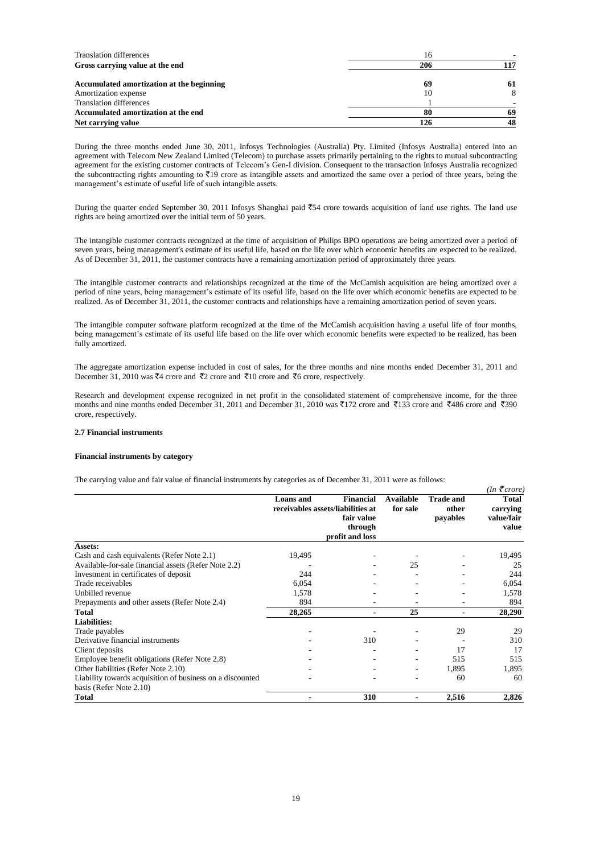| <b>Translation differences</b>            | 16  |     |
|-------------------------------------------|-----|-----|
| Gross carrying value at the end           | 206 | 117 |
| Accumulated amortization at the beginning | 69  | 61  |
| Amortization expense                      | 10  | 8   |
| <b>Translation differences</b>            |     |     |
| Accumulated amortization at the end       | 80  | 69  |
| Net carrying value                        | 126 | 48  |

During the three months ended June 30, 2011, Infosys Technologies (Australia) Pty. Limited (Infosys Australia) entered into an agreement with Telecom New Zealand Limited (Telecom) to purchase assets primarily pertaining to the rights to mutual subcontracting agreement for the existing customer contracts of Telecom's Gen-I division. Consequent to the transaction Infosys Australia recognized the subcontracting rights amounting to  $\bar{\tau}$ 19 crore as intangible assets and amortized the same over a period of three years, being the management's estimate of useful life of such intangible assets.

During the quarter ended September 30, 2011 Infosys Shanghai paid  $\overline{554}$  crore towards acquisition of land use rights. The land use rights are being amortized over the initial term of 50 years.

The intangible customer contracts recognized at the time of acquisition of Philips BPO operations are being amortized over a period of seven years, being management's estimate of its useful life, based on the life over which economic benefits are expected to be realized. As of December 31, 2011, the customer contracts have a remaining amortization period of approximately three years.

The intangible customer contracts and relationships recognized at the time of the McCamish acquisition are being amortized over a period of nine years, being management's estimate of its useful life, based on the life over which economic benefits are expected to be realized. As of December 31, 2011, the customer contracts and relationships have a remaining amortization period of seven years.

The intangible computer software platform recognized at the time of the McCamish acquisition having a useful life of four months, being management's estimate of its useful life based on the life over which economic benefits were expected to be realized, has been fully amortized.

The aggregate amortization expense included in cost of sales, for the three months and nine months ended December 31, 2011 and December 31, 2010 was ₹4 crore and ₹2 crore and ₹10 crore and ₹6 crore, respectively.

Research and development expense recognized in net profit in the consolidated statement of comprehensive income, for the three months and nine months ended December 31, 2011 and December 31, 2010 was ₹172 crore and ₹133 crore and ₹486 crore and ₹390 crore, respectively.

# **2.7 Financial instruments**

### **Financial instruments by category**

The carrying value and fair value of financial instruments by categories as of December 31, 2011 were as follows:

|                                                           |                  |                                                                                                   |                       |                                       | $(In \, \bar{\mathcal{F}}$ crore)               |
|-----------------------------------------------------------|------------------|---------------------------------------------------------------------------------------------------|-----------------------|---------------------------------------|-------------------------------------------------|
|                                                           | <b>Loans</b> and | <b>Financial</b><br>receivables assets/liabilities at<br>fair value<br>through<br>profit and loss | Available<br>for sale | <b>Trade and</b><br>other<br>payables | <b>Total</b><br>carrying<br>value/fair<br>value |
| Assets:                                                   |                  |                                                                                                   |                       |                                       |                                                 |
| Cash and cash equivalents (Refer Note 2.1)                | 19,495           |                                                                                                   |                       |                                       | 19,495                                          |
| Available-for-sale financial assets (Refer Note 2.2)      |                  |                                                                                                   | 25                    |                                       | 25                                              |
| Investment in certificates of deposit                     | 244              |                                                                                                   |                       |                                       | 244                                             |
| Trade receivables                                         | 6,054            |                                                                                                   |                       |                                       | 6,054                                           |
| Unbilled revenue                                          | 1,578            |                                                                                                   |                       |                                       | 1,578                                           |
| Prepayments and other assets (Refer Note 2.4)             | 894              |                                                                                                   |                       | ۰                                     | 894                                             |
| <b>Total</b>                                              | 28,265           |                                                                                                   | 25                    | $\blacksquare$                        | 28,290                                          |
| <b>Liabilities:</b>                                       |                  |                                                                                                   |                       |                                       |                                                 |
| Trade payables                                            |                  |                                                                                                   |                       | 29                                    | 29                                              |
| Derivative financial instruments                          |                  | 310                                                                                               |                       |                                       | 310                                             |
| Client deposits                                           |                  |                                                                                                   |                       | 17                                    | 17                                              |
| Employee benefit obligations (Refer Note 2.8)             |                  |                                                                                                   |                       | 515                                   | 515                                             |
| Other liabilities (Refer Note 2.10)                       |                  |                                                                                                   |                       | 1,895                                 | 1,895                                           |
| Liability towards acquisition of business on a discounted |                  |                                                                                                   |                       | 60                                    | 60                                              |
| basis (Refer Note 2.10)                                   |                  |                                                                                                   |                       |                                       |                                                 |
| <b>Total</b>                                              |                  | 310                                                                                               |                       | 2,516                                 | 2,826                                           |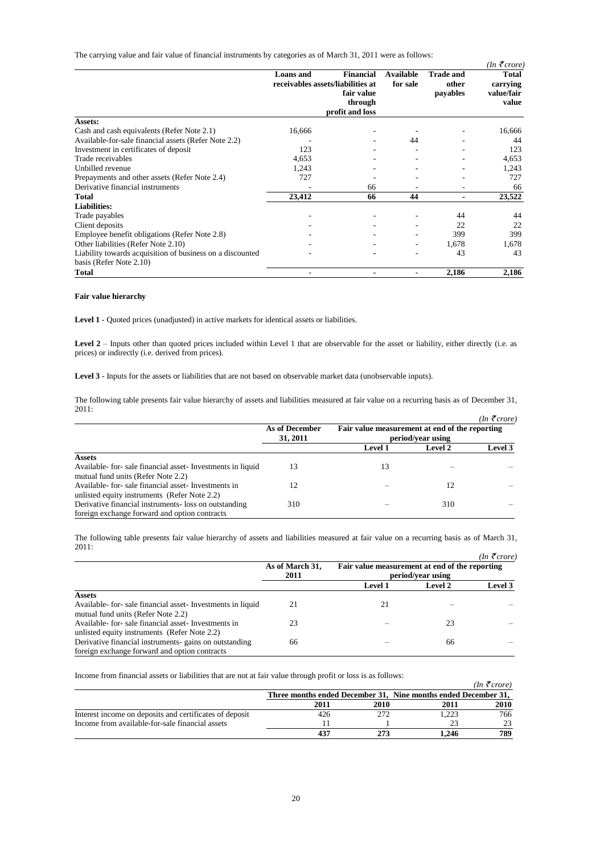The carrying value and fair value of financial instruments by categories as of March 31, 2011 were as follows:

| $\frac{1}{2}$ and the value of financial finite different $\sigma$ , early $\sigma$ and $\sigma$ is finite for $\sigma$ for $\sigma$ for $\sigma$ |                  |                                                                                            |                       |                                       | $(In \, \bar{\mathcal{F}}$ crore)               |
|---------------------------------------------------------------------------------------------------------------------------------------------------|------------------|--------------------------------------------------------------------------------------------|-----------------------|---------------------------------------|-------------------------------------------------|
|                                                                                                                                                   | <b>Loans</b> and | Financial<br>receivables assets/liabilities at<br>fair value<br>through<br>profit and loss | Available<br>for sale | <b>Trade and</b><br>other<br>payables | <b>Total</b><br>carrying<br>value/fair<br>value |
| Assets:                                                                                                                                           |                  |                                                                                            |                       |                                       |                                                 |
| Cash and cash equivalents (Refer Note 2.1)                                                                                                        | 16,666           |                                                                                            |                       |                                       | 16,666                                          |
| Available-for-sale financial assets (Refer Note 2.2)                                                                                              |                  |                                                                                            | 44                    |                                       | 44                                              |
| Investment in certificates of deposit                                                                                                             | 123              |                                                                                            |                       |                                       | 123                                             |
| Trade receivables                                                                                                                                 | 4,653            |                                                                                            |                       |                                       | 4,653                                           |
| Unbilled revenue                                                                                                                                  | 1,243            |                                                                                            |                       |                                       | 1,243                                           |
| Prepayments and other assets (Refer Note 2.4)                                                                                                     | 727              |                                                                                            |                       |                                       | 727                                             |
| Derivative financial instruments                                                                                                                  |                  | 66                                                                                         |                       |                                       | 66                                              |
| <b>Total</b>                                                                                                                                      | 23,412           | 66                                                                                         | 44                    |                                       | 23,522                                          |
| <b>Liabilities:</b>                                                                                                                               |                  |                                                                                            |                       |                                       |                                                 |
| Trade payables                                                                                                                                    |                  |                                                                                            |                       | 44                                    | 44                                              |
| Client deposits                                                                                                                                   |                  |                                                                                            |                       | 22                                    | 22                                              |
| Employee benefit obligations (Refer Note 2.8)                                                                                                     |                  |                                                                                            |                       | 399                                   | 399                                             |
| Other liabilities (Refer Note 2.10)                                                                                                               |                  |                                                                                            | -                     | 1,678                                 | 1,678                                           |
| Liability towards acquisition of business on a discounted                                                                                         |                  |                                                                                            |                       | 43                                    | 43                                              |
| basis (Refer Note 2.10)                                                                                                                           |                  |                                                                                            |                       |                                       |                                                 |
| <b>Total</b>                                                                                                                                      |                  |                                                                                            | -                     | 2,186                                 | 2,186                                           |

# **Fair value hierarchy**

**Level 1** - Quoted prices (unadjusted) in active markets for identical assets or liabilities.

Level 2 – Inputs other than quoted prices included within Level 1 that are observable for the asset or liability, either directly (i.e. as prices) or indirectly (i.e. derived from prices).

**Level 3** - Inputs for the assets or liabilities that are not based on observable market data (unobservable inputs).

The following table presents fair value hierarchy of assets and liabilities measured at fair value on a recurring basis as of December 31, 2011:  $\overline{U}$ <sup>*r*</sup>

|                                                             |                            |                                                |                   | (In <b>&lt;</b> crore) |
|-------------------------------------------------------------|----------------------------|------------------------------------------------|-------------------|------------------------|
|                                                             | As of December<br>31, 2011 | Fair value measurement at end of the reporting | period/year using |                        |
|                                                             |                            | <b>Level 1</b>                                 | <b>Level 2</b>    | Level 3                |
| <b>Assets</b>                                               |                            |                                                |                   |                        |
| Available- for- sale financial asset- Investments in liquid | 13                         | 13                                             |                   |                        |
| mutual fund units (Refer Note 2.2)                          |                            |                                                |                   |                        |
| Available- for- sale financial asset- Investments in        | 12                         |                                                | 12                |                        |
| unlisted equity instruments (Refer Note 2.2)                |                            |                                                |                   |                        |
| Derivative financial instruments- loss on outstanding       | 310                        |                                                | 310               |                        |
| foreign exchange forward and option contracts               |                            |                                                |                   |                        |

The following table presents fair value hierarchy of assets and liabilities measured at fair value on a recurring basis as of March 31, 2011:

|                                                             |                         |                                                |                   | $(In \, \bar{\mathcal{F}}$ crore) |
|-------------------------------------------------------------|-------------------------|------------------------------------------------|-------------------|-----------------------------------|
|                                                             | As of March 31,<br>2011 | Fair value measurement at end of the reporting | period/year using |                                   |
|                                                             |                         | <b>Level 1</b>                                 | <b>Level 2</b>    | Level 3                           |
| <b>Assets</b>                                               |                         |                                                |                   |                                   |
| Available- for- sale financial asset- Investments in liquid | 21                      | 21                                             |                   |                                   |
| mutual fund units (Refer Note 2.2)                          |                         |                                                |                   |                                   |
| Available- for- sale financial asset-Investments in         | 23                      |                                                | 23                |                                   |
| unlisted equity instruments (Refer Note 2.2)                |                         |                                                |                   |                                   |
| Derivative financial instruments- gains on outstanding      | 66                      |                                                | 66                |                                   |
| foreign exchange forward and option contracts               |                         |                                                |                   |                                   |

Income from financial assets or liabilities that are not at fair value through profit or loss is as follows:

|                                                         |                                                                |      |       | $(In \mathcal{F}core)$ |
|---------------------------------------------------------|----------------------------------------------------------------|------|-------|------------------------|
|                                                         | Three months ended December 31, Nine months ended December 31, |      |       |                        |
|                                                         | 2011                                                           | 2010 | 2011  | 2010                   |
| Interest income on deposits and certificates of deposit | 426                                                            | 272  | .223  | 766                    |
| Income from available-for-sale financial assets         |                                                                |      |       | 23                     |
|                                                         | 437                                                            | 273  | 1.246 | 789                    |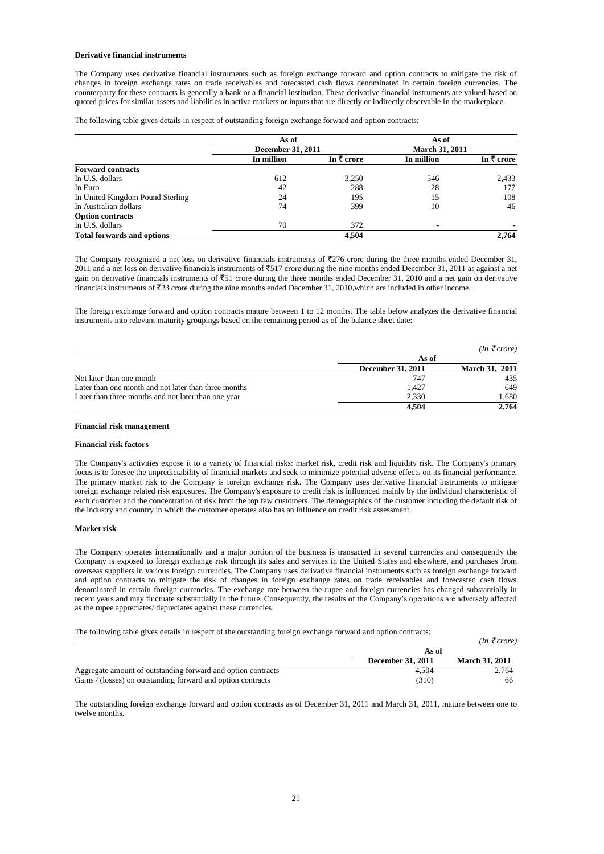# **Derivative financial instruments**

The Company uses derivative financial instruments such as foreign exchange forward and option contracts to mitigate the risk of changes in foreign exchange rates on trade receivables and forecasted cash flows denominated in certain foreign currencies. The counterparty for these contracts is generally a bank or a financial institution. These derivative financial instruments are valued based on quoted prices for similar assets and liabilities in active markets or inputs that are directly or indirectly observable in the marketplace.

The following table gives details in respect of outstanding foreign exchange forward and option contracts:

|                                   | As of             |                       | As of                 |                       |
|-----------------------------------|-------------------|-----------------------|-----------------------|-----------------------|
|                                   | December 31, 2011 |                       | <b>March 31, 2011</b> |                       |
|                                   | In million        | In $\bar{\tau}$ crore | In million            | In $\bar{\tau}$ crore |
| <b>Forward contracts</b>          |                   |                       |                       |                       |
| In U.S. dollars                   | 612               | 3,250                 | 546                   | 2,433                 |
| In Euro                           | 42                | 288                   | 28                    | 177                   |
| In United Kingdom Pound Sterling  | 24                | 195                   | 15                    | 108                   |
| In Australian dollars             | 74                | 399                   | 10                    | 46                    |
| <b>Option contracts</b>           |                   |                       |                       |                       |
| In U.S. dollars                   | 70                | 372                   | -                     |                       |
| <b>Total forwards and options</b> |                   | 4.504                 |                       | 2,764                 |

The Company recognized a net loss on derivative financials instruments of  $\overline{2776}$  crore during the three months ended December 31, 2011 and a net loss on derivative financials instruments of  $\overline{5}517$  crore during the nine months ended December 31, 2011 as against a net gain on derivative financials instruments of  $\overline{5}51$  crore during the three months ended December 31, 2010 and a net gain on derivative financials instruments of  $\bar{\tau}$ 23 crore during the nine months ended December 31, 2010, which are included in other income.

The foreign exchange forward and option contracts mature between 1 to 12 months. The table below analyzes the derivative financial instruments into relevant maturity groupings based on the remaining period as of the balance sheet date:

|                                                      |                   | $(In \mathcal{F}core)$ |  |  |  |
|------------------------------------------------------|-------------------|------------------------|--|--|--|
|                                                      | As of             |                        |  |  |  |
|                                                      | December 31, 2011 | <b>March 31, 2011</b>  |  |  |  |
| Not later than one month                             | 747               | 435                    |  |  |  |
| Later than one month and not later than three months | 1.427             | 649                    |  |  |  |
| Later than three months and not later than one year  | 2.330             | 1.680                  |  |  |  |
|                                                      | 4.504             | 2.764                  |  |  |  |

### **Financial risk management**

#### **Financial risk factors**

The Company's activities expose it to a variety of financial risks: market risk, credit risk and liquidity risk. The Company's primary focus is to foresee the unpredictability of financial markets and seek to minimize potential adverse effects on its financial performance. The primary market risk to the Company is foreign exchange risk. The Company uses derivative financial instruments to mitigate foreign exchange related risk exposures. The Company's exposure to credit risk is influenced mainly by the individual characteristic of each customer and the concentration of risk from the top few customers. The demographics of the customer including the default risk of the industry and country in which the customer operates also has an influence on credit risk assessment.

### **Market risk**

The Company operates internationally and a major portion of the business is transacted in several currencies and consequently the Company is exposed to foreign exchange risk through its sales and services in the United States and elsewhere, and purchases from overseas suppliers in various foreign currencies. The Company uses derivative financial instruments such as foreign exchange forward and option contracts to mitigate the risk of changes in foreign exchange rates on trade receivables and forecasted cash flows denominated in certain foreign currencies. The exchange rate between the rupee and foreign currencies has changed substantially in recent years and may fluctuate substantially in the future. Consequently, the results of the Company's operations are adversely affected as the rupee appreciates/ depreciates against these currencies.

The following table gives details in respect of the outstanding foreign exchange forward and option contracts:

|                                                              |                          | $(In \, \bar{\mathcal{F}}$ crore) |
|--------------------------------------------------------------|--------------------------|-----------------------------------|
|                                                              | As of                    |                                   |
|                                                              | <b>December 31, 2011</b> | <b>March 31, 2011</b>             |
| Aggregate amount of outstanding forward and option contracts | 4.504                    | 2.764                             |
| Gains / (losses) on outstanding forward and option contracts | (310)                    | 66                                |

The outstanding foreign exchange forward and option contracts as of December 31, 2011 and March 31, 2011, mature between one to twelve months.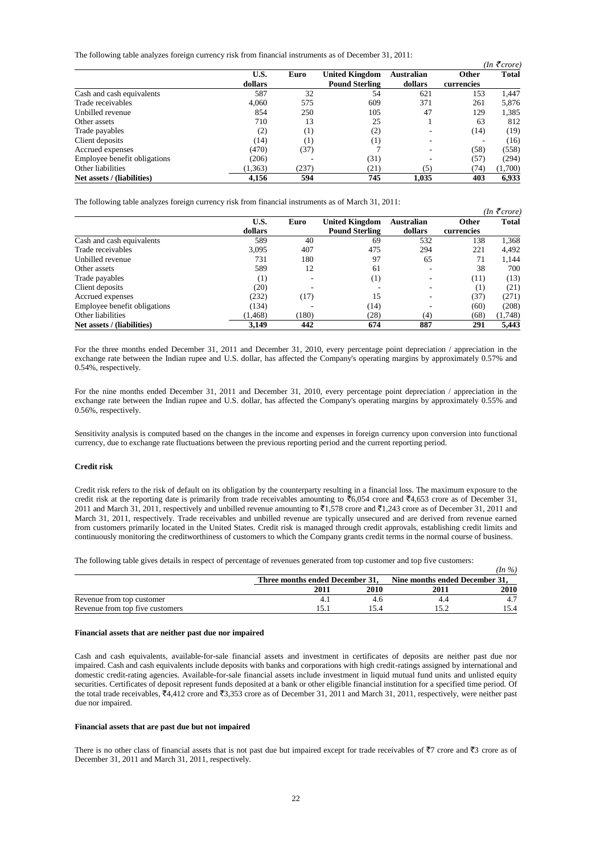|  |  | The following table analyzes foreign currency risk from financial instruments as of December 31, 2011: |  |
|--|--|--------------------------------------------------------------------------------------------------------|--|
|--|--|--------------------------------------------------------------------------------------------------------|--|

|                              |         |                  |                       |            |            | $(In \, \bar{\mathcal{F}}$ crore) |
|------------------------------|---------|------------------|-----------------------|------------|------------|-----------------------------------|
|                              | U.S.    | Euro             | <b>United Kingdom</b> | Australian | Other      | <b>Total</b>                      |
|                              | dollars |                  | <b>Pound Sterling</b> | dollars    | currencies |                                   |
| Cash and cash equivalents    | 587     | 32               | 54                    | 621        | 153        | 1,447                             |
| Trade receivables            | 4.060   | 575              | 609                   | 371        | 261        | 5,876                             |
| Unbilled revenue             | 854     | 250              | 105                   | 47         | 129        | 1,385                             |
| Other assets                 | 710     | 13               | 25                    |            | 63         | 812                               |
| Trade payables               | (2)     | $\left(1\right)$ | (2)                   |            | (14)       | (19)                              |
| Client deposits              | (14)    | (1)              | $^{(1)}$              | -          | ۰          | (16)                              |
| Accrued expenses             | (470)   | (37)             |                       |            | (58)       | (558)                             |
| Employee benefit obligations | (206)   |                  | (31)                  |            | (57)       | (294)                             |
| Other liabilities            | (1,363) | (237)            | (21)                  | (5)        | (74)       | (1,700)                           |
| Net assets / (liabilities)   | 4,156   | 594              | 745                   | 1.035      | 403        | 6,933                             |

The following table analyzes foreign currency risk from financial instruments as of March 31, 2011:

|                              |          |       |                       |            |            | In s crore)  |
|------------------------------|----------|-------|-----------------------|------------|------------|--------------|
|                              | U.S.     | Euro  | <b>United Kingdom</b> | Australian | Other      | <b>Total</b> |
|                              | dollars  |       | <b>Pound Sterling</b> | dollars    | currencies |              |
| Cash and cash equivalents    | 589      | 40    | 69                    | 532        | 138        | 1,368        |
| Trade receivables            | 3.095    | 407   | 475                   | 294        | 221        | 4,492        |
| Unbilled revenue             | 731      | 180   | 97                    | 65         | 71         | 1.144        |
| Other assets                 | 589      | 12    | 61                    |            | 38         | 700          |
| Trade payables               | (1)      |       | $\left(1\right)$      | ۰          | (11)       | (13)         |
| Client deposits              | (20)     |       |                       |            | (1)        | (21)         |
| Accrued expenses             | (232)    | (17)  | 15                    | ۰          | (37)       | (271)        |
| Employee benefit obligations | (134)    |       | (14)                  |            | (60)       | (208)        |
| Other liabilities            | (1, 468) | (180) | (28)                  | (4)        | (68)       | (1,748)      |
| Net assets / (liabilities)   | 3.149    | 442   | 674                   | 887        | 291        | 5,443        |

 $\overline{U}$  **F**  $\overline{V}$ 

For the three months ended December 31, 2011 and December 31, 2010, every percentage point depreciation / appreciation in the exchange rate between the Indian rupee and U.S. dollar, has affected the Company's operating margins by approximately 0.57% and 0.54%, respectively.

For the nine months ended December 31, 2011 and December 31, 2010, every percentage point depreciation / appreciation in the exchange rate between the Indian rupee and U.S. dollar, has affected the Company's operating margins by approximately 0.55% and 0.56%, respectively.

Sensitivity analysis is computed based on the changes in the income and expenses in foreign currency upon conversion into functional currency, due to exchange rate fluctuations between the previous reporting period and the current reporting period.

### **Credit risk**

Credit risk refers to the risk of default on its obligation by the counterparty resulting in a financial loss. The maximum exposure to the credit risk at the reporting date is primarily from trade receivables amounting to  $\overline{6}6,054$  crore and  $\overline{6}4,653$  crore as of December 31, 2011 and March 31, 2011, respectively and unbilled revenue amounting to  $\bar{\mathfrak{e}}1,578$  crore and  $\bar{\mathfrak{e}}1,243$  crore as of December 31, 2011 and March 31, 2011, respectively. Trade receivables and unbilled revenue are typically unsecured and are derived from revenue earned from customers primarily located in the United States. Credit risk is managed through credit approvals, establishing credit limits and continuously monitoring the creditworthiness of customers to which the Company grants credit terms in the normal course of business.

The following table gives details in respect of percentage of revenues generated from top customer and top five customers:

|                                 |                                 |      |                                | $(In \%)$ |
|---------------------------------|---------------------------------|------|--------------------------------|-----------|
|                                 | Three months ended December 31. |      | Nine months ended December 31, |           |
|                                 | 2011                            | 2010 | 2011                           | 2010      |
| Revenue from top customer       |                                 |      | 4.4                            |           |
| Revenue from top five customers |                                 |      |                                | .5.4      |

### **Financial assets that are neither past due nor impaired**

Cash and cash equivalents, available-for-sale financial assets and investment in certificates of deposits are neither past due nor impaired. Cash and cash equivalents include deposits with banks and corporations with high credit-ratings assigned by international and domestic credit-rating agencies. Available-for-sale financial assets include investment in liquid mutual fund units and unlisted equity securities. Certificates of deposit represent funds deposited at a bank or other eligible financial institution for a specified time period. Of the total trade receivables, ₹4,412 crore and ₹3,353 crore as of December 31, 2011 and March 31, 2011, respectively, were neither past due nor impaired.

# **Financial assets that are past due but not impaired**

There is no other class of financial assets that is not past due but impaired except for trade receivables of  $\overline{z}7$  crore and  $\overline{z}3$  crore as of December 31, 2011 and March 31, 2011, respectively.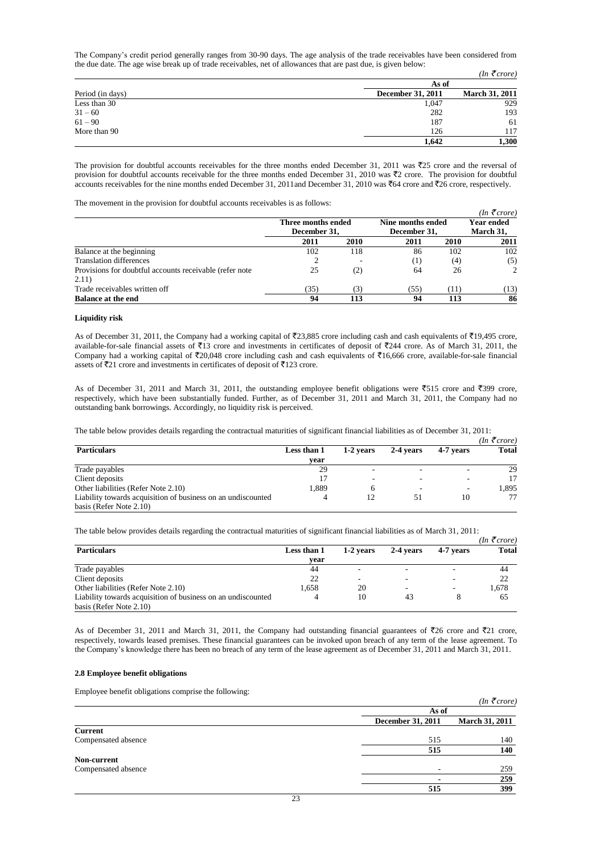The Company's credit period generally ranges from 30-90 days. The age analysis of the trade receivables have been considered from the due date. The age wise break up of trade receivables, net of allowances that are past due, is given below:  $(I_n \nsubseteq_{\text{corona}})$ 

|                  |                   | $1111 \times 10101$   |
|------------------|-------------------|-----------------------|
|                  | As of             |                       |
| Period (in days) | December 31, 2011 | <b>March 31, 2011</b> |
| Less than 30     | 1,047             | 929                   |
| $31 - 60$        | 282               | 193                   |
| $61 - 90$        | 187               | 61                    |
| More than 90     | 126               | 117                   |
|                  | 1.642             | 1,300                 |

The provision for doubtful accounts receivables for the three months ended December 31, 2011 was  $\overline{z}25$  crore and the reversal of provision for doubtful accounts receivable for the three months ended December 31, 2010 was  $\overline{z}2$  crore. The provision for doubtful accounts receivables for the nine months ended December 31, 2011and December 31, 2010 was  $\bar{c}$ 64 crore and  $\bar{c}$ 26 crore, respectively.

The movement in the provision for doubtful accounts receivables is as follows:

|                                                          |                                    |      |                                   |                                | $(In \space \bar{\tau} \space core)$ |
|----------------------------------------------------------|------------------------------------|------|-----------------------------------|--------------------------------|--------------------------------------|
|                                                          | Three months ended<br>December 31, |      | Nine months ended<br>December 31. | <b>Year ended</b><br>March 31. |                                      |
|                                                          | 2011                               | 2010 | 2011                              | <b>2010</b>                    | 2011                                 |
| Balance at the beginning                                 | 102                                | 118  | 86                                | 102                            | 102                                  |
| <b>Translation differences</b>                           |                                    |      | (1)                               | (4)                            | (5)                                  |
| Provisions for doubtful accounts receivable (refer note) | 25                                 | 2)   | 64                                | 26                             | 2                                    |
| 2.11)                                                    |                                    |      |                                   |                                |                                      |
| Trade receivables written off                            | (35)                               |      | (55)                              | (11)                           | (13)                                 |
| <b>Balance at the end</b>                                | 94                                 | 113  | 94                                | 113                            | 86                                   |

## **Liquidity risk**

As of December 31, 2011, the Company had a working capital of  $\overline{5}23,885$  crore including cash and cash equivalents of  $\overline{5}19,495$  crore, available-for-sale financial assets of  $\overline{3}13$  crore and investments in certificates of deposit of  $\overline{3}244$  crore. As of March 31, 2011, the Company had a working capital of  $\bar{\mathfrak{e}}20,048$  crore including cash and cash equivalents of  $\bar{\mathfrak{e}}16,666$  crore, available-for-sale financial assets of  $\overline{5}21$  crore and investments in certificates of deposit of  $\overline{5}123$  crore.

As of December 31, 2011 and March 31, 2011, the outstanding employee benefit obligations were  $\overline{5}515$  crore and  $\overline{5}399$  crore, respectively, which have been substantially funded. Further, as of December 31, 2011 and March 31, 2011, the Company had no outstanding bank borrowings. Accordingly, no liquidity risk is perceived.

The table below provides details regarding the contractual maturities of significant financial liabilities as of December 31, 2011:

|                                                              |             |                          |           |           | $(In \, \bar{\mathcal{F}}$ crore) |
|--------------------------------------------------------------|-------------|--------------------------|-----------|-----------|-----------------------------------|
| <b>Particulars</b>                                           | Less than 1 | 1-2 years                | 2-4 years | 4-7 vears | <b>Total</b>                      |
|                                                              | vear        |                          |           |           |                                   |
| Trade payables                                               | 29          |                          |           |           | 29                                |
| Client deposits                                              |             | $\overline{\phantom{a}}$ |           |           | 17                                |
| Other liabilities (Refer Note 2.10)                          | 1.889       |                          |           | ۰         | 1.895                             |
| Liability towards acquisition of business on an undiscounted |             | 12                       | 51        | 10        | 77                                |
| basis (Refer Note 2.10)                                      |             |                          |           |           |                                   |

The table below provides details regarding the contractual maturities of significant financial liabilities as of March 31, 2011:

|                                                              |             |           |           |           | $(In \, \bar{\mathcal{F}}$ crore) |
|--------------------------------------------------------------|-------------|-----------|-----------|-----------|-----------------------------------|
| <b>Particulars</b>                                           | Less than 1 | 1-2 years | 2-4 years | 4-7 years | <b>Total</b>                      |
|                                                              | vear        |           |           |           |                                   |
| Trade payables                                               | 44          |           |           |           | 44                                |
| Client deposits                                              | 22          |           |           |           | 22                                |
| Other liabilities (Refer Note 2.10)                          | 1.658       | 20        | -         |           | 1,678                             |
| Liability towards acquisition of business on an undiscounted | $\Delta$    | 10        | 43        |           | 65                                |
| basis (Refer Note 2.10)                                      |             |           |           |           |                                   |

As of December 31, 2011 and March 31, 2011, the Company had outstanding financial guarantees of  $\overline{z}26$  crore and  $\overline{z}21$  crore, respectively, towards leased premises. These financial guarantees can be invoked upon breach of any term of the lease agreement. To the Company's knowledge there has been no breach of any term of the lease agreement as of December 31, 2011 and March 31, 2011.

## **2.8 Employee benefit obligations**

Employee benefit obligations comprise the following:

|                     |                   | $(In \mathcal{F}core)$ |
|---------------------|-------------------|------------------------|
|                     | As of             |                        |
|                     | December 31, 2011 | <b>March 31, 2011</b>  |
| <b>Current</b>      |                   |                        |
| Compensated absence | 515               | 140                    |
|                     | 515               | 140                    |
| Non-current         |                   |                        |
| Compensated absence | ۰                 | 259                    |
|                     |                   | 259                    |
|                     | 515               | 399                    |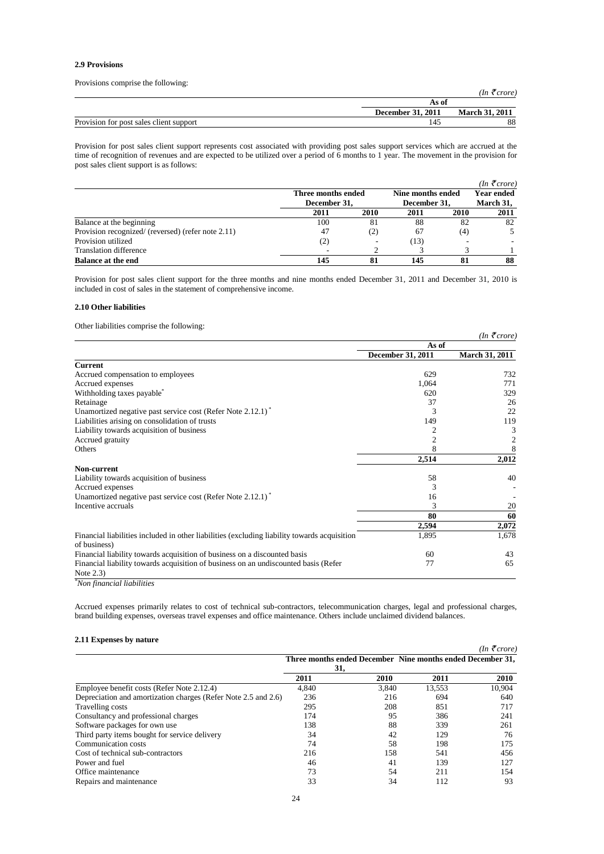# **2.9 Provisions**

Provisions comprise the following:

|                                         |                          | 'In<br>crore)         |
|-----------------------------------------|--------------------------|-----------------------|
|                                         | As of                    |                       |
|                                         | <b>December 31, 2011</b> | <b>March 31, 2011</b> |
| Provision for post sales client support | 14.                      | 88                    |

Provision for post sales client support represents cost associated with providing post sales support services which are accrued at the time of recognition of revenues and are expected to be utilized over a period of 6 months to 1 year. The movement in the provision for post sales client support is as follows:

|                                                    |                    |      |                   |      | $(In \mathcal{F}core)$ |  |  |
|----------------------------------------------------|--------------------|------|-------------------|------|------------------------|--|--|
|                                                    | Three months ended |      | Nine months ended |      | <b>Year ended</b>      |  |  |
|                                                    | December 31.       |      | December 31.      |      | March 31,              |  |  |
|                                                    | 2011               | 2010 | 2011              | 2010 | 2011                   |  |  |
| Balance at the beginning                           | 100                | 81   | 88                | 82   | 82                     |  |  |
| Provision recognized/ (reversed) (refer note 2.11) | 47                 | (2)  | 67                | (4)  |                        |  |  |
| Provision utilized                                 | (2)                |      | (13)              |      |                        |  |  |
| <b>Translation difference</b>                      |                    |      |                   |      |                        |  |  |
| <b>Balance at the end</b>                          | 145                | 81   | 145               | 81   | 88                     |  |  |

Provision for post sales client support for the three months and nine months ended December 31, 2011 and December 31, 2010 is included in cost of sales in the statement of comprehensive income.

## **2.10 Other liabilities**

Other liabilities comprise the following:

|                                                                                              |                   | $(In \, \bar{\mathcal{F}}$ crore) |
|----------------------------------------------------------------------------------------------|-------------------|-----------------------------------|
|                                                                                              | As of             |                                   |
|                                                                                              | December 31, 2011 | <b>March 31, 2011</b>             |
| <b>Current</b>                                                                               |                   |                                   |
| Accrued compensation to employees                                                            | 629               | 732                               |
| Accrued expenses                                                                             | 1,064             | 771                               |
| Withholding taxes payable <sup>*</sup>                                                       | 620               | 329                               |
| Retainage                                                                                    | 37                | 26                                |
| Unamortized negative past service cost (Refer Note 2.12.1) <sup>*</sup>                      | 3                 | 22                                |
| Liabilities arising on consolidation of trusts                                               | 149               | 119                               |
| Liability towards acquisition of business                                                    |                   | 3                                 |
| Accrued gratuity                                                                             | 2                 | 2                                 |
| <b>Others</b>                                                                                | 8                 | 8                                 |
|                                                                                              | 2,514             | 2,012                             |
| Non-current                                                                                  |                   |                                   |
| Liability towards acquisition of business                                                    | 58                | 40                                |
| Accrued expenses                                                                             | 3                 |                                   |
| Unamortized negative past service cost (Refer Note 2.12.1) <sup>*</sup>                      | 16                |                                   |
| Incentive accruals                                                                           |                   | 20                                |
|                                                                                              | 80                | 60                                |
|                                                                                              | 2,594             | 2,072                             |
| Financial liabilities included in other liabilities (excluding liability towards acquisition | 1,895             | 1,678                             |
| of business)                                                                                 |                   |                                   |
| Financial liability towards acquisition of business on a discounted basis                    | 60                | 43                                |
| Financial liability towards acquisition of business on an undiscounted basis (Refer          | 77                | 65                                |
| Note $2.3$ )                                                                                 |                   |                                   |
| "Non financial liabilities                                                                   |                   |                                   |

Accrued expenses primarily relates to cost of technical sub-contractors, telecommunication charges, legal and professional charges, brand building expenses, overseas travel expenses and office maintenance. Others include unclaimed dividend balances.

# **2.11 Expenses by nature**

| $2.11$ Expenses by nature                                      |       |                                                            |        | $(In \mathcal{F}core)$ |
|----------------------------------------------------------------|-------|------------------------------------------------------------|--------|------------------------|
|                                                                |       | Three months ended December Nine months ended December 31, |        |                        |
|                                                                |       | 31,                                                        |        |                        |
|                                                                | 2011  | 2010                                                       | 2011   | 2010                   |
| Employee benefit costs (Refer Note 2.12.4)                     | 4.840 | 3.840                                                      | 13,553 | 10.904                 |
| Depreciation and amortization charges (Refer Note 2.5 and 2.6) | 236   | 216                                                        | 694    | 640                    |
| Travelling costs                                               | 295   | 208                                                        | 851    | 717                    |
| Consultancy and professional charges                           | 174   | 95                                                         | 386    | 241                    |
| Software packages for own use                                  | 138   | 88                                                         | 339    | 261                    |
| Third party items bought for service delivery                  | 34    | 42                                                         | 129    | 76                     |
| Communication costs                                            | 74    | 58                                                         | 198    | 175                    |
| Cost of technical sub-contractors                              | 216   | 158                                                        | 541    | 456                    |
| Power and fuel                                                 | 46    | 41                                                         | 139    | 127                    |
| Office maintenance                                             | 73    | 54                                                         | 211    | 154                    |
| Repairs and maintenance                                        | 33    | 34                                                         | 112    | 93                     |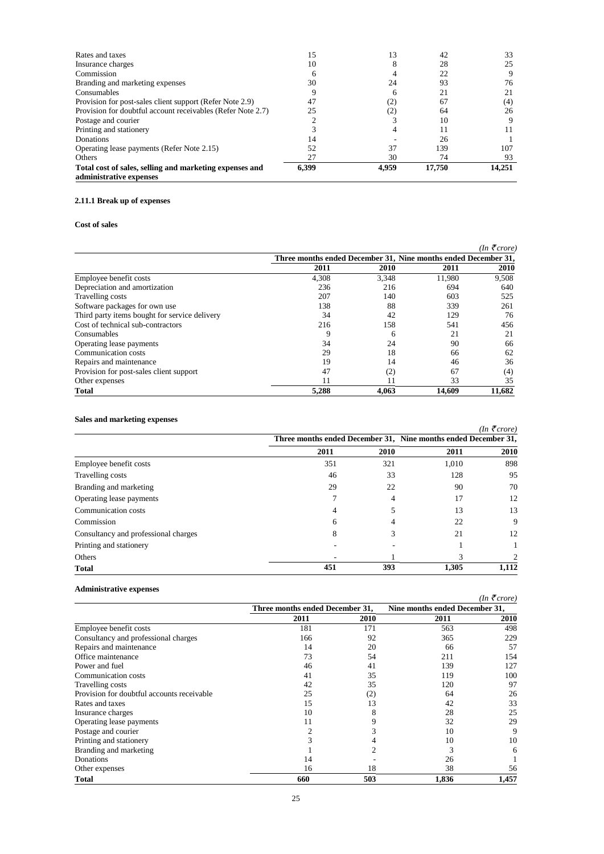| Rates and taxes                                             | 15    | 13    | 42     | 33     |
|-------------------------------------------------------------|-------|-------|--------|--------|
| Insurance charges                                           | 10    |       | 28     | 25     |
| Commission                                                  | 6     |       | 22     | 9      |
| Branding and marketing expenses                             | 30    | 24    | 93     | 76     |
| Consumables                                                 |       | h     | 21     | 21     |
| Provision for post-sales client support (Refer Note 2.9)    | 47    |       | 67     | (4)    |
| Provision for doubtful account receivables (Refer Note 2.7) | 25    |       | 64     | 26     |
| Postage and courier                                         |       |       | 10     |        |
| Printing and stationery                                     |       |       | 11     |        |
| <b>Donations</b>                                            | 14    |       | 26     |        |
| Operating lease payments (Refer Note 2.15)                  | 52    | 37    | 139    | 107    |
| <b>Others</b>                                               | 27    | 30    | 74     | 93     |
| Total cost of sales, selling and marketing expenses and     | 6,399 | 4.959 | 17.750 | 14.251 |
| administrative expenses                                     |       |       |        |        |

# **2.11.1 Break up of expenses**

# **Cost of sales**

|                                               |                                                                |       |        | $(In \, \bar{\mathcal{F}}$ crore) |
|-----------------------------------------------|----------------------------------------------------------------|-------|--------|-----------------------------------|
|                                               | Three months ended December 31, Nine months ended December 31, |       |        |                                   |
|                                               | 2011                                                           | 2010  | 2011   | 2010                              |
| Employee benefit costs                        | 4.308                                                          | 3,348 | 11.980 | 9,508                             |
| Depreciation and amortization                 | 236                                                            | 216   | 694    | 640                               |
| Travelling costs                              | 207                                                            | 140   | 603    | 525                               |
| Software packages for own use                 | 138                                                            | 88    | 339    | 261                               |
| Third party items bought for service delivery | 34                                                             | 42    | 129    | 76                                |
| Cost of technical sub-contractors             | 216                                                            | 158   | 541    | 456                               |
| Consumables                                   | 9                                                              | 6     | 21     | 21                                |
| Operating lease payments                      | 34                                                             | 24    | 90     | 66                                |
| Communication costs                           | 29                                                             | 18    | 66     | 62                                |
| Repairs and maintenance                       | 19                                                             | 14    | 46     | 36                                |
| Provision for post-sales client support       | 47                                                             | (2)   | 67     | (4)                               |
| Other expenses                                | 11                                                             | 11    | 33     | 35                                |
| <b>Total</b>                                  | 5.288                                                          | 4.063 | 14.609 | 11,682                            |

# **Sales and marketing expenses**

|                                      |      |                                                                |       | $(In \mathcal{F}core)$ |
|--------------------------------------|------|----------------------------------------------------------------|-------|------------------------|
|                                      |      | Three months ended December 31, Nine months ended December 31, |       |                        |
|                                      | 2011 | 2010                                                           | 2011  | 2010                   |
| Employee benefit costs               | 351  | 321                                                            | 1.010 | 898                    |
| Travelling costs                     | 46   | 33                                                             | 128   | 95                     |
| Branding and marketing               | 29   | 22                                                             | 90    | 70                     |
| Operating lease payments             |      |                                                                | 17    | 12                     |
| Communication costs                  |      |                                                                | 13    | 13                     |
| Commission                           | 6    |                                                                | 22    | 9                      |
| Consultancy and professional charges | 8    |                                                                | 21    | 12                     |
| Printing and stationery              |      |                                                                |       |                        |
| Others                               |      |                                                                |       | $\mathcal{D}$          |
| <b>Total</b>                         | 451  | 393                                                            | 1.305 | 1,112                  |

# **Administrative expenses**

| Administrative expenses                    |      |                                 |       | $(In \, \bar{\mathcal{F}}$ crore) |
|--------------------------------------------|------|---------------------------------|-------|-----------------------------------|
|                                            |      | Three months ended December 31, |       | Nine months ended December 31,    |
|                                            | 2011 | 2010                            | 2011  | 2010                              |
| Employee benefit costs                     | 181  | 171                             | 563   | 498                               |
| Consultancy and professional charges       | 166  | 92                              | 365   | 229                               |
| Repairs and maintenance                    | 14   | 20                              | 66    | 57                                |
| Office maintenance                         | 73   | 54                              | 211   | 154                               |
| Power and fuel                             | 46   | 41                              | 139   | 127                               |
| Communication costs                        | 41   | 35                              | 119   | 100                               |
| Travelling costs                           | 42   | 35                              | 120   | 97                                |
| Provision for doubtful accounts receivable | 25   | (2)                             | 64    | 26                                |
| Rates and taxes                            | 15   | 13                              | 42    | 33                                |
| Insurance charges                          | 10   | 8                               | 28    | 25                                |
| Operating lease payments                   | 11   | 9                               | 32    | 29                                |
| Postage and courier                        |      |                                 | 10    | 9                                 |
| Printing and stationery                    |      |                                 | 10    | 10                                |
| Branding and marketing                     |      |                                 |       | 6                                 |
| Donations                                  | 14   |                                 | 26    |                                   |
| Other expenses                             | 16   | 18                              | 38    | 56                                |
| <b>Total</b>                               | 660  | 503                             | 1,836 | 1,457                             |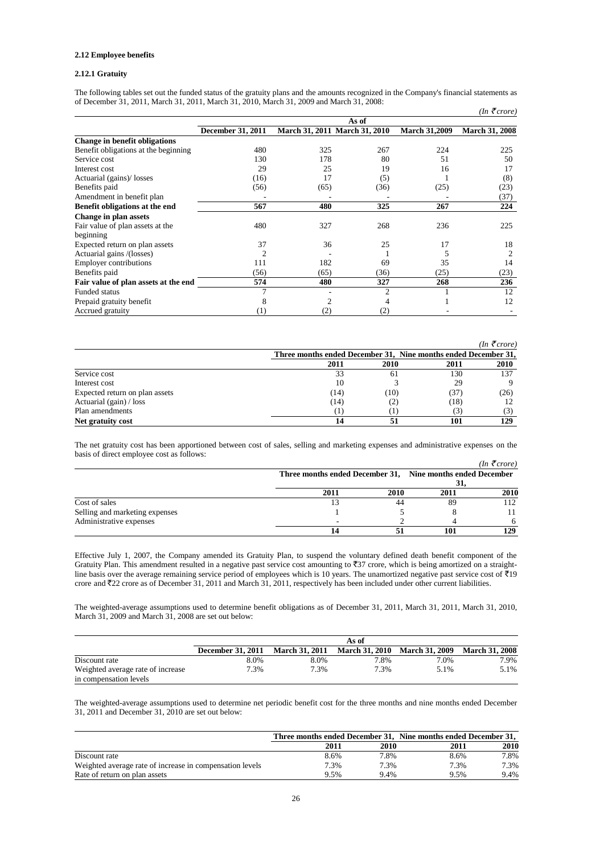### **2.12 Employee benefits**

# **2.12.1 Gratuity**

The following tables set out the funded status of the gratuity plans and the amounts recognized in the Company's financial statements as of December 31, 2011, March 31, 2011, March 31, 2010, March 31, 2009 and March 31, 2008:

|                                      |                   |      |                               |                      | $(In \mathcal{F}core)$ |
|--------------------------------------|-------------------|------|-------------------------------|----------------------|------------------------|
|                                      |                   |      | As of                         |                      |                        |
|                                      | December 31, 2011 |      | March 31, 2011 March 31, 2010 | <b>March 31,2009</b> | <b>March 31, 2008</b>  |
| <b>Change in benefit obligations</b> |                   |      |                               |                      |                        |
| Benefit obligations at the beginning | 480               | 325  | 267                           | 224                  | 225                    |
| Service cost                         | 130               | 178  | 80                            | 51                   | 50                     |
| Interest cost                        | 29                | 25   | 19                            | 16                   | 17                     |
| Actuarial (gains)/ losses            | (16)              | 17   | (5)                           |                      | (8)                    |
| Benefits paid                        | (56)              | (65) | (36)                          | (25)                 | (23)                   |
| Amendment in benefit plan            |                   |      |                               |                      | (37)                   |
| Benefit obligations at the end       | 567               | 480  | 325                           | 267                  | 224                    |
| Change in plan assets                |                   |      |                               |                      |                        |
| Fair value of plan assets at the     | 480               | 327  | 268                           | 236                  | 225                    |
| beginning                            |                   |      |                               |                      |                        |
| Expected return on plan assets       | 37                | 36   | 25                            | 17                   | 18                     |
| Actuarial gains /(losses)            |                   |      |                               | 5                    |                        |
| <b>Employer contributions</b>        | 111               | 182  | 69                            | 35                   | 14                     |
| Benefits paid                        | (56)              | (65) | (36)                          | (25)                 | (23)                   |
| Fair value of plan assets at the end | 574               | 480  | 327                           | 268                  | 236                    |
| Funded status                        |                   |      | $\overline{2}$                |                      | 12                     |
| Prepaid gratuity benefit             | 8                 | 2    | 4                             |                      | 12                     |
| Accrued gratuity                     | (T                | (2)  | (2)                           |                      |                        |

|                                |                                                                |      |      | $(In \mathcal{F}core)$ |
|--------------------------------|----------------------------------------------------------------|------|------|------------------------|
|                                | Three months ended December 31, Nine months ended December 31, |      |      |                        |
|                                | 2011                                                           | 2010 | 2011 | 2010                   |
| Service cost                   | 33                                                             | 61   | 130  | 137                    |
| Interest cost                  | 10                                                             |      | 29   |                        |
| Expected return on plan assets | (14)                                                           | (10) | (37) | (26)                   |
| Actuarial $(gain) / loss$      | (14)                                                           | L    | (18) |                        |
| Plan amendments                |                                                                |      | 3    | 3)                     |
| Net gratuity cost              |                                                                |      | 101  | 129                    |

The net gratuity cost has been apportioned between cost of sales, selling and marketing expenses and administrative expenses on the basis of direct employee cost as follows:  $(L_0 \neq$ 

|                                |                                                            |      |      | $(1n \leq core)$ |
|--------------------------------|------------------------------------------------------------|------|------|------------------|
|                                | Three months ended December 31, Nine months ended December |      |      |                  |
|                                |                                                            |      | эт   |                  |
|                                | 2011                                                       | 2010 | 2011 | 2010             |
| Cost of sales                  |                                                            | 44   | 89   | 12               |
| Selling and marketing expenses |                                                            |      |      |                  |
| Administrative expenses        |                                                            |      |      | 6                |
|                                |                                                            |      |      | 129              |

Effective July 1, 2007, the Company amended its Gratuity Plan, to suspend the voluntary defined death benefit component of the Gratuity Plan. This amendment resulted in a negative past service cost amounting to `37 crore, which is being amortized on a straightline basis over the average remaining service period of employees which is 10 years. The unamortized negative past service cost of  $\bar{z}$ 19 crore and  $\overline{z}22$  crore as of December 31, 2011 and March 31, 2011, respectively has been included under other current liabilities.

The weighted-average assumptions used to determine benefit obligations as of December 31, 2011, March 31, 2011, March 31, 2010, March 31, 2009 and March 31, 2008 are set out below:

|                                   |                          |      | As of                                        |         |                       |
|-----------------------------------|--------------------------|------|----------------------------------------------|---------|-----------------------|
|                                   | <b>December 31, 2011</b> |      | March 31, 2011 March 31, 2010 March 31, 2009 |         | <b>March 31, 2008</b> |
| Discount rate                     | 8.0%                     | 8.0% | 7.8%                                         | 7.0%    | 7.9%                  |
| Weighted average rate of increase | 7.3%                     | 7.3% | 7.3%                                         | $5.1\%$ | 5.1%                  |
| in compensation levels            |                          |      |                                              |         |                       |

The weighted-average assumptions used to determine net periodic benefit cost for the three months and nine months ended December 31, 2011 and December 31, 2010 are set out below:

|                                                          | Three months ended December 31, Nine months ended December 31, |      |      |      |  |
|----------------------------------------------------------|----------------------------------------------------------------|------|------|------|--|
|                                                          | 2011                                                           | 2010 | 2011 | 2010 |  |
| Discount rate                                            | 8.6%                                                           | 7.8% | 8.6% | 7.8% |  |
| Weighted average rate of increase in compensation levels | 7.3%                                                           | 7.3% | 7.3% | 7.3% |  |
| Rate of return on plan assets                            | 9.5%                                                           | 9.4% | 9.5% | 9.4% |  |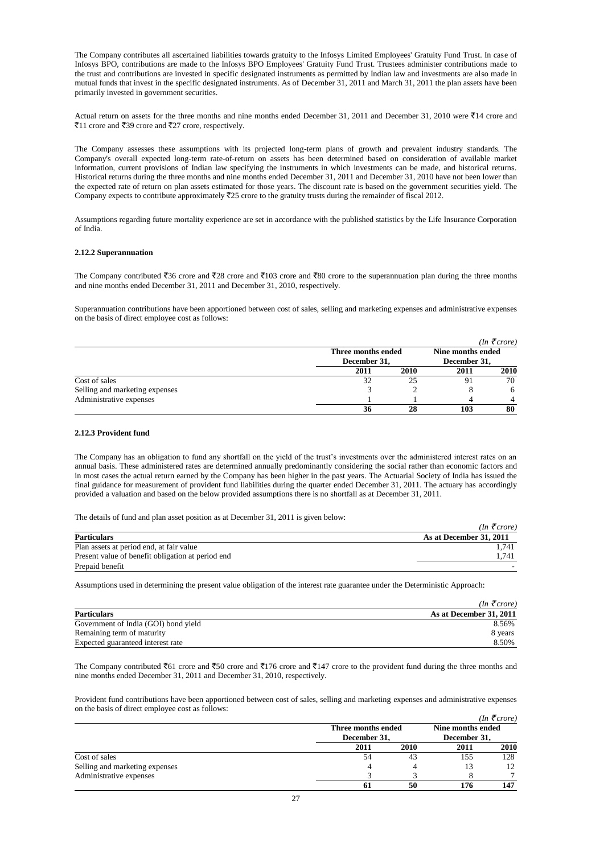The Company contributes all ascertained liabilities towards gratuity to the Infosys Limited Employees' Gratuity Fund Trust. In case of Infosys BPO, contributions are made to the Infosys BPO Employees' Gratuity Fund Trust. Trustees administer contributions made to the trust and contributions are invested in specific designated instruments as permitted by Indian law and investments are also made in mutual funds that invest in the specific designated instruments. As of December 31, 2011 and March 31, 2011 the plan assets have been primarily invested in government securities.

Actual return on assets for the three months and nine months ended December 31, 2011 and December 31, 2010 were  $\bar{\tilde{\tau}}$ 14 crore and ₹11 crore and ₹39 crore and ₹27 crore, respectively.

The Company assesses these assumptions with its projected long-term plans of growth and prevalent industry standards. The Company's overall expected long-term rate-of-return on assets has been determined based on consideration of available market information, current provisions of Indian law specifying the instruments in which investments can be made, and historical returns. Historical returns during the three months and nine months ended December 31, 2011 and December 31, 2010 have not been lower than the expected rate of return on plan assets estimated for those years. The discount rate is based on the government securities yield. The Company expects to contribute approximately  $\overline{z}25$  crore to the gratuity trusts during the remainder of fiscal 2012.

Assumptions regarding future mortality experience are set in accordance with the published statistics by the Life Insurance Corporation of India.

# **2.12.2 Superannuation**

The Company contributed  $\bar{z}36$  crore and  $\bar{z}28$  crore and  $\bar{z}103$  crore and  $\bar{z}80$  crore to the superannuation plan during the three months and nine months ended December 31, 2011 and December 31, 2010, respectively.

Superannuation contributions have been apportioned between cost of sales, selling and marketing expenses and administrative expenses on the basis of direct employee cost as follows:

|                                |                    |              |                   | $(In \space \bar{\tau} \space core)$ |
|--------------------------------|--------------------|--------------|-------------------|--------------------------------------|
|                                | Three months ended |              | Nine months ended |                                      |
|                                |                    | December 31, |                   | December 31,                         |
|                                | 2011               | 2010         | 2011              | 2010                                 |
| Cost of sales                  |                    | 25           | 91                | 70                                   |
| Selling and marketing expenses |                    |              |                   | 6                                    |
| Administrative expenses        |                    |              |                   | 4                                    |
|                                | 36                 | 28           | 103               | 80                                   |

# **2.12.3 Provident fund**

The Company has an obligation to fund any shortfall on the yield of the trust's investments over the administered interest rates on an annual basis. These administered rates are determined annually predominantly considering the social rather than economic factors and in most cases the actual return earned by the Company has been higher in the past years. The Actuarial Society of India has issued the final guidance for measurement of provident fund liabilities during the quarter ended December 31, 2011. The actuary has accordingly provided a valuation and based on the below provided assumptions there is no shortfall as at December 31, 2011.

The details of fund and plan asset position as at December 31, 2011 is given below:

|                                                   | $(In \, \bar{\mathcal{F}}$ crore) |
|---------------------------------------------------|-----------------------------------|
| <b>Particulars</b>                                | As at December 31, 2011           |
| Plan assets at period end, at fair value          | 1.741                             |
| Present value of benefit obligation at period end | 1.741                             |
| Prepaid benefit                                   |                                   |

Assumptions used in determining the present value obligation of the interest rate guarantee under the Deterministic Approach:

|                                      | $(In \mathcal{F}core)$  |
|--------------------------------------|-------------------------|
| <b>Particulars</b>                   | As at December 31, 2011 |
| Government of India (GOI) bond yield | 8.56%                   |
| Remaining term of maturity           | 8 years                 |
| Expected guaranteed interest rate    | 8.50%                   |

The Company contributed  $\bar{z}61$  crore and  $\bar{z}50$  crore and  $\bar{z}176$  crore and  $\bar{z}147$  crore to the provident fund during the three months and nine months ended December 31, 2011 and December 31, 2010, respectively.

Provident fund contributions have been apportioned between cost of sales, selling and marketing expenses and administrative expenses on the basis of direct employee cost as follows:  $\sqrt{I}$   $\rightarrow$ 

|                                |      |                                    |      | $(n \leq c \text{core})$ |
|--------------------------------|------|------------------------------------|------|--------------------------|
|                                |      | Three months ended<br>December 31, |      | Nine months ended        |
|                                |      |                                    |      | December 31,             |
|                                | 2011 | 2010                               | 2011 | 2010                     |
| Cost of sales                  | 54   | 43                                 | 155  | 128                      |
| Selling and marketing expenses |      |                                    |      | 12                       |
| Administrative expenses        |      |                                    |      |                          |
|                                |      | 50                                 | 176  | 147                      |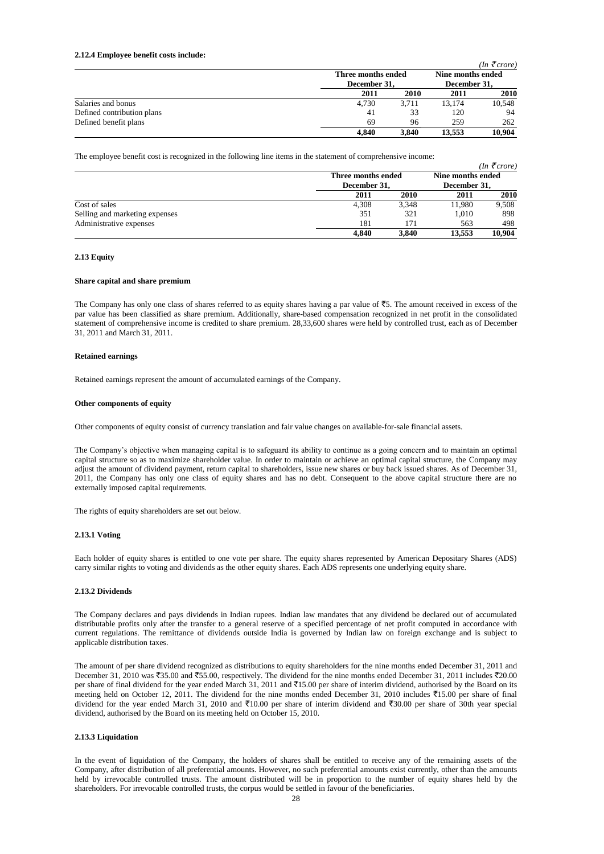|                            |       |                                    |        | $(In \, \bar{\mathcal{F}}$ crore) |
|----------------------------|-------|------------------------------------|--------|-----------------------------------|
|                            |       | Three months ended<br>December 31. |        | Nine months ended                 |
|                            |       |                                    |        | December 31,                      |
|                            | 2011  | 2010                               | 2011   | 2010                              |
| Salaries and bonus         | 4.730 | 3.711                              | 13.174 | 10,548                            |
| Defined contribution plans | 41    | 33                                 | 120    | 94                                |
| Defined benefit plans      | 69    | 96                                 | 259    | 262                               |
|                            | 4.840 | 3.840                              | 13.553 | 10.904                            |

The employee benefit cost is recognized in the following line items in the statement of comprehensive income:

|                                |       |                                    |        | $(n \leq c \text{core})$ |  |
|--------------------------------|-------|------------------------------------|--------|--------------------------|--|
|                                |       | Three months ended<br>December 31. |        | Nine months ended        |  |
|                                |       |                                    |        | December 31.             |  |
|                                | 2011  | 2010                               | 2011   | 2010                     |  |
| Cost of sales                  | 4.308 | 3.348                              | 11,980 | 9,508                    |  |
| Selling and marketing expenses | 351   | 321                                | 1,010  | 898                      |  |
| Administrative expenses        | 181   | 171                                | 563    | 498                      |  |
|                                | 4.840 | 3.840                              | 13.553 | 10.904                   |  |

 $\sqrt{I}$   $\rightarrow$ 

#### **2.13 Equity**

## **Share capital and share premium**

The Company has only one class of shares referred to as equity shares having a par value of  $\overline{55}$ . The amount received in excess of the par value has been classified as share premium. Additionally, share-based compensation recognized in net profit in the consolidated statement of comprehensive income is credited to share premium. 28,33,600 shares were held by controlled trust, each as of December 31, 2011 and March 31, 2011.

### **Retained earnings**

Retained earnings represent the amount of accumulated earnings of the Company.

### **Other components of equity**

Other components of equity consist of currency translation and fair value changes on available-for-sale financial assets.

The Company's objective when managing capital is to safeguard its ability to continue as a going concern and to maintain an optimal capital structure so as to maximize shareholder value. In order to maintain or achieve an optimal capital structure, the Company may adjust the amount of dividend payment, return capital to shareholders, issue new shares or buy back issued shares. As of December 31, 2011, the Company has only one class of equity shares and has no debt. Consequent to the above capital structure there are no externally imposed capital requirements.

The rights of equity shareholders are set out below.

### **2.13.1 Voting**

Each holder of equity shares is entitled to one vote per share. The equity shares represented by American Depositary Shares (ADS) carry similar rights to voting and dividends as the other equity shares. Each ADS represents one underlying equity share.

## **2.13.2 Dividends**

The Company declares and pays dividends in Indian rupees. Indian law mandates that any dividend be declared out of accumulated distributable profits only after the transfer to a general reserve of a specified percentage of net profit computed in accordance with current regulations. The remittance of dividends outside India is governed by Indian law on foreign exchange and is subject to applicable distribution taxes.

The amount of per share dividend recognized as distributions to equity shareholders for the nine months ended December 31, 2011 and December 31, 2010 was  $\overline{5}3.00$  and  $\overline{5}5.00$ , respectively. The dividend for the nine months ended December 31, 2011 includes  $\overline{5}20.00$ per share of final dividend for the year ended March 31, 2011 and ₹15.00 per share of interim dividend, authorised by the Board on its meeting held on October 12, 2011. The dividend for the nine months ended December 31, 2010 includes  $\bar{\tau}$ 15.00 per share of final dividend for the year ended March 31, 2010 and  $\bar{\tau}10.00$  per share of interim dividend and  $\bar{\tau}30.00$  per share of 30th year special dividend, authorised by the Board on its meeting held on October 15, 2010.

# **2.13.3 Liquidation**

In the event of liquidation of the Company, the holders of shares shall be entitled to receive any of the remaining assets of the Company, after distribution of all preferential amounts. However, no such preferential amounts exist currently, other than the amounts held by irrevocable controlled trusts. The amount distributed will be in proportion to the number of equity shares held by the shareholders. For irrevocable controlled trusts, the corpus would be settled in favour of the beneficiaries.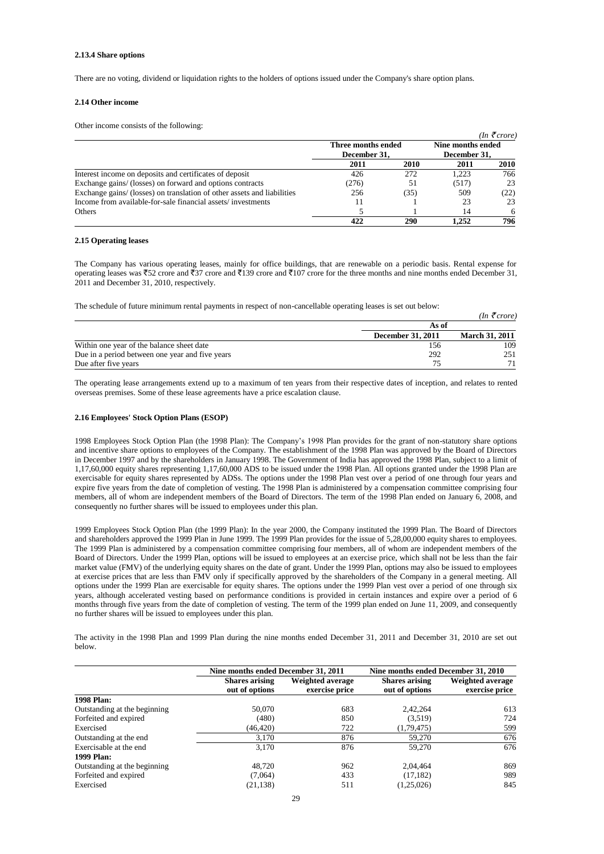### **2.13.4 Share options**

There are no voting, dividend or liquidation rights to the holders of options issued under the Company's share option plans.

### **2.14 Other income**

Other income consists of the following:

|                                                                         |                                    |      |                                   | $(In \space \bar{\tau} \space core)$ |
|-------------------------------------------------------------------------|------------------------------------|------|-----------------------------------|--------------------------------------|
|                                                                         | Three months ended<br>December 31, |      | Nine months ended<br>December 31. |                                      |
|                                                                         | 2011                               | 2010 | 2011                              | <b>2010</b>                          |
| Interest income on deposits and certificates of deposit                 | 426                                | 272  | 1.223                             | 766                                  |
| Exchange gains/ (losses) on forward and options contracts               | (276)                              | 51   | (517)                             | 23                                   |
| Exchange gains/ (losses) on translation of other assets and liabilities | 256                                | (35) | 509                               | (22)                                 |
| Income from available-for-sale financial assets/investments             | 11                                 |      | 23                                | 23                                   |
| Others                                                                  |                                    |      | 14                                | 6                                    |
|                                                                         | 422                                | 290  | 1.252                             | 796                                  |

### **2.15 Operating leases**

The Company has various operating leases, mainly for office buildings, that are renewable on a periodic basis. Rental expense for operating leases was  $\overline{52}$  crore and  $\overline{537}$  crore and  $\overline{51}39$  crore and  $\overline{5107}$  crore for the three months and nine months ended December 31, 2011 and December 31, 2010, respectively.

The schedule of future minimum rental payments in respect of non-cancellable operating leases is set out below:

|                                                 |                   | $(In \space \bar{\tau} \space core)$ |
|-------------------------------------------------|-------------------|--------------------------------------|
|                                                 | As of             |                                      |
|                                                 | December 31, 2011 | <b>March 31, 2011</b>                |
| Within one year of the balance sheet date       | 156               | 109                                  |
| Due in a period between one year and five years | 292               | 251                                  |
| Due after five years                            |                   |                                      |

The operating lease arrangements extend up to a maximum of ten years from their respective dates of inception, and relates to rented overseas premises. Some of these lease agreements have a price escalation clause.

### **2.16 Employees' Stock Option Plans (ESOP)**

1998 Employees Stock Option Plan (the 1998 Plan): The Company's 1998 Plan provides for the grant of non-statutory share options and incentive share options to employees of the Company. The establishment of the 1998 Plan was approved by the Board of Directors in December 1997 and by the shareholders in January 1998. The Government of India has approved the 1998 Plan, subject to a limit of 1,17,60,000 equity shares representing 1,17,60,000 ADS to be issued under the 1998 Plan. All options granted under the 1998 Plan are exercisable for equity shares represented by ADSs. The options under the 1998 Plan vest over a period of one through four years and expire five years from the date of completion of vesting. The 1998 Plan is administered by a compensation committee comprising four members, all of whom are independent members of the Board of Directors. The term of the 1998 Plan ended on January 6, 2008, and consequently no further shares will be issued to employees under this plan.

1999 Employees Stock Option Plan (the 1999 Plan): In the year 2000, the Company instituted the 1999 Plan. The Board of Directors and shareholders approved the 1999 Plan in June 1999. The 1999 Plan provides for the issue of 5,28,00,000 equity shares to employees. The 1999 Plan is administered by a compensation committee comprising four members, all of whom are independent members of the Board of Directors. Under the 1999 Plan, options will be issued to employees at an exercise price, which shall not be less than the fair market value (FMV) of the underlying equity shares on the date of grant. Under the 1999 Plan, options may also be issued to employees at exercise prices that are less than FMV only if specifically approved by the shareholders of the Company in a general meeting. All options under the 1999 Plan are exercisable for equity shares. The options under the 1999 Plan vest over a period of one through six years, although accelerated vesting based on performance conditions is provided in certain instances and expire over a period of 6 months through five years from the date of completion of vesting. The term of the 1999 plan ended on June 11, 2009, and consequently no further shares will be issued to employees under this plan.

The activity in the 1998 Plan and 1999 Plan during the nine months ended December 31, 2011 and December 31, 2010 are set out below.

|                              |                                         | Nine months ended December 31, 2011 |                                         | Nine months ended December 31, 2010 |  |  |
|------------------------------|-----------------------------------------|-------------------------------------|-----------------------------------------|-------------------------------------|--|--|
|                              | <b>Shares arising</b><br>out of options | Weighted average<br>exercise price  | <b>Shares arising</b><br>out of options | Weighted average<br>exercise price  |  |  |
| 1998 Plan:                   |                                         |                                     |                                         |                                     |  |  |
| Outstanding at the beginning | 50,070                                  | 683                                 | 2,42,264                                | 613                                 |  |  |
| Forfeited and expired        | (480)                                   | 850                                 | (3,519)                                 | 724                                 |  |  |
| Exercised                    | (46, 420)                               | 722                                 | (1,79,475)                              | 599                                 |  |  |
| Outstanding at the end       | 3,170                                   | 876                                 | 59,270                                  | 676                                 |  |  |
| Exercisable at the end       | 3,170                                   | 876                                 | 59,270                                  | 676                                 |  |  |
| 1999 Plan:                   |                                         |                                     |                                         |                                     |  |  |
| Outstanding at the beginning | 48.720                                  | 962                                 | 2,04,464                                | 869                                 |  |  |
| Forfeited and expired        | (7,064)                                 | 433                                 | (17, 182)                               | 989                                 |  |  |
| Exercised                    | (21, 138)                               | 511                                 | (1,25,026)                              | 845                                 |  |  |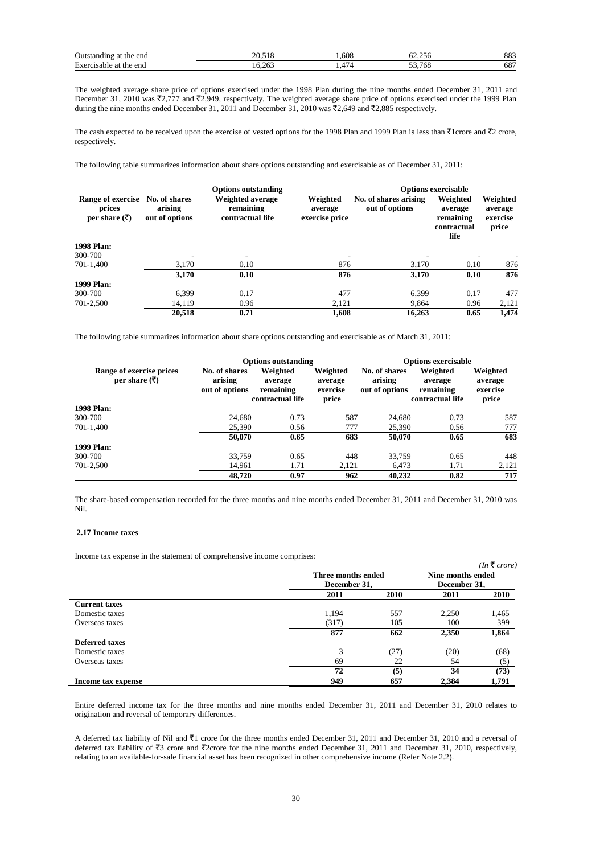| Outstanding<br>end<br>the<br>at             | $\Delta$ <sup><math>\alpha</math></sup><br>20. | 608 | 200 | 002<br>ററാ           |
|---------------------------------------------|------------------------------------------------|-----|-----|----------------------|
| $\blacksquare$<br>Exercisable<br>at the end | $\sim$ $\sim$ $\prime$<br>20.<br>1 V.A         |     | 768 | $\sim$ $\sim$<br>Oδ. |

The weighted average share price of options exercised under the 1998 Plan during the nine months ended December 31, 2011 and December 31, 2010 was ₹2,777 and ₹2,949, respectively. The weighted average share price of options exercised under the 1999 Plan during the nine months ended December 31, 2011 and December 31, 2010 was  $\bar{\tau}$ 2,649 and  $\bar{\tau}$ 2,885 respectively.

The cash expected to be received upon the exercise of vested options for the 1998 Plan and 1999 Plan is less than  $\overline{z}$  l crore, respectively.

The following table summarizes information about share options outstanding and exercisable as of December 31, 2011:

|                                                         |                                            | <b>Options outstanding</b>                               |                                       | <b>Options exercisable</b>              |                                                         |                                          |  |
|---------------------------------------------------------|--------------------------------------------|----------------------------------------------------------|---------------------------------------|-----------------------------------------|---------------------------------------------------------|------------------------------------------|--|
| Range of exercise<br>prices<br>per share $(\bar{\tau})$ | No. of shares<br>arising<br>out of options | <b>Weighted average</b><br>remaining<br>contractual life | Weighted<br>average<br>exercise price | No. of shares arising<br>out of options | Weighted<br>average<br>remaining<br>contractual<br>life | Weighted<br>average<br>exercise<br>price |  |
| <b>1998 Plan:</b>                                       |                                            |                                                          |                                       |                                         |                                                         |                                          |  |
| 300-700                                                 |                                            | ۰                                                        | ٠                                     |                                         |                                                         |                                          |  |
| 701-1,400                                               | 3.170                                      | 0.10                                                     | 876                                   | 3.170                                   | 0.10                                                    | 876                                      |  |
|                                                         | 3.170                                      | 0.10                                                     | 876                                   | 3.170                                   | 0.10                                                    | 876                                      |  |
| 1999 Plan:                                              |                                            |                                                          |                                       |                                         |                                                         |                                          |  |
| 300-700                                                 | 6.399                                      | 0.17                                                     | 477                                   | 6.399                                   | 0.17                                                    | 477                                      |  |
| 701-2.500                                               | 14.119                                     | 0.96                                                     | 2,121                                 | 9.864                                   | 0.96                                                    | 2,121                                    |  |
|                                                         | 20.518                                     | 0.71                                                     | 1.608                                 | 16.263                                  | 0.65                                                    | 1.474                                    |  |

The following table summarizes information about share options outstanding and exercisable as of March 31, 2011:

|                                                      |                                            | <b>Options outstanding</b>                           |                                          | <b>Options exercisable</b>                 |                                                      |                                          |
|------------------------------------------------------|--------------------------------------------|------------------------------------------------------|------------------------------------------|--------------------------------------------|------------------------------------------------------|------------------------------------------|
| Range of exercise prices<br>per share $(\bar{\tau})$ | No. of shares<br>arising<br>out of options | Weighted<br>average<br>remaining<br>contractual life | Weighted<br>average<br>exercise<br>price | No. of shares<br>arising<br>out of options | Weighted<br>average<br>remaining<br>contractual life | Weighted<br>average<br>exercise<br>price |
| 1998 Plan:                                           |                                            |                                                      |                                          |                                            |                                                      |                                          |
| 300-700                                              | 24,680                                     | 0.73                                                 | 587                                      | 24.680                                     | 0.73                                                 | 587                                      |
| 701-1.400                                            | 25,390                                     | 0.56                                                 | 777                                      | 25,390                                     | 0.56                                                 | 777                                      |
|                                                      | 50,070                                     | 0.65                                                 | 683                                      | 50.070                                     | 0.65                                                 | 683                                      |
| 1999 Plan:                                           |                                            |                                                      |                                          |                                            |                                                      |                                          |
| 300-700                                              | 33,759                                     | 0.65                                                 | 448                                      | 33,759                                     | 0.65                                                 | 448                                      |
| 701-2,500                                            | 14,961                                     | 1.71                                                 | 2.121                                    | 6,473                                      | 1.71                                                 | 2,121                                    |
|                                                      | 48,720                                     | 0.97                                                 | 962                                      | 40.232                                     | 0.82                                                 | 717                                      |

The share-based compensation recorded for the three months and nine months ended December 31, 2011 and December 31, 2010 was Nil.

# **2.17 Income taxes**

Income tax expense in the statement of comprehensive income comprises:

| metric tax expense in the statement of comprenensive income comprises. |                    |      |                   |                         |
|------------------------------------------------------------------------|--------------------|------|-------------------|-------------------------|
|                                                                        |                    |      |                   | $(In \bar{\tau}$ crore) |
|                                                                        | Three months ended |      | Nine months ended |                         |
|                                                                        | December 31.       |      | December 31.      |                         |
|                                                                        | 2011               | 2010 | 2011              | <b>2010</b>             |
| <b>Current taxes</b>                                                   |                    |      |                   |                         |
| Domestic taxes                                                         | 1.194              | 557  | 2.250             | 1,465                   |
| Overseas taxes                                                         | (317)              | 105  | 100               | 399                     |
|                                                                        | 877                | 662  | 2,350             | 1,864                   |
| Deferred taxes                                                         |                    |      |                   |                         |
| Domestic taxes                                                         | 3                  | (27) | (20)              | (68)                    |
| Overseas taxes                                                         | 69                 | 22   | 54                | (5)                     |
|                                                                        | 72                 | (5)  | 34                | (73)                    |
| Income tax expense                                                     | 949                | 657  | 2,384             | 1,791                   |

Entire deferred income tax for the three months and nine months ended December 31, 2011 and December 31, 2010 relates to origination and reversal of temporary differences.

A deferred tax liability of Nil and  $\overline{\tau}1$  crore for the three months ended December 31, 2011 and December 31, 2010 and a reversal of deferred tax liability of ₹3 crore and ₹2crore for the nine months ended December 31, 2011 and December 31, 2010, respectively, relating to an available-for-sale financial asset has been recognized in other comprehensive income (Refer Note 2.2).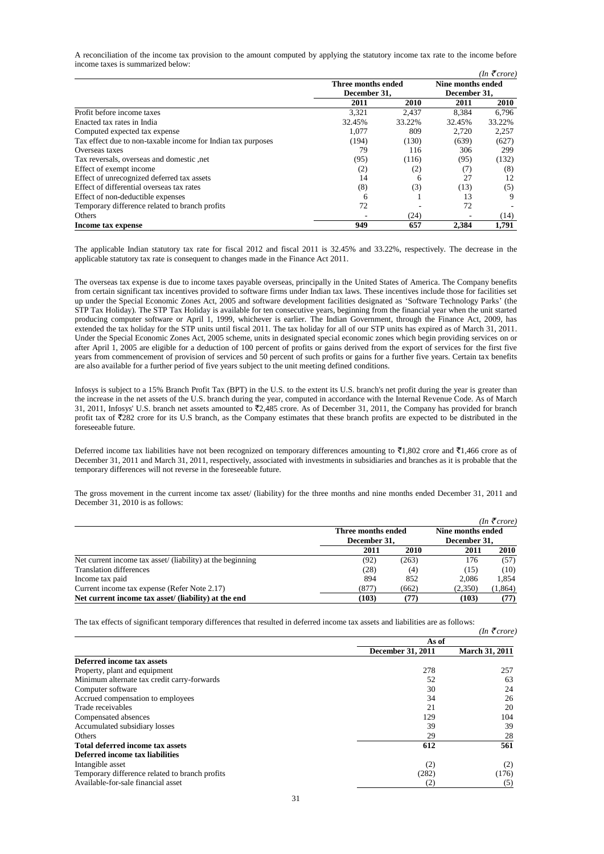A reconciliation of the income tax provision to the amount computed by applying the statutory income tax rate to the income before income taxes is summarized below:  $(L_0, \bar{\tau})$ 

|                                                              |                                    |        |                                          | (In s crore) |
|--------------------------------------------------------------|------------------------------------|--------|------------------------------------------|--------------|
|                                                              | Three months ended<br>December 31, |        | <b>Nine months ended</b><br>December 31, |              |
|                                                              |                                    |        |                                          |              |
|                                                              | 2011                               | 2010   | 2011                                     | <b>2010</b>  |
| Profit before income taxes                                   | 3,321                              | 2.437  | 8,384                                    | 6,796        |
| Enacted tax rates in India                                   | 32.45%                             | 33.22% | 32.45%                                   | 33.22%       |
| Computed expected tax expense                                | 1.077                              | 809    | 2.720                                    | 2,257        |
| Tax effect due to non-taxable income for Indian tax purposes | (194)                              | (130)  | (639)                                    | (627)        |
| Overseas taxes                                               | 79                                 | 116    | 306                                      | 299          |
| Tax reversals, overseas and domestic , net                   | (95)                               | (116)  | (95)                                     | (132)        |
| Effect of exempt income                                      | (2)                                | (2)    | (7)                                      | (8)          |
| Effect of unrecognized deferred tax assets                   | 14                                 | 6      | 27                                       | 12           |
| Effect of differential overseas tax rates                    | (8)                                | (3)    | (13)                                     | (5)          |
| Effect of non-deductible expenses                            | 6                                  |        | 13                                       | 9            |
| Temporary difference related to branch profits               | 72                                 |        | 72                                       |              |
| Others                                                       |                                    | (24)   |                                          | (14)         |
| Income tax expense                                           | 949                                | 657    | 2.384                                    | 1.791        |

The applicable Indian statutory tax rate for fiscal 2012 and fiscal 2011 is 32.45% and 33.22%, respectively. The decrease in the applicable statutory tax rate is consequent to changes made in the Finance Act 2011.

The overseas tax expense is due to income taxes payable overseas, principally in the United States of America. The Company benefits from certain significant tax incentives provided to software firms under Indian tax laws. These incentives include those for facilities set up under the Special Economic Zones Act, 2005 and software development facilities designated as ‗Software Technology Parks' (the STP Tax Holiday). The STP Tax Holiday is available for ten consecutive years, beginning from the financial year when the unit started producing computer software or April 1, 1999, whichever is earlier. The Indian Government, through the Finance Act, 2009, has extended the tax holiday for the STP units until fiscal 2011. The tax holiday for all of our STP units has expired as of March 31, 2011. Under the Special Economic Zones Act, 2005 scheme, units in designated special economic zones which begin providing services on or after April 1, 2005 are eligible for a deduction of 100 percent of profits or gains derived from the export of services for the first five years from commencement of provision of services and 50 percent of such profits or gains for a further five years. Certain tax benefits are also available for a further period of five years subject to the unit meeting defined conditions.

Infosys is subject to a 15% Branch Profit Tax (BPT) in the U.S. to the extent its U.S. branch's net profit during the year is greater than the increase in the net assets of the U.S. branch during the year, computed in accordance with the Internal Revenue Code. As of March 31, 2011, Infosys' U.S. branch net assets amounted to `2,485 crore. As of December 31, 2011, the Company has provided for branch profit tax of ₹282 crore for its U.S branch, as the Company estimates that these branch profits are expected to be distributed in the foreseeable future.

Deferred income tax liabilities have not been recognized on temporary differences amounting to  $\bar{\tau}1,802$  crore and  $\bar{\tau}1,466$  crore as of December 31, 2011 and March 31, 2011, respectively, associated with investments in subsidiaries and branches as it is probable that the temporary differences will not reverse in the foreseeable future.

The gross movement in the current income tax asset/ (liability) for the three months and nine months ended December 31, 2011 and December 31, 2010 is as follows:

|                                                            |                    |              |                   | $(In \, \bar{\mathcal{F}}$ crore) |
|------------------------------------------------------------|--------------------|--------------|-------------------|-----------------------------------|
|                                                            | Three months ended |              | Nine months ended |                                   |
|                                                            |                    | December 31. |                   |                                   |
|                                                            | 2011               | 2010         | 2011              | <b>2010</b>                       |
| Net current income tax asset/ (liability) at the beginning | (92)               | (263)        | 176               | (57)                              |
| <b>Translation differences</b>                             | (28)               | (4)          | (15)              | (10)                              |
| Income tax paid                                            | 894                | 852          | 2.086             | 1,854                             |
| Current income tax expense (Refer Note 2.17)               | (877)              | (662)        | (2,350)           | (1, 864)                          |
| Net current income tax asset/ (liability) at the end       | (103)              | (77)         | (103)             | (77)                              |

The tax effects of significant temporary differences that resulted in deferred income tax assets and liabilities are as follows:

|                                                |                   | $(In \mathcal{F}core)$ |
|------------------------------------------------|-------------------|------------------------|
|                                                | As of             |                        |
|                                                | December 31, 2011 | <b>March 31, 2011</b>  |
| Deferred income tax assets                     |                   |                        |
| Property, plant and equipment                  | 278               | 257                    |
| Minimum alternate tax credit carry-forwards    | 52                | 63                     |
| Computer software                              | 30                | 24                     |
| Accrued compensation to employees              | 34                | 26                     |
| Trade receivables                              | 21                | 20                     |
| Compensated absences                           | 129               | 104                    |
| Accumulated subsidiary losses                  | 39                | 39                     |
| <b>Others</b>                                  | 29                | 28                     |
| Total deferred income tax assets               | 612               | 561                    |
| Deferred income tax liabilities                |                   |                        |
| Intangible asset                               | (2)               | (2)                    |
| Temporary difference related to branch profits | (282)             | (176)                  |
| Available-for-sale financial asset             | (2)               | (5)                    |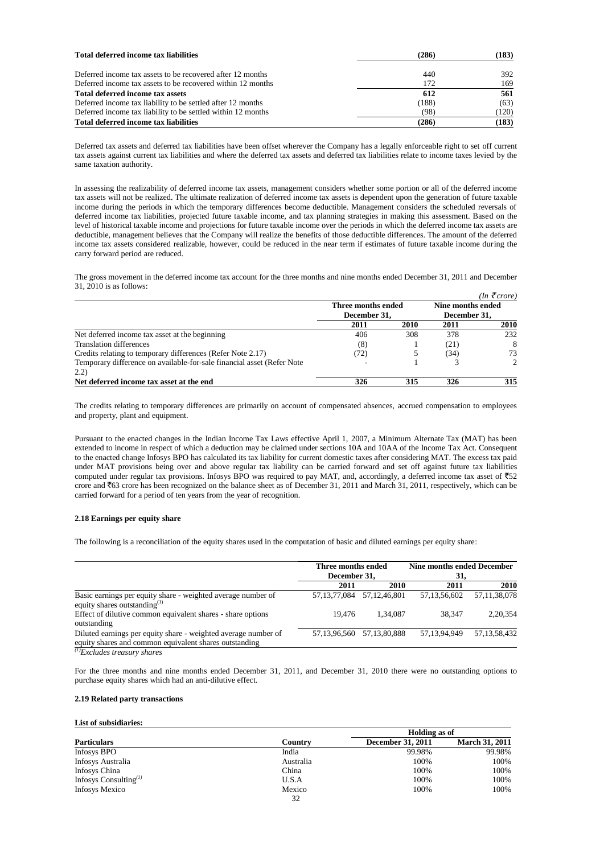| Total deferred income tax liabilities                        | (286) | (183) |
|--------------------------------------------------------------|-------|-------|
| Deferred income tax assets to be recovered after 12 months   | 440   | 392   |
| Deferred income tax assets to be recovered within 12 months  | 172   | 169   |
| Total deferred income tax assets                             | 612   | 561   |
| Deferred income tax liability to be settled after 12 months  | (188) | (63)  |
| Deferred income tax liability to be settled within 12 months | (98)  | (120) |
| Total deferred income tax liabilities                        | (286) | (183) |

Deferred tax assets and deferred tax liabilities have been offset wherever the Company has a legally enforceable right to set off current tax assets against current tax liabilities and where the deferred tax assets and deferred tax liabilities relate to income taxes levied by the same taxation authority.

In assessing the realizability of deferred income tax assets, management considers whether some portion or all of the deferred income tax assets will not be realized. The ultimate realization of deferred income tax assets is dependent upon the generation of future taxable income during the periods in which the temporary differences become deductible. Management considers the scheduled reversals of deferred income tax liabilities, projected future taxable income, and tax planning strategies in making this assessment. Based on the level of historical taxable income and projections for future taxable income over the periods in which the deferred income tax assets are deductible, management believes that the Company will realize the benefits of those deductible differences. The amount of the deferred income tax assets considered realizable, however, could be reduced in the near term if estimates of future taxable income during the carry forward period are reduced.

The gross movement in the deferred income tax account for the three months and nine months ended December 31, 2011 and December 31, 2010 is as follows:

|                                                                         |                                    |      |                                   | $(In \space \bar{\tau} \space core)$ |
|-------------------------------------------------------------------------|------------------------------------|------|-----------------------------------|--------------------------------------|
|                                                                         | Three months ended<br>December 31, |      | Nine months ended<br>December 31, |                                      |
|                                                                         | 2011                               | 2010 | 2011                              | 2010                                 |
| Net deferred income tax asset at the beginning                          | 406                                | 308  | 378                               | 232                                  |
| <b>Translation differences</b>                                          | (8)                                |      | (21)                              | 8                                    |
| Credits relating to temporary differences (Refer Note 2.17)             | (72)                               |      | (34)                              | 73                                   |
| Temporary difference on available-for-sale financial asset (Refer Note) |                                    |      |                                   | $\mathcal{L}$                        |
| 2.2)                                                                    |                                    |      |                                   |                                      |
| Net deferred income tax asset at the end                                | 326                                | 315  | 326                               | 315                                  |

The credits relating to temporary differences are primarily on account of compensated absences, accrued compensation to employees and property, plant and equipment.

Pursuant to the enacted changes in the Indian Income Tax Laws effective April 1, 2007, a Minimum Alternate Tax (MAT) has been extended to income in respect of which a deduction may be claimed under sections 10A and 10AA of the Income Tax Act. Consequent to the enacted change Infosys BPO has calculated its tax liability for current domestic taxes after considering MAT. The excess tax paid under MAT provisions being over and above regular tax liability can be carried forward and set off against future tax liabilities computed under regular tax provisions. Infosys BPO was required to pay MAT, and, accordingly, a deferred income tax asset of  $\overline{5}2$ crore and `63 crore has been recognized on the balance sheet as of December 31, 2011 and March 31, 2011, respectively, which can be carried forward for a period of ten years from the year of recognition.

### **2.18 Earnings per equity share**

The following is a reconciliation of the equity shares used in the computation of basic and diluted earnings per equity share:

|                                                                                                                          | Three months ended<br>December 31, |              | <b>Nine months ended December</b><br>31, |                 |  |
|--------------------------------------------------------------------------------------------------------------------------|------------------------------------|--------------|------------------------------------------|-----------------|--|
|                                                                                                                          | 2011                               | 2010         | 2011                                     | 2010            |  |
| Basic earnings per equity share - weighted average number of<br>equity shares outstanding <sup>(1)</sup>                 | 57.13.77.084                       | 57.12.46.801 | 57, 13, 56, 602                          | 57, 11, 38, 078 |  |
| Effect of dilutive common equivalent shares - share options<br>outstanding                                               | 19.476                             | 1.34.087     | 38.347                                   | 2,20,354        |  |
| Diluted earnings per equity share - weighted average number of<br>equity shares and common equivalent shares outstanding | 57,13,96,560                       | 57.13.80.888 | 57.13.94.949                             | 57, 13, 58, 432 |  |
| $\left( l\right)$ Exaludae trageum sharas                                                                                |                                    |              |                                          |                 |  |

*(1)Excludes treasury shares*

For the three months and nine months ended December 31, 2011, and December 31, 2010 there were no outstanding options to purchase equity shares which had an anti-dilutive effect.

#### **2.19 Related party transactions**

#### **List of subsidiaries:**

| <b>Particulars</b>       |           |                   | Holding as of         |  |  |
|--------------------------|-----------|-------------------|-----------------------|--|--|
|                          | Countrv   | December 31, 2011 | <b>March 31, 2011</b> |  |  |
| Infosys BPO              | India     | 99.98%            | 99.98%                |  |  |
| Infosys Australia        | Australia | 100%              | 100%                  |  |  |
| Infosys China            | China     | 100%              | 100%                  |  |  |
| Infosys Consulting $(1)$ | U.S.A     | 100%              | 100%                  |  |  |
| <b>Infosys Mexico</b>    | Mexico    | 100%              | 100%                  |  |  |
|                          | 32        |                   |                       |  |  |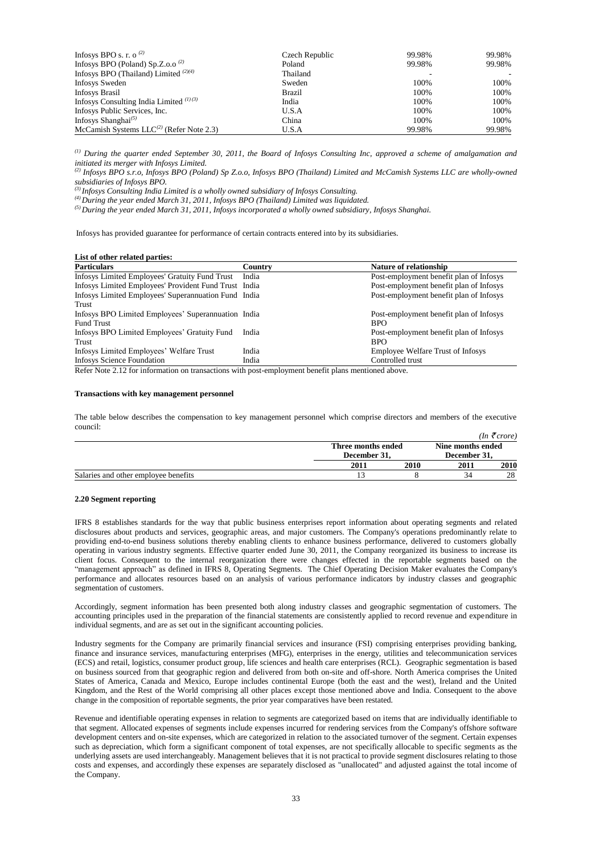| Infosys BPO s. r. o <sup>(2)</sup>            | Czech Republic | 99.98% | 99.98% |
|-----------------------------------------------|----------------|--------|--------|
| Infosys BPO (Poland) Sp.Z.o.o <sup>(2)</sup>  | Poland         | 99.98% | 99.98% |
| Infosys BPO (Thailand) Limited $^{(2)(4)}$    | Thailand       |        |        |
| <b>Infosys Sweden</b>                         | Sweden         | 100%   | 100\%  |
| <b>Infosys Brasil</b>                         | Brazil         | 100%   | 100%   |
| Infosys Consulting India Limited $(1)(3)$     | India          | 100%   | 100%   |
| Infosys Public Services, Inc.                 | U.S.A          | 100%   | 100%   |
| Infosys Shanghai <sup>(5)</sup>               | China          | 100%   | 100%   |
| McCamish Systems $LLC^{(2)}$ (Refer Note 2.3) | U.S.A          | 99.98% | 99.98% |

*(1) During the quarter ended September 30, 2011, the Board of Infosys Consulting Inc, approved a scheme of amalgamation and initiated its merger with Infosys Limited.*

*(2) Infosys BPO s.r.o, Infosys BPO (Poland) Sp Z.o.o, Infosys BPO (Thailand) Limited and McCamish Systems LLC are wholly-owned subsidiaries of Infosys BPO.*

*(3) Infosys Consulting India Limited is a wholly owned subsidiary of Infosys Consulting.*

*(4) During the year ended March 31, 2011, Infosys BPO (Thailand) Limited was liquidated.*

*(5) During the year ended March 31, 2011, Infosys incorporated a wholly owned subsidiary, Infosys Shanghai.*

Infosys has provided guarantee for performance of certain contracts entered into by its subsidiaries.

#### **List of other related parties:**

| <b>Particulars</b>                                                                                                                                                                                                            | Country                                                                                                                                                                                                                                                                                | <b>Nature of relationship</b>            |
|-------------------------------------------------------------------------------------------------------------------------------------------------------------------------------------------------------------------------------|----------------------------------------------------------------------------------------------------------------------------------------------------------------------------------------------------------------------------------------------------------------------------------------|------------------------------------------|
| Infosys Limited Employees' Gratuity Fund Trust                                                                                                                                                                                | India                                                                                                                                                                                                                                                                                  | Post-employment benefit plan of Infosys  |
| Infosys Limited Employees' Provident Fund Trust India                                                                                                                                                                         |                                                                                                                                                                                                                                                                                        | Post-employment benefit plan of Infosys  |
| Infosys Limited Employees' Superannuation Fund India                                                                                                                                                                          |                                                                                                                                                                                                                                                                                        | Post-employment benefit plan of Infosys  |
| Trust                                                                                                                                                                                                                         |                                                                                                                                                                                                                                                                                        |                                          |
| Infosys BPO Limited Employees' Superannuation India                                                                                                                                                                           |                                                                                                                                                                                                                                                                                        | Post-employment benefit plan of Infosys  |
| <b>Fund Trust</b>                                                                                                                                                                                                             |                                                                                                                                                                                                                                                                                        | <b>BPO</b>                               |
| Infosys BPO Limited Employees' Gratuity Fund                                                                                                                                                                                  | India                                                                                                                                                                                                                                                                                  | Post-employment benefit plan of Infosys  |
| Trust                                                                                                                                                                                                                         |                                                                                                                                                                                                                                                                                        | <b>BPO</b>                               |
| Infosys Limited Employees' Welfare Trust                                                                                                                                                                                      | India                                                                                                                                                                                                                                                                                  | <b>Employee Welfare Trust of Infosys</b> |
| <b>Infosys Science Foundation</b>                                                                                                                                                                                             | India                                                                                                                                                                                                                                                                                  | Controlled trust                         |
| $P_1$ $P_2$ $P_3$ $P_4$ $P_5$ $P_6$ $P_7$ $P_8$ $P_9$ $P_9$ $P_9$ $P_9$ $P_9$ $P_9$ $P_9$ $P_9$ $P_9$ $P_9$ $P_9$ $P_9$ $P_9$ $P_9$ $P_9$ $P_9$ $P_9$ $P_9$ $P_9$ $P_9$ $P_9$ $P_9$ $P_9$ $P_9$ $P_9$ $P_9$ $P_9$ $P_9$ $P_9$ | $\mathbf{r}$<br>$\sim$ $\sim$ $\sim$<br>$\mathbf{r}$ . The set of the set of the set of the set of the set of the set of the set of the set of the set of the set of the set of the set of the set of the set of the set of the set of the set of the set of the set of t<br>$\cdot$ 1 |                                          |

Refer Note 2.12 for information on transactions with post-employment benefit plans mentioned above.

# **Transactions with key management personnel**

The table below describes the compensation to key management personnel which comprise directors and members of the executive council:

|                                      |                    |              |                   | $(In \space \bar{\tau} \space core)$ |
|--------------------------------------|--------------------|--------------|-------------------|--------------------------------------|
|                                      | Three months ended |              | Nine months ended |                                      |
|                                      |                    | December 31. |                   | December 31.                         |
|                                      | 2011               | 2010         | 2011              | <b>2010</b>                          |
| Salaries and other employee benefits |                    |              |                   | 28                                   |

### **2.20 Segment reporting**

IFRS 8 establishes standards for the way that public business enterprises report information about operating segments and related disclosures about products and services, geographic areas, and major customers. The Company's operations predominantly relate to providing end-to-end business solutions thereby enabling clients to enhance business performance, delivered to customers globally operating in various industry segments. Effective quarter ended June 30, 2011, the Company reorganized its business to increase its client focus. Consequent to the internal reorganization there were changes effected in the reportable segments based on the ―management approach‖ as defined in IFRS 8, Operating Segments. The Chief Operating Decision Maker evaluates the Company's performance and allocates resources based on an analysis of various performance indicators by industry classes and geographic segmentation of customers.

Accordingly, segment information has been presented both along industry classes and geographic segmentation of customers. The accounting principles used in the preparation of the financial statements are consistently applied to record revenue and expenditure in individual segments, and are as set out in the significant accounting policies.

Industry segments for the Company are primarily financial services and insurance (FSI) comprising enterprises providing banking, finance and insurance services, manufacturing enterprises (MFG), enterprises in the energy, utilities and telecommunication services (ECS) and retail, logistics, consumer product group, life sciences and health care enterprises (RCL). Geographic segmentation is based on business sourced from that geographic region and delivered from both on-site and off-shore. North America comprises the United States of America, Canada and Mexico, Europe includes continental Europe (both the east and the west), Ireland and the United Kingdom, and the Rest of the World comprising all other places except those mentioned above and India. Consequent to the above change in the composition of reportable segments, the prior year comparatives have been restated.

Revenue and identifiable operating expenses in relation to segments are categorized based on items that are individually identifiable to that segment. Allocated expenses of segments include expenses incurred for rendering services from the Company's offshore software development centers and on-site expenses, which are categorized in relation to the associated turnover of the segment. Certain expenses such as depreciation, which form a significant component of total expenses, are not specifically allocable to specific segments as the underlying assets are used interchangeably. Management believes that it is not practical to provide segment disclosures relating to those costs and expenses, and accordingly these expenses are separately disclosed as "unallocated" and adjusted against the total income of the Company.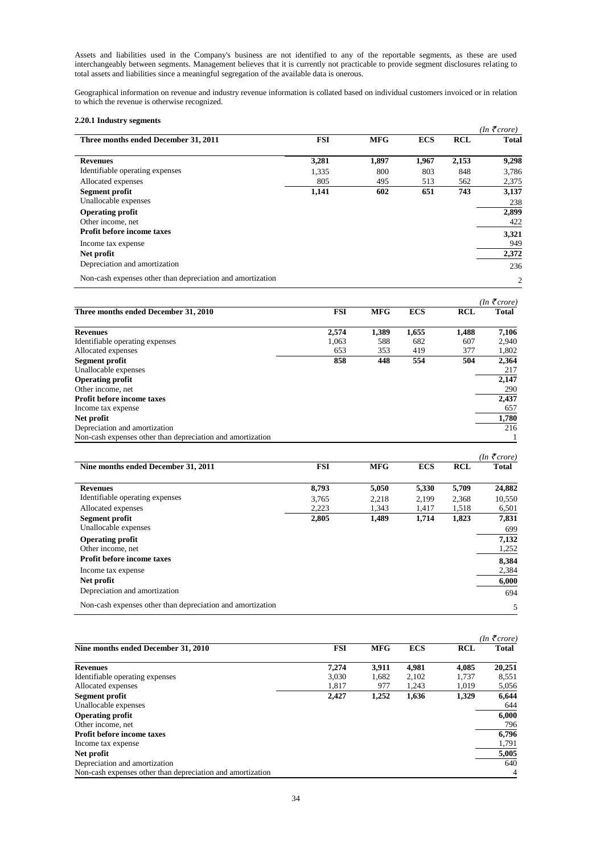Assets and liabilities used in the Company's business are not identified to any of the reportable segments, as these are used interchangeably between segments. Management believes that it is currently not practicable to provide segment disclosures relating to total assets and liabilities since a meaningful segregation of the available data is onerous.

Geographical information on revenue and industry revenue information is collated based on individual customers invoiced or in relation to which the revenue is otherwise recognized.

# **2.20.1 Industry segments**

|                                                            |            |            |            |            | $(In \mathcal{F}core)$ |
|------------------------------------------------------------|------------|------------|------------|------------|------------------------|
| Three months ended December 31, 2011                       | <b>FSI</b> | <b>MFG</b> | <b>ECS</b> | <b>RCL</b> | <b>Total</b>           |
| <b>Revenues</b>                                            | 3,281      | 1,897      | 1,967      | 2,153      | 9,298                  |
| Identifiable operating expenses                            | 1,335      | 800        | 803        | 848        | 3,786                  |
| Allocated expenses                                         | 805        | 495        | 513        | 562        | 2,375                  |
| Segment profit                                             | 1,141      | 602        | 651        | 743        | 3,137                  |
| Unallocable expenses                                       |            |            |            |            | 238                    |
| <b>Operating profit</b>                                    |            |            |            |            | 2,899                  |
| Other income, net                                          |            |            |            |            | 422                    |
| Profit before income taxes                                 |            |            |            |            | 3,321                  |
| Income tax expense                                         |            |            |            |            | 949                    |
| Net profit                                                 |            |            |            |            | 2,372                  |
| Depreciation and amortization                              |            |            |            |            | 236                    |
| Non-cash expenses other than depreciation and amortization |            |            |            |            | 2                      |

|                                                            |            |            |            |            | $(In \, \bar{\mathcal{F}}$ crore) |
|------------------------------------------------------------|------------|------------|------------|------------|-----------------------------------|
| Three months ended December 31, 2010                       | <b>FSI</b> | <b>MFG</b> | <b>ECS</b> | <b>RCL</b> | <b>Total</b>                      |
| <b>Revenues</b>                                            | 2.574      | 1,389      | 1,655      | 1,488      | 7,106                             |
| Identifiable operating expenses                            | 1,063      | 588        | 682        | 607        | 2,940                             |
| Allocated expenses                                         | 653        | 353        | 419        | 377        | 1,802                             |
| Segment profit                                             | 858        | 448        | 554        | 504        | 2,364                             |
| Unallocable expenses                                       |            |            |            |            | 217                               |
| <b>Operating profit</b>                                    |            |            |            |            | 2,147                             |
| Other income, net                                          |            |            |            |            | 290                               |
| <b>Profit before income taxes</b>                          |            |            |            |            | 2,437                             |
| Income tax expense                                         |            |            |            |            | 657                               |
| Net profit                                                 |            |            |            |            | 1,780                             |
| Depreciation and amortization                              |            |            |            |            | 216                               |
| Non-cash expenses other than depreciation and amortization |            |            |            |            |                                   |

|                                                            |            |            |            |            | (In ₹crore)  |
|------------------------------------------------------------|------------|------------|------------|------------|--------------|
| Nine months ended December 31, 2011                        | <b>FSI</b> | <b>MFG</b> | <b>ECS</b> | <b>RCL</b> | <b>Total</b> |
| <b>Revenues</b>                                            | 8,793      | 5,050      | 5,330      | 5,709      | 24,882       |
| Identifiable operating expenses                            | 3.765      | 2,218      | 2,199      | 2,368      | 10,550       |
| Allocated expenses                                         | 2,223      | 1,343      | 1,417      | 1,518      | 6,501        |
| Segment profit                                             | 2,805      | 1,489      | 1,714      | 1,823      | 7,831        |
| Unallocable expenses                                       |            |            |            |            | 699          |
| <b>Operating profit</b>                                    |            |            |            |            | 7,132        |
| Other income, net                                          |            |            |            |            | 1,252        |
| Profit before income taxes                                 |            |            |            |            | 8,384        |
| Income tax expense                                         |            |            |            |            | 2,384        |
| Net profit                                                 |            |            |            |            | 6,000        |
| Depreciation and amortization                              |            |            |            |            | 694          |
| Non-cash expenses other than depreciation and amortization |            |            |            |            | 5            |

|                                                            |            |            |            |            | $(In \, \bar{\mathcal{F}}$ crore) |
|------------------------------------------------------------|------------|------------|------------|------------|-----------------------------------|
| Nine months ended December 31, 2010                        | <b>FSI</b> | <b>MFG</b> | <b>ECS</b> | <b>RCL</b> | <b>Total</b>                      |
| <b>Revenues</b>                                            | 7.274      | 3.911      | 4.981      | 4.085      | 20.251                            |
| Identifiable operating expenses                            | 3,030      | 1,682      | 2,102      | 1,737      | 8,551                             |
| Allocated expenses                                         | 1.817      | 977        | 1,243      | 1.019      | 5,056                             |
| Segment profit                                             | 2,427      | 1,252      | 1,636      | 1,329      | 6,644                             |
| Unallocable expenses                                       |            |            |            |            | 644                               |
| <b>Operating profit</b>                                    |            |            |            |            | 6,000                             |
| Other income, net                                          |            |            |            |            | 796                               |
| <b>Profit before income taxes</b>                          |            |            |            |            | 6,796                             |
| Income tax expense                                         |            |            |            |            | 1,791                             |
| Net profit                                                 |            |            |            |            | 5,005                             |
| Depreciation and amortization                              |            |            |            |            | 640                               |
| Non-cash expenses other than depreciation and amortization |            |            |            |            | 4                                 |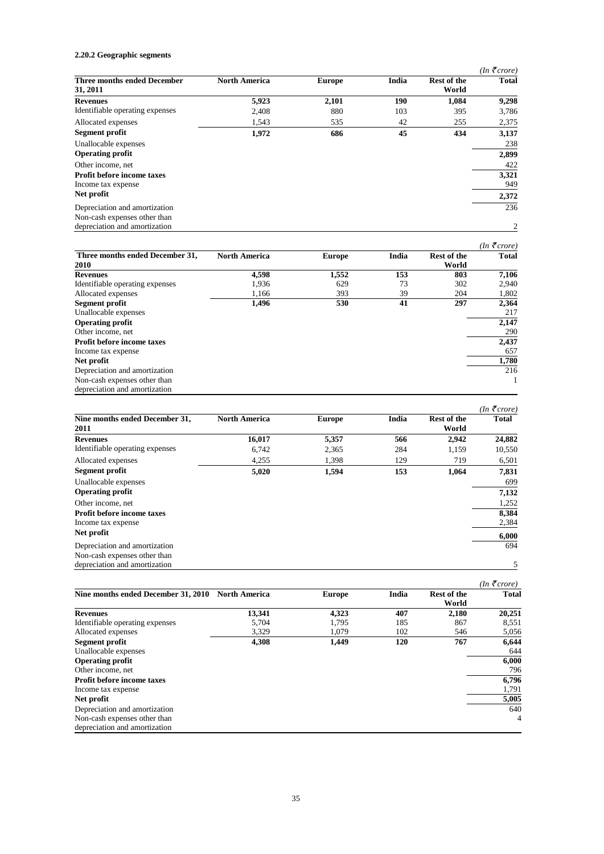# **2.20.2 Geographic segments**

|                                                               |                      |               |       |                             | $(In \, \bar{\mathcal{F}}$ crore) |
|---------------------------------------------------------------|----------------------|---------------|-------|-----------------------------|-----------------------------------|
| <b>Three months ended December</b><br>31, 2011                | <b>North America</b> | <b>Europe</b> | India | <b>Rest of the</b><br>World | <b>Total</b>                      |
| <b>Revenues</b>                                               | 5,923                | 2,101         | 190   | 1,084                       | 9,298                             |
| Identifiable operating expenses                               | 2,408                | 880           | 103   | 395                         | 3,786                             |
| Allocated expenses                                            | 1,543                | 535           | 42    | 255                         | 2,375                             |
| Segment profit                                                | 1,972                | 686           | 45    | 434                         | 3,137                             |
| Unallocable expenses                                          |                      |               |       |                             | 238                               |
| <b>Operating profit</b>                                       |                      |               |       |                             | 2,899                             |
| Other income, net                                             |                      |               |       |                             | 422                               |
| <b>Profit before income taxes</b><br>Income tax expense       |                      |               |       |                             | 3,321<br>949                      |
| Net profit                                                    |                      |               |       |                             | 2,372                             |
| Depreciation and amortization<br>Non-cash expenses other than |                      |               |       |                             | 236                               |
| depreciation and amortization                                 |                      |               |       |                             | 2                                 |

|                                         |                      |               |       |                             | $(In \mathcal{F}core)$ |
|-----------------------------------------|----------------------|---------------|-------|-----------------------------|------------------------|
| Three months ended December 31,<br>2010 | <b>North America</b> | <b>Europe</b> | India | <b>Rest of the</b><br>World | <b>Total</b>           |
| <b>Revenues</b>                         | 4,598                | 1,552         | 153   | 803                         | 7,106                  |
| Identifiable operating expenses         | 1,936                | 629           | 73    | 302                         | 2,940                  |
| Allocated expenses                      | 1,166                | 393           | 39    | 204                         | 1,802                  |
| Segment profit                          | 1,496                | 530           | 41    | 297                         | 2,364                  |
| Unallocable expenses                    |                      |               |       |                             | 217                    |
| <b>Operating profit</b>                 |                      |               |       |                             | 2,147                  |
| Other income, net                       |                      |               |       |                             | 290                    |
| Profit before income taxes              |                      |               |       |                             | 2,437                  |
| Income tax expense                      |                      |               |       |                             | 657                    |
| Net profit                              |                      |               |       |                             | 1,780                  |
| Depreciation and amortization           |                      |               |       |                             | 216                    |
| Non-cash expenses other than            |                      |               |       |                             |                        |
| depreciation and amortization           |                      |               |       |                             |                        |

|                                                               |                      |               |       |                             | $(In \mathcal{F}core)$ |
|---------------------------------------------------------------|----------------------|---------------|-------|-----------------------------|------------------------|
| Nine months ended December 31,<br>2011                        | <b>North America</b> | <b>Europe</b> | India | <b>Rest of the</b><br>World | <b>Total</b>           |
| <b>Revenues</b>                                               | 16,017               | 5,357         | 566   | 2,942                       | 24,882                 |
| Identifiable operating expenses                               | 6,742                | 2,365         | 284   | 1,159                       | 10,550                 |
| Allocated expenses                                            | 4,255                | 1,398         | 129   | 719                         | 6,501                  |
| Segment profit                                                | 5,020                | 1,594         | 153   | 1,064                       | 7,831                  |
| Unallocable expenses                                          |                      |               |       |                             | 699                    |
| <b>Operating profit</b>                                       |                      |               |       |                             | 7,132                  |
| Other income, net                                             |                      |               |       |                             | 1,252                  |
| <b>Profit before income taxes</b>                             |                      |               |       |                             | 8,384                  |
| Income tax expense                                            |                      |               |       |                             | 2,384                  |
| Net profit                                                    |                      |               |       |                             | 6,000                  |
| Depreciation and amortization                                 |                      |               |       |                             | 694                    |
| Non-cash expenses other than<br>depreciation and amortization |                      |               |       |                             | 5                      |

|                                     |                      |               |            |                             | (In ₹crore)  |
|-------------------------------------|----------------------|---------------|------------|-----------------------------|--------------|
| Nine months ended December 31, 2010 | <b>North America</b> | <b>Europe</b> | India      | <b>Rest of the</b><br>World | <b>Total</b> |
| <b>Revenues</b>                     | 13,341               | 4,323         | 407        | 2,180                       | 20,251       |
| Identifiable operating expenses     | 5,704                | 1,795         | 185        | 867                         | 8,551        |
| Allocated expenses                  | 3,329                | 1,079         | 102        | 546                         | 5,056        |
| Segment profit                      | 4,308                | 1,449         | <b>120</b> | 767                         | 6,644        |
| Unallocable expenses                |                      |               |            |                             | 644          |
| <b>Operating profit</b>             |                      |               |            |                             | 6,000        |
| Other income, net                   |                      |               |            |                             | 796          |
| Profit before income taxes          |                      |               |            |                             | 6,796        |
| Income tax expense                  |                      |               |            |                             | 1,791        |
| Net profit                          |                      |               |            |                             | 5,005        |
| Depreciation and amortization       |                      |               |            |                             | 640          |
| Non-cash expenses other than        |                      |               |            |                             | 4            |
| depreciation and amortization       |                      |               |            |                             |              |